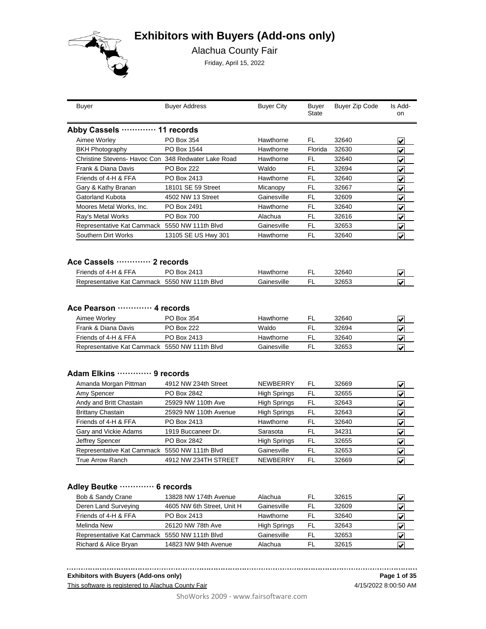# **Exhibitors with Buyers (Add-ons only)**



Alachua County Fair

Friday, April 15, 2022

|                                                                                                 | Buyer Address         | <b>Buyer City</b>        | Buyer<br>State | Buyer Zip Code | Is Add-<br>on                   |
|-------------------------------------------------------------------------------------------------|-----------------------|--------------------------|----------------|----------------|---------------------------------|
| Abby Cassels  11 records                                                                        |                       |                          |                |                |                                 |
| Aimee Worley                                                                                    | PO Box 354            | Hawthorne                | FL             | 32640          | V                               |
| <b>BKH Photography</b>                                                                          | PO Box 1544           | Hawthorne                | Florida        | 32630          | $\overline{\mathbf{v}}$         |
| Christine Stevens- Havoc Con 348 Redwater Lake Road                                             |                       | Hawthorne                | FL             | 32640          | V                               |
| Frank & Diana Davis                                                                             | PO Box 222            | Waldo                    | FL             | 32694          | $\overline{\mathbf{v}}$         |
| Friends of 4-H & FFA                                                                            | PO Box 2413           | Hawthorne                | FL             | 32640          | $\overline{\mathbf{v}}$         |
| Gary & Kathy Branan                                                                             | 18101 SE 59 Street    | Micanopy                 | FL             | 32667          | $\overline{\blacktriangledown}$ |
| Gatorland Kubota                                                                                | 4502 NW 13 Street     | Gainesville              | FL             | 32609          | $\overline{\mathbf{v}}$         |
| Moores Metal Works, Inc.                                                                        | PO Box 2491           | Hawthorne                | FL             | 32640          | $\overline{\blacktriangledown}$ |
| Ray's Metal Works                                                                               | PO Box 700            | Alachua                  | FL             | 32616          | $\overline{\mathbf{v}}$         |
| Representative Kat Cammack 5550 NW 111th Blvd                                                   |                       | Gainesville              | FL             | 32653          | $\overline{\blacktriangledown}$ |
| Southern Dirt Works                                                                             | 13105 SE US Hwy 301   | Hawthorne                | FL             | 32640          | $\overline{\blacktriangledown}$ |
| Ace Cassels  2 records<br>Friends of 4-H & FFA<br>Representative Kat Cammack 5550 NW 111th Blvd | PO Box 2413           | Hawthorne<br>Gainesville | FL.<br>FL      | 32640<br>32653 | V<br>$\overline{\mathbf{v}}$    |
|                                                                                                 |                       |                          |                |                |                                 |
| Ace Pearson ………… 4 records                                                                      |                       |                          |                |                |                                 |
| Aimee Worley                                                                                    | PO Box 354            | Hawthorne                | FL             | 32640          | V                               |
| Frank & Diana Davis                                                                             | <b>PO Box 222</b>     | Waldo                    | FL             | 32694          | V                               |
| Friends of 4-H & FFA                                                                            | PO Box 2413           | Hawthorne                | FL.            | 32640          | $\overline{\mathbf{v}}$         |
| Representative Kat Cammack 5550 NW 111th Blvd                                                   |                       | Gainesville              | FL             | 32653          | ⊽                               |
| Adam Elkins  9 records                                                                          |                       |                          |                |                |                                 |
| Amanda Morgan Pittman                                                                           | 4912 NW 234th Street  | NEWBERRY                 | FL             | 32669          | $\left  \mathbf{v} \right $     |
| Amy Spencer                                                                                     | PO Box 2842           | <b>High Springs</b>      | <b>FL</b>      | 32655          | ⊽                               |
| Andy and Britt Chastain                                                                         | 25929 NW 110th Ave    | <b>High Springs</b>      | FL             | 32643          | $\overline{\mathbf{v}}$         |
| <b>Brittany Chastain</b>                                                                        | 25929 NW 110th Avenue | <b>High Springs</b>      | FL             | 32643          | $\overline{\mathbf{v}}$         |
| Friends of 4-H & FFA                                                                            | PO Box 2413           | Hawthorne                | FL             | 32640          | $\overline{\blacktriangledown}$ |
| Gary and Vickie Adams                                                                           | 1919 Buccaneer Dr.    | Sarasota                 | FL             | 34231          | $\blacktriangledown$            |
| Jeffrey Spencer                                                                                 | PO Box 2842           | <b>High Springs</b>      | FL.            | 32655          | $\overline{\blacktriangledown}$ |
| Representative Kat Cammack 5550 NW 111th Blvd                                                   |                       | Gainesville              | FL             | 32653          | $\overline{\mathbf{v}}$         |

| Bob & Sandy Crane                             | 13828 NW 174th Avenue      | Alachua             | FL | 32615 | V |
|-----------------------------------------------|----------------------------|---------------------|----|-------|---|
| Deren Land Surveying                          | 4605 NW 6th Street, Unit H | Gainesville         | FL | 32609 | V |
| Friends of 4-H & FFA                          | PO Box 2413                | Hawthorne           | FL | 32640 | V |
| Melinda New                                   | 26120 NW 78th Ave          | <b>High Springs</b> | FL | 32643 | V |
| Representative Kat Cammack 5550 NW 111th Blvd |                            | Gainesville         | FI | 32653 | V |
| Richard & Alice Bryan                         | 14823 NW 94th Avenue       | Alachua             | FI | 32615 |   |

**Exhibitors with Buyers (Add-ons only)**

This software is registered to Alachua County Fair

4/15/2022 8:00:50 AM **Page 1 of 35**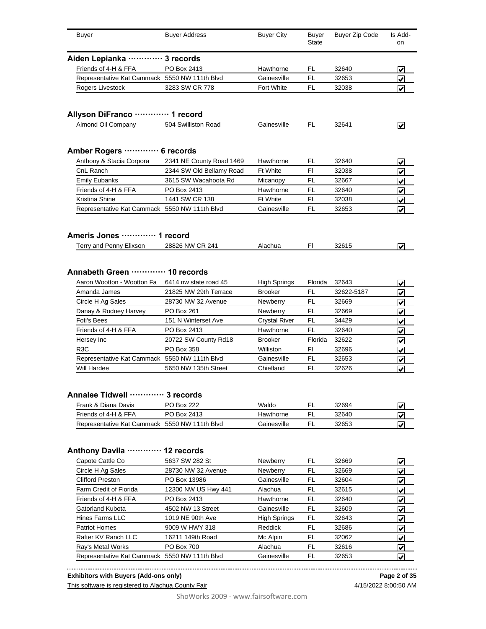| <b>Buyer</b>                                             | <b>Buyer Address</b>     | <b>Buyer City</b>    | Buyer<br><b>State</b> | Buyer Zip Code | Is Add-<br><b>on</b>             |
|----------------------------------------------------------|--------------------------|----------------------|-----------------------|----------------|----------------------------------|
| Aiden Lepianka ………… 3 records                            |                          |                      |                       |                |                                  |
| Friends of 4-H & FFA                                     | PO Box 2413              | Hawthorne            | FL                    | 32640          | ✔                                |
| Representative Kat Cammack 5550 NW 111th Blvd            |                          | Gainesville          | FL                    | 32653          | ⊽                                |
| Rogers Livestock                                         | 3283 SW CR 778           | Fort White           | FL                    | 32038          | V                                |
| Allyson DiFranco ············· 1 record                  |                          |                      |                       |                |                                  |
| Almond Oil Company                                       | 504 Swilliston Road      | Gainesville          | FL.                   | 32641          | $\left  \bm{\mathsf{v}} \right $ |
|                                                          |                          |                      |                       |                |                                  |
| <b>Amber Rogers ·</b>                                    | $\cdots$ 6 records       |                      |                       |                |                                  |
| Anthony & Stacia Corpora                                 | 2341 NE County Road 1469 | Hawthorne            | FL.                   | 32640          | ✔                                |
| CnL Ranch                                                | 2344 SW Old Bellamy Road | <b>Ft White</b>      | F1                    | 32038          | ✔                                |
| <b>Emily Eubanks</b>                                     | 3615 SW Wacahoota Rd     | Micanopy             | FL                    | 32667          | ✔                                |
| Friends of 4-H & FFA                                     | PO Box 2413              | Hawthorne            | FL                    | 32640          | ✔                                |
| Kristina Shine                                           | 1441 SW CR 138           | <b>Ft White</b>      | FL                    | 32038          | ✔                                |
| Representative Kat Cammack 5550 NW 111th Blvd            |                          | Gainesville          | FL                    | 32653          | ◀                                |
| Ameris Jones  1 record                                   |                          |                      |                       |                |                                  |
| Terry and Penny Elixson                                  | 28826 NW CR 241          | Alachua              | FI                    | 32615          | ◡                                |
|                                                          |                          |                      |                       |                |                                  |
| Annabeth Green  10 records<br>Aaron Wootton - Wootton Fa | 6414 nw state road 45    | <b>High Springs</b>  | Florida               | 32643          | V                                |
| Amanda James                                             | 21825 NW 29th Terrace    | <b>Brooker</b>       | FL                    | 32622-5187     | ✔                                |
| Circle H Ag Sales                                        | 28730 NW 32 Avenue       | <b>Newberry</b>      | FL                    | 32669          |                                  |
| Danay & Rodney Harvey                                    | PO Box 261               | Newberry             | <b>FL</b>             | 32669          | $\vert \checkmark$               |
| <b>Foti's Bees</b>                                       | 151 N Winterset Ave      | <b>Crystal River</b> | FL                    | 34429          | $\vert \checkmark$               |
| Friends of 4-H & FFA                                     | PO Box 2413              | Hawthorne            | <b>FL</b>             | 32640          | $\blacktriangledown$             |
| Hersey Inc                                               | 20722 SW County Rd18     | <b>Brooker</b>       | Florida               | 32622          | $\blacktriangledown$             |
|                                                          |                          |                      |                       |                | $\blacktriangledown$             |
| R3C                                                      | PO Box 358               | Williston            | FI                    | 32696          | $\blacktriangledown$             |
| Representative Kat Cammack 5550 NW 111th Blvd            |                          | Gainesville          | FL                    | 32653          | V                                |
| Will Hardee                                              | 5650 NW 135th Street     | Chiefland            | FL                    | 32626          | V                                |
| Annalee Tidwell  3 records<br>Frank & Diana Davis        | PO Box 222               | Waldo                | FL                    | 32694          |                                  |
| Friends of 4-H & FFA                                     | PO Box 2413              | Hawthorne            | FL                    |                | ✔                                |
| Representative Kat Cammack 5550 NW 111th Blvd            |                          | Gainesville          | FL                    | 32640<br>32653 | ✔<br>V                           |
|                                                          |                          |                      |                       |                |                                  |
| <b>Anthony Davila</b>                                    | 12 records               |                      |                       |                |                                  |
| Capote Cattle Co                                         | 5637 SW 282 St           | Newberry             | FL                    | 32669          | ✔                                |
| Circle H Ag Sales                                        | 28730 NW 32 Avenue       | Newberry             | FL                    | 32669          | ✔                                |
| <b>Clifford Preston</b>                                  | PO Box 13986             | Gainesville          | FL                    | 32604          | ✔                                |
| Farm Credit of Florida                                   | 12300 NW US Hwy 441      | Alachua              | FL                    | 32615          | ✔                                |
| Friends of 4-H & FFA                                     | PO Box 2413              | Hawthorne            | FL                    | 32640          | ✔                                |
| Gatorland Kubota                                         | 4502 NW 13 Street        | Gainesville          | FL                    | 32609          | ✔                                |
|                                                          | 1019 NE 90th Ave         | High Springs         | FL                    | 32643          | ✔                                |
| Hines Farms LLC                                          |                          |                      | FL                    | 32686          | ✔                                |
| Patriot Homes                                            | 9009 W HWY 318           | Reddick              |                       |                |                                  |
| Rafter KV Ranch LLC                                      | 16211 149th Road         | Mc Alpin             | FL                    | 32062          | ✔                                |
| Ray's Metal Works                                        | PO Box 700               | Alachua              | FL                    | 32616          | ✔                                |

**Exhibitors with Buyers (Add-ons only)**

This software is registered to Alachua County Fair

**Page 2 of 35**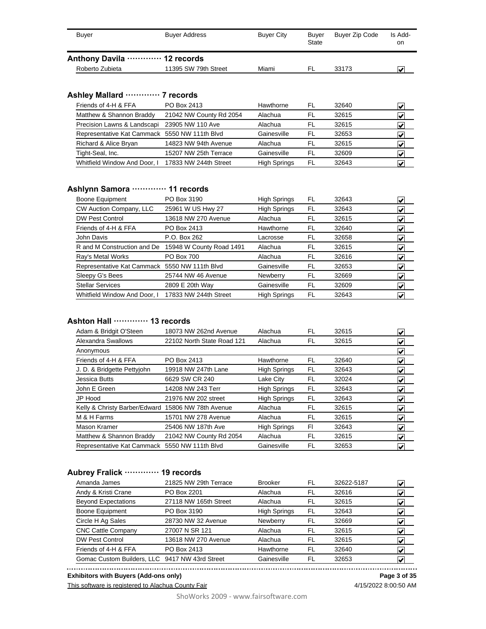| Buyer                          | <b>Buver Address</b> | <b>Buver City</b> | Buver<br><b>State</b> | Buyer Zip Code | Is Add-<br>on |
|--------------------------------|----------------------|-------------------|-----------------------|----------------|---------------|
| Anthony Davila ………… 12 records |                      |                   |                       |                |               |
| Roberto Zubieta                | 11395 SW 79th Street | Miami             | FL                    | 33173          |               |

#### **Ashley Mallard ············· 7 records**

| PO Box 2413                                   | Hawthorne           | <b>FL</b> | 32640 |   |
|-----------------------------------------------|---------------------|-----------|-------|---|
| 21042 NW County Rd 2054                       | Alachua             | FL        | 32615 |   |
| 23905 NW 110 Ave                              | Alachua             | FI.       | 32615 |   |
| Representative Kat Cammack 5550 NW 111th Blvd | Gainesville         | FL        | 32653 | V |
| 14823 NW 94th Avenue                          | Alachua             | FL        | 32615 | V |
| 15207 NW 25th Terrace                         | Gainesville         | FI        | 32609 |   |
| 17833 NW 244th Street                         | <b>High Springs</b> | FL        | 32643 |   |
|                                               |                     |           |       |   |

### **Ashlynn Samora ············· 11 records**

| Boone Equipment                               | PO Box 3190              | <b>High Springs</b> | FL | 32643 | $\vert \checkmark\vert$          |
|-----------------------------------------------|--------------------------|---------------------|----|-------|----------------------------------|
| CW Auction Company, LLC                       | 25961 W US Hwy 27        | <b>High Springs</b> | FL | 32643 | $\blacktriangledown$             |
| <b>DW Pest Control</b>                        | 13618 NW 270 Avenue      | Alachua             | FL | 32615 | $\left  \mathbf{v} \right $      |
| Friends of 4-H & FFA                          | PO Box 2413              | Hawthorne           | FL | 32640 | $\blacktriangleright$            |
| John Davis                                    | P.O. Box 262             | Lacrosse            | FL | 32658 | $\left  \bm{\mathsf{v}} \right $ |
| R and M Construction and De                   | 15948 W County Road 1491 | Alachua             | FL | 32615 | $\blacktriangleright$            |
| Ray's Metal Works                             | PO Box 700               | Alachua             | FL | 32616 | $\left  \bm{\mathsf{v}} \right $ |
| Representative Kat Cammack 5550 NW 111th Blvd |                          | Gainesville         | FL | 32653 | $\left  \bm{\mathsf{v}} \right $ |
| Sleepy G's Bees                               | 25744 NW 46 Avenue       | Newberry            | FL | 32669 | $\left  \bm{\mathsf{v}} \right $ |
| <b>Stellar Services</b>                       | 2809 E 20th Way          | Gainesville         | FL | 32609 | $\blacktriangleright$            |
| Whitfield Window And Door, I                  | 17833 NW 244th Street    | <b>High Springs</b> | FL | 32643 | $\left  \bm{\mathsf{v}} \right $ |

### **Ashton Hall ············· 13 records**

| Adam & Bridgit O'Steen                             | 18073 NW 262nd Avenue      | Alachua             | FL  | 32615 | $\overline{\mathbf{v}}$                  |
|----------------------------------------------------|----------------------------|---------------------|-----|-------|------------------------------------------|
| Alexandra Swallows                                 | 22102 North State Road 121 | Alachua             | FL  | 32615 | $\left  \bm{\mathsf{v}} \right $         |
| Anonymous                                          |                            |                     |     |       | $\left  \mathbf{v} \right $              |
| Friends of 4-H & FFA                               | PO Box 2413                | Hawthorne           | FL  | 32640 | $\left  \mathbf{v} \right $              |
| J. D. & Bridgette Pettyjohn                        | 19918 NW 247th Lane        | <b>High Springs</b> | FL  | 32643 | $\left  \bm{\mathsf{v}} \right $         |
| Jessica Butts                                      | 6629 SW CR 240             | Lake City           | FL  | 32024 | $\left  \bm{\mathsf{v}} \right $         |
| John E Green                                       | 14208 NW 243 Terr          | <b>High Springs</b> | FL  | 32643 | $\left  \mathbf{v} \right $              |
| JP Hood                                            | 21976 NW 202 street        | <b>High Springs</b> | FL  | 32643 | $\vert\bm{\mathsf{v}}\vert$              |
| Kelly & Christy Barber/Edward 15806 NW 78th Avenue |                            | Alachua             | FL  | 32615 | $\vert\bm{\mathsf{v}}\vert$              |
| M & H Farms                                        | 15701 NW 278 Avenue        | Alachua             | FL  | 32615 | $\vert\bm{\mathsf{v}}\vert$              |
| Mason Kramer                                       | 25406 NW 187th Ave         | <b>High Springs</b> | FI. | 32643 | $\left  \boldsymbol{\mathsf{v}} \right $ |
| Matthew & Shannon Braddy                           | 21042 NW County Rd 2054    | Alachua             | FL  | 32615 | $\blacktriangleright$                    |
| Representative Kat Cammack 5550 NW 111th Blvd      |                            | Gainesville         | FL  | 32653 | $\blacktriangledown$                     |

#### **Aubrey Fralick ············· 19 records**

| Amanda James                                   | 21825 NW 29th Terrace | <b>Brooker</b>      | FL | 32622-5187 | V |
|------------------------------------------------|-----------------------|---------------------|----|------------|---|
| Andy & Kristi Crane                            | PO Box 2201           | Alachua             | FL | 32616      | V |
| <b>Beyond Expectations</b>                     | 27118 NW 165th Street | Alachua             | FL | 32615      | V |
| Boone Equipment                                | PO Box 3190           | <b>High Springs</b> | FL | 32643      | V |
| Circle H Ag Sales                              | 28730 NW 32 Avenue    | Newberry            | FL | 32669      | V |
| <b>CNC Cattle Company</b>                      | 27007 N SR 121        | Alachua             | FL | 32615      | V |
| <b>DW Pest Control</b>                         | 13618 NW 270 Avenue   | Alachua             | FL | 32615      | V |
| Friends of 4-H & FFA                           | PO Box 2413           | Hawthorne           | FL | 32640      | V |
| Gomac Custom Builders, LLC 9417 NW 43rd Street |                       | Gainesville         | FL | 32653      | V |

**Exhibitors with Buyers (Add-ons only) Page 3 of 35**

This software is registered to Alachua County Fair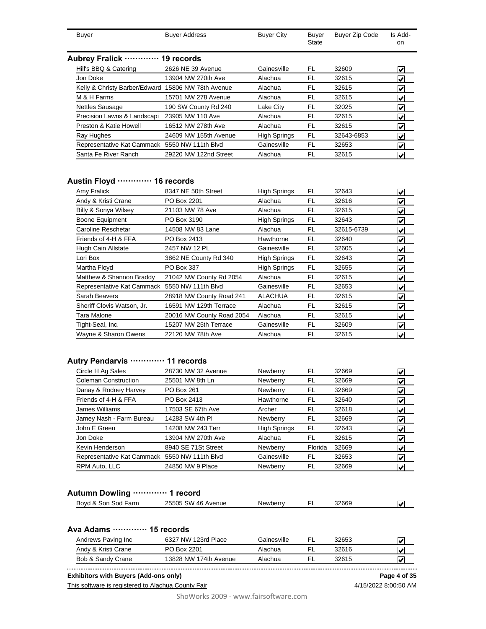| Buver | <b>Buyer Address</b>           | <b>Buyer City</b> | Buver<br>State | Buyer Zip Code | Is Add-<br>on |
|-------|--------------------------------|-------------------|----------------|----------------|---------------|
|       | Aubrey Fralick ………… 19 records |                   |                |                |               |

|                                               | 2626 NE 39 Avenue     | Gainesville         |    |            |                               |
|-----------------------------------------------|-----------------------|---------------------|----|------------|-------------------------------|
| Hill's BBQ & Catering                         |                       |                     | FL | 32609      | V                             |
| Jon Doke                                      | 13904 NW 270th Ave    | Alachua             | FL | 32615      | V                             |
| Kelly & Christy Barber/Edward                 | 15806 NW 78th Avenue  | Alachua             | FL | 32615      | V                             |
| M & H Farms                                   | 15701 NW 278 Avenue   | Alachua             | FL | 32615      | V                             |
| <b>Nettles Sausage</b>                        | 190 SW County Rd 240  | Lake City           | FL | 32025      | V                             |
| Precision Lawns & Landscapi                   | 23905 NW 110 Ave      | Alachua             | FL | 32615      | V                             |
| Preston & Katie Howell                        | 16512 NW 278th Ave    | Alachua             | FL | 32615      | V                             |
| Ray Hughes                                    | 24609 NW 155th Avenue | <b>High Springs</b> | FL | 32643-6853 | $\vert \bm{\mathsf{v}} \vert$ |
| Representative Kat Cammack 5550 NW 111th Blvd |                       | Gainesville         | FL | 32653      | $\blacktriangleright$         |
| Santa Fe River Ranch                          | 29220 NW 122nd Street | Alachua             | FL | 32615      | V                             |
|                                               |                       |                     |    |            |                               |

### **Austin Floyd ············· 16 records**

| Amy Fralick                | 8347 NE 50th Street       | <b>High Springs</b> | FL | 32643      | V                             |
|----------------------------|---------------------------|---------------------|----|------------|-------------------------------|
| Andy & Kristi Crane        | PO Box 2201               | Alachua             | FL | 32616      | $\overline{\mathbf{v}}$       |
| Billy & Sonya Wilsey       | 21103 NW 78 Ave           | Alachua             | FL | 32615      | $\vert \checkmark$            |
| <b>Boone Equipment</b>     | PO Box 3190               | <b>High Springs</b> | FL | 32643      | V                             |
| Caroline Reschetar         | 14508 NW 83 Lane          | Alachua             | FL | 32615-6739 | $\vert \checkmark$            |
| Friends of 4-H & FFA       | PO Box 2413               | Hawthorne           | FL | 32640      | $\vert \checkmark$            |
| Hugh Cain Allstate         | 2457 NW 12 PL             | Gainesville         | FL | 32605      | V                             |
| Lori Box                   | 3862 NE County Rd 340     | <b>High Springs</b> | FL | 32643      | $\vert \checkmark$            |
| Martha Floyd               | PO Box 337                | <b>High Springs</b> | FL | 32655      | V                             |
| Matthew & Shannon Braddy   | 21042 NW County Rd 2054   | Alachua             | FL | 32615      | √                             |
| Representative Kat Cammack | 5550 NW 111th Blvd        | Gainesville         | FL | 32653      | $\vert \bm{\mathsf{v}} \vert$ |
| Sarah Beavers              | 28918 NW County Road 241  | <b>ALACHUA</b>      | FL | 32615      | $\vert \checkmark\vert$       |
| Sheriff Clovis Watson, Jr. | 16591 NW 129th Terrace    | Alachua             | FL | 32615      | V                             |
| Tara Malone                | 20016 NW County Road 2054 | Alachua             | FL | 32615      | $\blacktriangledown$          |
| Tight-Seal, Inc.           | 15207 NW 25th Terrace     | Gainesville         | FL | 32609      | V                             |
| Wayne & Sharon Owens       | 22120 NW 78th Ave         | Alachua             | FL | 32615      | ⊽                             |

# **Autry Pendarvis ············· 11 records**

| Circle H Ag Sales                             | 28730 NW 32 Avenue  | Newberry            | FL      | 32669 | $\vert\bm{\mathsf{v}}\vert$      |
|-----------------------------------------------|---------------------|---------------------|---------|-------|----------------------------------|
| Coleman Construction                          | 25501 NW 8th Ln     | Newberry            | FL      | 32669 | V                                |
| Danay & Rodney Harvey                         | PO Box 261          | Newberry            | FL      | 32669 | $\vert \bm{\mathsf{v}} \vert$    |
| Friends of 4-H & FFA                          | PO Box 2413         | Hawthorne           | FL      | 32640 | V                                |
| James Williams                                | 17503 SE 67th Ave   | Archer              | FL      | 32618 | $\left  \bm{\mathsf{v}} \right $ |
| Jamey Nash - Farm Bureau                      | 14283 SW 4th PI     | Newberry            | FL      | 32669 | $\left  \bm{\mathsf{v}} \right $ |
| John E Green                                  | 14208 NW 243 Terr   | <b>High Springs</b> | FL.     | 32643 | $\left  \bm{\mathsf{v}} \right $ |
| Jon Doke                                      | 13904 NW 270th Ave  | Alachua             | FL      | 32615 | $\left  \bm{\mathsf{v}} \right $ |
| Kevin Henderson                               | 8940 SE 71St Street | Newberry            | Florida | 32669 | $\vert\bm{\mathsf{v}}\vert$      |
| Representative Kat Cammack 5550 NW 111th Blvd |                     | Gainesville         | FL.     | 32653 | $\left  \bm{\mathsf{v}} \right $ |
| RPM Auto, LLC                                 | 24850 NW 9 Place    | Newberry            | FL      | 32669 | V                                |

### **Autumn Dowling ············· 1 record**

| Bovd &<br>Sod Farm<br>. Son | SW 46 Avenue<br>25505 | Newberrv | 32669 | I۰ |
|-----------------------------|-----------------------|----------|-------|----|
|                             |                       |          |       |    |

### **Ava Adams ············· 15 records**

| Andrews Paving Inc. | 6327 NW 123rd Place   | Gainesville | 32653 |  |
|---------------------|-----------------------|-------------|-------|--|
| Andy & Kristi Crane | PO Box 2201           | Alachua     | 32616 |  |
| Bob & Sandy Crane   | 13828 NW 174th Avenue | Alachua     | 32615 |  |

**Exhibitors with Buyers (Add-ons only) Page 4 of 35**

This software is registered to Alachua County Fair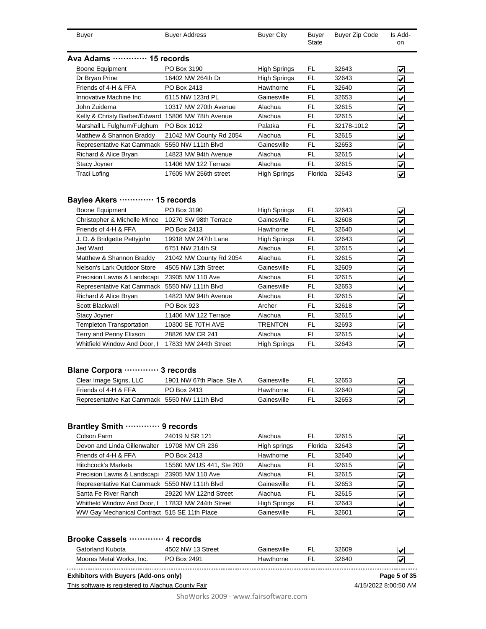|               | Buyer | <b>Buyer Address</b> | <b>Buyer City</b> | Buyer<br><b>State</b> | Buyer Zip Code | Is Add-<br>on |
|---------------|-------|----------------------|-------------------|-----------------------|----------------|---------------|
| $\sim$ $\sim$ | .     | $ -$                 |                   |                       |                |               |

#### **Ava Adams ············· 15 records**

| 14 AUGU 19                                         | 191560193               |                     |         |            |                                  |
|----------------------------------------------------|-------------------------|---------------------|---------|------------|----------------------------------|
| <b>Boone Equipment</b>                             | PO Box 3190             | <b>High Springs</b> | FL      | 32643      | $\left  \bm{\mathsf{v}} \right $ |
| Dr Bryan Prine                                     | 16402 NW 264th Dr       | <b>High Springs</b> | FL      | 32643      | $\blacktriangledown$             |
| Friends of 4-H & FFA                               | PO Box 2413             | Hawthorne           | FL      | 32640      | $\blacktriangledown$             |
| Innovative Machine Inc.                            | 6115 NW 123rd PL        | Gainesville         | FL      | 32653      | $\blacktriangledown$             |
| John Zuidema                                       | 10317 NW 270th Avenue   | Alachua             | FL      | 32615      | $\left  \bm{\mathsf{v}} \right $ |
| Kelly & Christy Barber/Edward 15806 NW 78th Avenue |                         | Alachua             | FL      | 32615      | $\left  \bm{\mathsf{v}} \right $ |
| Marshall L Fulghum/Fulghum                         | PO Box 1012             | Palatka             | FL      | 32178-1012 | $\left  \bm{\mathsf{v}} \right $ |
| Matthew & Shannon Braddy                           | 21042 NW County Rd 2054 | Alachua             | FL      | 32615      | $\blacktriangledown$             |
| Representative Kat Cammack 5550 NW 111th Blvd      |                         | Gainesville         | FL      | 32653      | $\blacktriangleright$            |
| Richard & Alice Bryan                              | 14823 NW 94th Avenue    | Alachua             | FL      | 32615      | $\blacktriangleright$            |
| Stacy Joyner                                       | 11406 NW 122 Terrace    | Alachua             | FL      | 32615      | $\blacktriangleright$            |
| Traci Lofing                                       | 17605 NW 256th street   | <b>High Springs</b> | Florida | 32643      | $\left  \mathbf{v} \right $      |
|                                                    |                         |                     |         |            |                                  |

#### **Baylee Akers ············· 15 records**

| <b>Boone Equipment</b>                        | PO Box 3190             | <b>High Springs</b> | FL  | 32643 | V                           |
|-----------------------------------------------|-------------------------|---------------------|-----|-------|-----------------------------|
| Christopher & Michelle Mince                  | 10270 SW 98th Terrace   | Gainesville         | FL  | 32608 | $\left  \mathbf{v} \right $ |
| Friends of 4-H & FFA                          | PO Box 2413             | Hawthorne           | FL  | 32640 | V                           |
| J. D. & Bridgette Pettyjohn                   | 19918 NW 247th Lane     | <b>High Springs</b> | FL  | 32643 | V                           |
| Jed Ward                                      | 6751 NW 214th St        | Alachua             | FL  | 32615 | V                           |
| Matthew & Shannon Braddy                      | 21042 NW County Rd 2054 | Alachua             | FL  | 32615 | V                           |
| Nelson's Lark Outdoor Store                   | 4505 NW 13th Street     | Gainesville         | FL  | 32609 | V                           |
| Precision Lawns & Landscapi                   | 23905 NW 110 Ave        | Alachua             | FL  | 32615 | $\left  \mathbf{v} \right $ |
| Representative Kat Cammack 5550 NW 111th Blvd |                         | Gainesville         | FL. | 32653 | V                           |
| Richard & Alice Bryan                         | 14823 NW 94th Avenue    | Alachua             | FL  | 32615 | V                           |
| Scott Blackwell                               | PO Box 923              | Archer              | FL  | 32618 | V                           |
| Stacy Joyner                                  | 11406 NW 122 Terrace    | Alachua             | FL  | 32615 | V                           |
| <b>Templeton Transportation</b>               | 10300 SE 70TH AVE       | TRENTON             | FL. | 32693 | V                           |
| Terry and Penny Elixson                       | 28826 NW CR 241         | Alachua             | FI. | 32615 | V                           |
| Whitfield Window And Door. I                  | 17833 NW 244th Street   | <b>High Springs</b> | FL  | 32643 | V                           |

# **Blane Corpora ············· 3 records**

| Clear Image Signs, LLC                        | 1901 NW 67th Place, Ste A | Gainesville | 32653 | $\overline{\mathsf{v}}$ |
|-----------------------------------------------|---------------------------|-------------|-------|-------------------------|
| Friends of 4-H & FFA                          | PO Box 2413               | Hawthorne   | 32640 | $\overline{\mathsf{v}}$ |
| Representative Kat Cammack 5550 NW 111th Blvd |                           | Gainesville | 32653 | $\overline{\mathbf{v}}$ |

#### **Brantley Smith ············· 9 records**

| Colson Farm                                   | 24019 N SR 121           | Alachua             | FL      | 32615 | V |
|-----------------------------------------------|--------------------------|---------------------|---------|-------|---|
| Devon and Linda Gillenwalter                  | 19708 NW CR 236          | High springs        | Florida | 32643 |   |
| Friends of 4-H & FFA                          | PO Box 2413              | Hawthorne           | FL      | 32640 | M |
| <b>Hitchcock's Markets</b>                    | 15560 NW US 441, Ste 200 | Alachua             | FI.     | 32615 |   |
| Precision Lawns & Landscapi                   | 23905 NW 110 Ave         | Alachua             | FL      | 32615 | V |
| Representative Kat Cammack 5550 NW 111th Blvd |                          | Gainesville         | FL      | 32653 | V |
| Santa Fe River Ranch                          | 29220 NW 122nd Street    | Alachua             | FL      | 32615 | V |
| Whitfield Window And Door, I                  | 17833 NW 244th Street    | <b>High Springs</b> | FL      | 32643 | M |
| WW Gay Mechanical Contract 515 SE 11th Place  |                          | Gainesville         | FL      | 32601 |   |

#### **Brooke Cassels ············· 4 records**

| Gatorland Kubota            | 4502 NW<br>13 Street | Gainesville | 32609 | ممدا  |
|-----------------------------|----------------------|-------------|-------|-------|
| Moores Metal Works.<br>Inc. | PO Box 2491          | Iawthorne   | 32640 | المما |

**Exhibitors with Buyers (Add-ons only) Page 5 of 35**

This software is registered to Alachua County Fair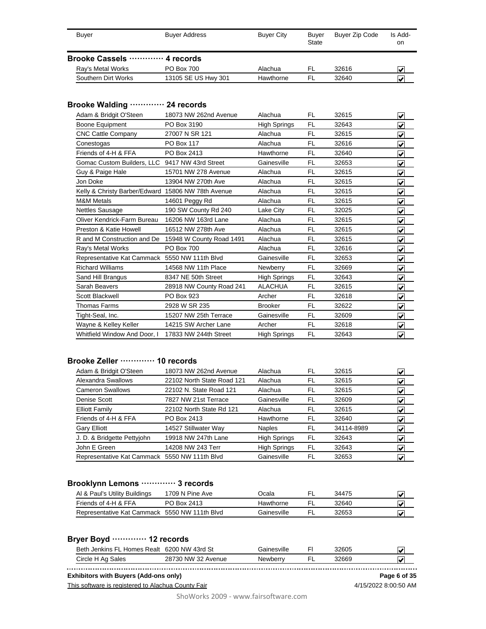| Buver                         | <b>Buyer Address</b> | <b>Buver City</b> | Buver<br><b>State</b> | Buyer Zip Code | Is Add-<br>on           |
|-------------------------------|----------------------|-------------------|-----------------------|----------------|-------------------------|
| Brooke Cassels ………… 4 records |                      |                   |                       |                |                         |
| Ray's Metal Works             | <b>PO Box 700</b>    | Alachua           | FL.                   | 32616          | $\overline{\mathbf{v}}$ |
| Southern Dirt Works           | 13105 SE US Hwy 301  | Hawthorne         | FI                    | 32640          | $\overline{v}$          |

#### **Brooke Walding ············· 24 records**

| Adam & Bridgit O'Steen                             | 18073 NW 262nd Avenue    | Alachua             | FL        | 32615 | V                       |
|----------------------------------------------------|--------------------------|---------------------|-----------|-------|-------------------------|
| <b>Boone Equipment</b>                             | PO Box 3190              | <b>High Springs</b> | <b>FL</b> | 32643 | ⊽                       |
| <b>CNC Cattle Company</b>                          | 27007 N SR 121           | Alachua             | FL        | 32615 | $\overline{\mathbf{v}}$ |
| Conestogas                                         | <b>PO Box 117</b>        | Alachua             | <b>FL</b> | 32616 | $\overline{\mathbf{v}}$ |
| Friends of 4-H & FFA                               | PO Box 2413              | Hawthorne           | <b>FL</b> | 32640 | $\overline{\mathbf{v}}$ |
| Gomac Custom Builders, LLC 9417 NW 43rd Street     |                          | Gainesville         | FL        | 32653 | ⊽                       |
| Guy & Paige Hale                                   | 15701 NW 278 Avenue      | Alachua             | <b>FL</b> | 32615 | ⊽                       |
| Jon Doke                                           | 13904 NW 270th Ave       | Alachua             | <b>FL</b> | 32615 | V                       |
| Kelly & Christy Barber/Edward 15806 NW 78th Avenue |                          | Alachua             | FL        | 32615 | ⊽                       |
| <b>M&amp;M Metals</b>                              | 14601 Peggy Rd           | Alachua             | <b>FL</b> | 32615 | $\overline{\checkmark}$ |
| <b>Nettles Sausage</b>                             | 190 SW County Rd 240     | Lake City           | <b>FL</b> | 32025 | ⊽                       |
| Oliver Kendrick-Farm Bureau                        | 16206 NW 163rd Lane      | Alachua             | <b>FL</b> | 32615 | V                       |
| Preston & Katie Howell                             | 16512 NW 278th Ave       | Alachua             | <b>FL</b> | 32615 | V                       |
| R and M Construction and De                        | 15948 W County Road 1491 | Alachua             | <b>FL</b> | 32615 | $\overline{\mathbf{v}}$ |
| Ray's Metal Works                                  | PO Box 700               | Alachua             | FL        | 32616 | √                       |
| Representative Kat Cammack 5550 NW 111th Blvd      |                          | Gainesville         | <b>FL</b> | 32653 | ⊽                       |
| <b>Richard Williams</b>                            | 14568 NW 11th Place      | Newberry            | FL        | 32669 | V                       |
| Sand Hill Brangus                                  | 8347 NE 50th Street      | <b>High Springs</b> | <b>FL</b> | 32643 | V                       |
| Sarah Beavers                                      | 28918 NW County Road 241 | <b>ALACHUA</b>      | <b>FL</b> | 32615 | V                       |
| Scott Blackwell                                    | PO Box 923               | Archer              | FL        | 32618 | V                       |
| <b>Thomas Farms</b>                                | 2928 W SR 235            | <b>Brooker</b>      | <b>FL</b> | 32622 | $\overline{\mathbf{v}}$ |
| Tight-Seal, Inc.                                   | 15207 NW 25th Terrace    | Gainesville         | FL        | 32609 | V                       |
| Wayne & Kelley Keller                              | 14215 SW Archer Lane     | Archer              | <b>FL</b> | 32618 | V                       |
| Whitfield Window And Door, I                       | 17833 NW 244th Street    | <b>High Springs</b> | FL        | 32643 | $\blacktriangledown$    |

### **Brooke Zeller ············· 10 records**

| Adam & Bridgit O'Steen                        | 18073 NW 262nd Avenue      | Alachua             | FL | 32615      | V                                |
|-----------------------------------------------|----------------------------|---------------------|----|------------|----------------------------------|
| Alexandra Swallows                            | 22102 North State Road 121 | Alachua             | FL | 32615      | V                                |
| <b>Cameron Swallows</b>                       | 22102 N. State Road 121    | Alachua             | FL | 32615      | V                                |
| Denise Scott                                  | 7827 NW 21st Terrace       | Gainesville         | FL | 32609      | V                                |
| <b>Elliott Family</b>                         | 22102 North State Rd 121   | Alachua             | FL | 32615      | M                                |
| Friends of 4-H & FFA                          | PO Box 2413                | Hawthorne           | FL | 32640      | $\left  \bm{\mathsf{v}} \right $ |
| <b>Gary Elliott</b>                           | 14527 Stillwater Way       | <b>Naples</b>       | FL | 34114-8989 | V                                |
| J. D. & Bridgette Pettyjohn                   | 19918 NW 247th Lane        | <b>High Springs</b> | FL | 32643      | $\left  \bm{\mathsf{v}} \right $ |
| John E Green                                  | 14208 NW 243 Terr          | <b>High Springs</b> | FL | 32643      | $\left  \bm{\mathsf{v}} \right $ |
| Representative Kat Cammack 5550 NW 111th Blvd |                            | Gainesville         | FL | 32653      | V                                |

### **Brooklynn Lemons ············· 3 records**

| Al & Paul's Utility Buildings                 | 1709 N Pine Ave | )cala       | 34475 |  |
|-----------------------------------------------|-----------------|-------------|-------|--|
| Friends of 4-H & FFA                          | PO Box 2413     | Hawthorne   | 32640 |  |
| Representative Kat Cammack 5550 NW 111th Blvd |                 | Gainesville | 32653 |  |

#### **Bryer Boyd ············· 12 records**

| Beth Jenkins FL Homes Realt | 6200 NW 43rd St    | Gainesville | 32605 | المدا |
|-----------------------------|--------------------|-------------|-------|-------|
| Circle H Ag Sales           | 28730 NW 32 Avenue | Newberry    | 32669 |       |

**Exhibitors with Buyers (Add-ons only) Page 6 of 35**

This software is registered to Alachua County Fair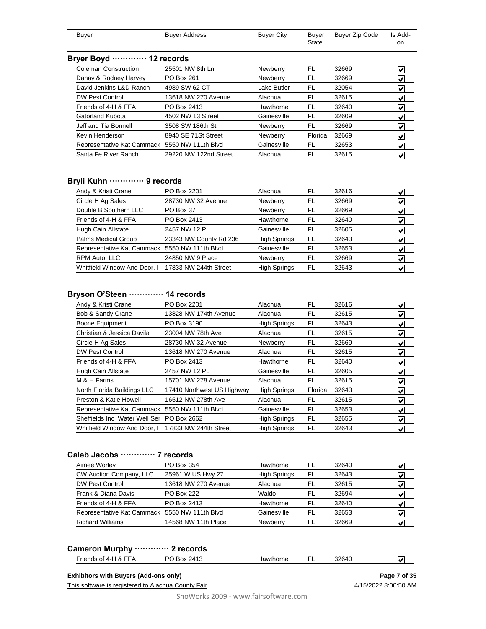| Buyer                       | <b>Buyer Address</b> | <b>Buyer City</b> | Buyer<br>State | <b>Buyer Zip Code</b> | Is Add-<br>on. |  |  |  |  |  |
|-----------------------------|----------------------|-------------------|----------------|-----------------------|----------------|--|--|--|--|--|
| Bryer Boyd  12 records      |                      |                   |                |                       |                |  |  |  |  |  |
| <b>Coleman Construction</b> | 25501 NW 8th Ln      | Newberry          | FL             | 32669                 | V              |  |  |  |  |  |
| Danay & Rodney Harvey       | PO Box 261           | Newberry          | FL             | 32669                 | V              |  |  |  |  |  |
| David Jenkins L&D Ranch     | 4989 SW 62 CT        | Lake Butler       | FL             | 32054                 | V              |  |  |  |  |  |
| <b>DW Pest Control</b>      | 13618 NW 270 Avenue  | Alachua           | FL             | 32615                 |                |  |  |  |  |  |
| Friends of 4-H & FFA        | PO Box 2413          | Hawthorne         | FL             | 32640                 | V              |  |  |  |  |  |
| Gatorland Kubota            | 4502 NW 13 Street    | Gainesville       | FL             | 32609                 |                |  |  |  |  |  |

| Jeff and Tia Bonnell                          | 3508 SW 186th St      | Newberry        |         | 32669 |  |
|-----------------------------------------------|-----------------------|-----------------|---------|-------|--|
| Kevin Henderson                               | 8940 SE 71St Street   | <b>Newberry</b> | Florida | 32669 |  |
| Representative Kat Cammack 5550 NW 111th Blvd |                       | Gainesville     |         | 32653 |  |
| Santa Fe River Ranch                          | 29220 NW 122nd Street | Alachua         |         | 32615 |  |
|                                               |                       |                 |         |       |  |

# **Bryli Kuhn ············· 9 records**

| Andy & Kristi Crane                           | PO Box 2201            | Alachua             | FL | 32616 | V                           |
|-----------------------------------------------|------------------------|---------------------|----|-------|-----------------------------|
| Circle H Ag Sales                             | 28730 NW 32 Avenue     | Newberry            | FL | 32669 | V                           |
| Double B Southern LLC                         | PO Box 37              | Newberry            | FL | 32669 | $\left  \mathbf{v} \right $ |
| Friends of 4-H & FFA                          | PO Box 2413            | Hawthorne           | FL | 32640 | V                           |
| Hugh Cain Allstate                            | 2457 NW 12 PL          | Gainesville         | FL | 32605 | V                           |
| Palms Medical Group                           | 23343 NW County Rd 236 | <b>High Springs</b> | FL | 32643 | V                           |
| Representative Kat Cammack 5550 NW 111th Blvd |                        | Gainesville         | FL | 32653 | V                           |
| RPM Auto, LLC                                 | 24850 NW 9 Place       | Newberry            | FL | 32669 | V                           |
| Whitfield Window And Door, I                  | 17833 NW 244th Street  | <b>High Springs</b> | FL | 32643 | V                           |
|                                               |                        |                     |    |       |                             |

# **Bryson O'Steen ············· 14 records**

| Andy & Kristi Crane                           | PO Box 2201                | Alachua             | FL      | 32616 | V                                |
|-----------------------------------------------|----------------------------|---------------------|---------|-------|----------------------------------|
| Bob & Sandy Crane                             | 13828 NW 174th Avenue      | Alachua             | FL      | 32615 | $\left  \bm{\mathsf{v}} \right $ |
| Boone Equipment                               | PO Box 3190                | <b>High Springs</b> | FL      | 32643 | V                                |
| Christian & Jessica Davila                    | 23004 NW 78th Ave          | Alachua             | FL      | 32615 | $\left  \bm{\mathsf{v}} \right $ |
| Circle H Ag Sales                             | 28730 NW 32 Avenue         | Newberry            | FL      | 32669 | $\left  \bm{\mathsf{v}} \right $ |
| <b>DW Pest Control</b>                        | 13618 NW 270 Avenue        | Alachua             | FL      | 32615 | $\vert \mathbf{v} \vert$         |
| Friends of 4-H & FFA                          | PO Box 2413                | Hawthorne           | FL      | 32640 | $\left  \bm{\mathsf{v}} \right $ |
| Hugh Cain Allstate                            | 2457 NW 12 PL              | Gainesville         | FL      | 32605 | $\left  \bm{\mathsf{v}} \right $ |
| M & H Farms                                   | 15701 NW 278 Avenue        | Alachua             | FL      | 32615 | $\left  \mathbf{v} \right $      |
| North Florida Buildings LLC                   | 17410 Northwest US Highway | <b>High Springs</b> | Florida | 32643 | $\left  \mathbf{v} \right $      |
| Preston & Katie Howell                        | 16512 NW 278th Ave         | Alachua             | FL      | 32615 | $\left  \bm{\mathsf{v}} \right $ |
| Representative Kat Cammack 5550 NW 111th Blvd |                            | Gainesville         | FL      | 32653 | $\left  \mathbf{v} \right $      |
| Sheffields Inc Water Well Ser                 | PO Box 2662                | <b>High Springs</b> | FL.     | 32655 | M                                |
| Whitfield Window And Door. I                  | 17833 NW 244th Street      | <b>High Springs</b> | FL      | 32643 | V                                |

# **Caleb Jacobs ············· 7 records**

| Aimee Worley                                  | PO Box 354          | Hawthorne           | FL  | 32640 |   |
|-----------------------------------------------|---------------------|---------------------|-----|-------|---|
| CW Auction Company, LLC                       | 25961 W US Hwy 27   | <b>High Springs</b> | FL  | 32643 | V |
| <b>DW Pest Control</b>                        | 13618 NW 270 Avenue | Alachua             | FI. | 32615 |   |
| Frank & Diana Davis                           | <b>PO Box 222</b>   | Waldo               | FL  | 32694 | V |
| Friends of 4-H & FFA                          | PO Box 2413         | Hawthorne           | FL  | 32640 |   |
| Representative Kat Cammack 5550 NW 111th Blvd |                     | Gainesville         | FI  | 32653 |   |
| <b>Richard Williams</b>                       | 14568 NW 11th Place | Newberry            | FI  | 32669 |   |

# **Cameron Murphy ············· 2 records**

| Cameron murphy …………… z records               |                                                    |           |     |       |                      |
|----------------------------------------------|----------------------------------------------------|-----------|-----|-------|----------------------|
| Friends of 4-H & FFA                         | PO Box 2413                                        | Hawthorne | FL. | 32640 | ₩                    |
| <b>Exhibitors with Buyers (Add-ons only)</b> |                                                    |           |     |       | Page 7 of 35         |
|                                              | This software is registered to Alachua County Fair |           |     |       | 4/15/2022 8:00:50 AM |
|                                              |                                                    |           |     |       |                      |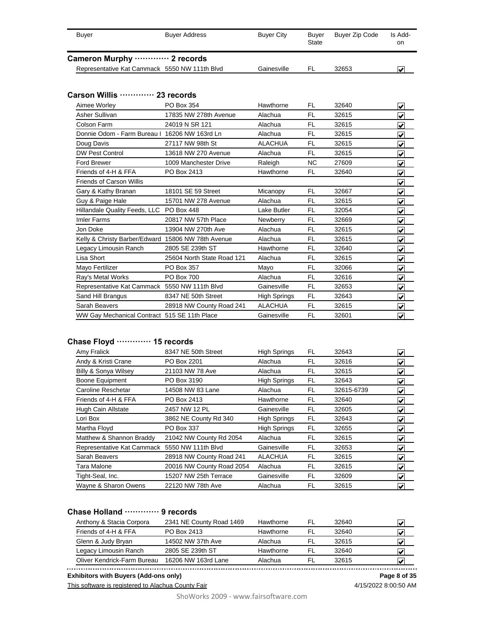| <b>Buyer</b>                                       | <b>Buyer Address</b>       | <b>Buyer City</b>   | <b>Buyer</b><br><b>State</b> | <b>Buyer Zip Code</b> | Is Add-<br>on                   |
|----------------------------------------------------|----------------------------|---------------------|------------------------------|-----------------------|---------------------------------|
| Cameron Murphy  2 records                          |                            |                     |                              |                       |                                 |
| Representative Kat Cammack 5550 NW 111th Blvd      |                            | Gainesville         | <b>FL</b>                    | 32653                 | ✔                               |
|                                                    |                            |                     |                              |                       |                                 |
| Carson Willis ………… 23 records                      |                            |                     |                              |                       |                                 |
| Aimee Worley                                       | PO Box 354                 | Hawthorne           | FL                           | 32640                 |                                 |
| Asher Sullivan                                     | 17835 NW 278th Avenue      | Alachua             | <b>FL</b>                    | 32615                 | $\overline{\blacktriangledown}$ |
| Colson Farm                                        | 24019 N SR 121             | Alachua             | FL                           | 32615                 | ⊽                               |
| Donnie Odom - Farm Bureau I 16206 NW 163rd Ln      |                            |                     |                              |                       | $\overline{\mathbf{v}}$         |
|                                                    |                            | Alachua             | <b>FL</b>                    | 32615                 | $\overline{\mathbf{v}}$         |
| Doug Davis                                         | 27117 NW 98th St           | <b>ALACHUA</b>      | <b>FL</b>                    | 32615                 | $\overline{\checkmark}$         |
| <b>DW Pest Control</b>                             | 13618 NW 270 Avenue        | Alachua             | <b>FL</b>                    | 32615                 | ⊽                               |
| <b>Ford Brewer</b>                                 | 1009 Manchester Drive      | Raleigh             | <b>NC</b>                    | 27609                 | $\overline{\mathbf{v}}$         |
| Friends of 4-H & FFA                               | PO Box 2413                | Hawthorne           | FL                           | 32640                 | $\overline{\mathbf{v}}$         |
| <b>Friends of Carson Willis</b>                    |                            |                     |                              |                       | $\overline{\mathbf{v}}$         |
| Gary & Kathy Branan                                | 18101 SE 59 Street         | Micanopy            | <b>FL</b>                    | 32667                 | $\overline{\mathbf{v}}$         |
| Guy & Paige Hale                                   | 15701 NW 278 Avenue        | Alachua             | <b>FL</b>                    | 32615                 | ⊽                               |
| Hillandale Quality Feeds, LLC PO Box 448           |                            | Lake Butler         | <b>FL</b>                    | 32054                 | $\overline{\mathbf{v}}$         |
| <b>Imler Farms</b>                                 | 20817 NW 57th Place        | Newberry            | <b>FL</b>                    | 32669                 | $\overline{\mathbf{v}}$         |
| Jon Doke                                           | 13904 NW 270th Ave         | Alachua             | <b>FL</b>                    | 32615                 | $\overline{\checkmark}$         |
| Kelly & Christy Barber/Edward 15806 NW 78th Avenue |                            | Alachua             | <b>FL</b>                    | 32615                 | $\overline{\mathbf{v}}$         |
| Legacy Limousin Ranch                              | 2805 SE 239th ST           | Hawthorne           | <b>FL</b>                    | 32640                 | ⊽                               |
| Lisa Short                                         | 25604 North State Road 121 | Alachua             | <b>FL</b>                    | 32615                 | ◀                               |
| Mayo Fertilizer                                    | PO Box 357                 | Mayo                | <b>FL</b>                    | 32066                 | $\overline{\checkmark}$         |
| Ray's Metal Works                                  | PO Box 700                 | Alachua             | <b>FL</b>                    | 32616                 | ◀                               |
| Representative Kat Cammack 5550 NW 111th Blvd      |                            | Gainesville         | <b>FL</b>                    | 32653                 | $\overline{\mathbf{v}}$         |
| Sand Hill Brangus                                  | 8347 NE 50th Street        | <b>High Springs</b> | <b>FL</b>                    | 32643                 | ⊽                               |
| Sarah Beavers                                      | 28918 NW County Road 241   | <b>ALACHUA</b>      | <b>FL</b>                    | 32615                 | V                               |
| WW Gay Mechanical Contract 515 SE 11th Place       |                            | Gainesville         | <b>FL</b>                    | 32601                 | ⊽                               |

### **Chase Floyd ············· 15 records**

| Amy Fralick                                   | 8347 NE 50th Street       | <b>High Springs</b> | FL  | 32643      | V                                |
|-----------------------------------------------|---------------------------|---------------------|-----|------------|----------------------------------|
| Andy & Kristi Crane                           | PO Box 2201               | Alachua             | FL  | 32616      | V                                |
| <b>Billy &amp; Sonya Wilsey</b>               | 21103 NW 78 Ave           | Alachua             | FL  | 32615      | V                                |
| Boone Equipment                               | PO Box 3190               | <b>High Springs</b> | FL  | 32643      | V                                |
| Caroline Reschetar                            | 14508 NW 83 Lane          | Alachua             | FL  | 32615-6739 | $\overline{\mathbf{v}}$          |
| Friends of 4-H & FFA                          | PO Box 2413               | Hawthorne           | FL  | 32640      | $\overline{\mathbf{v}}$          |
| Hugh Cain Allstate                            | 2457 NW 12 PL             | Gainesville         | FL. | 32605      | $\left  \mathbf{v} \right $      |
| Lori Box                                      | 3862 NE County Rd 340     | <b>High Springs</b> | FL. | 32643      | $\left  \mathbf{v} \right $      |
| Martha Floyd                                  | PO Box 337                | <b>High Springs</b> | FL. | 32655      | $\overline{\mathbf{v}}$          |
| Matthew & Shannon Braddy                      | 21042 NW County Rd 2054   | Alachua             | FL  | 32615      | $\left  \mathbf{v} \right $      |
| Representative Kat Cammack 5550 NW 111th Blvd |                           | Gainesville         | FL  | 32653      | $\left  \bm{\mathsf{v}} \right $ |
| Sarah Beavers                                 | 28918 NW County Road 241  | <b>ALACHUA</b>      | FL  | 32615      | $\left  \mathbf{v} \right $      |
| Tara Malone                                   | 20016 NW County Road 2054 | Alachua             | FL  | 32615      | $\left  \bm{\mathsf{v}} \right $ |
| Tight-Seal, Inc.                              | 15207 NW 25th Terrace     | Gainesville         | FL  | 32609      | $\left  \bm{\mathsf{v}} \right $ |
| Wayne & Sharon Owens                          | 22120 NW 78th Ave         | Alachua             | FL  | 32615      | $\vert \checkmark\vert$          |

### **Chase Holland ············· 9 records**

| Anthony & Stacia Corpora    | 2341 NE County Road 1469 | Hawthorne | -FL | 32640 | M |
|-----------------------------|--------------------------|-----------|-----|-------|---|
| Friends of 4-H & FFA        | PO Box 2413              | Hawthorne | FI  | 32640 | V |
| Glenn & Judy Bryan          | 14502 NW 37th Ave        | Alachua   |     | 32615 | V |
| Legacy Limousin Ranch       | 2805 SE 239th ST         | Hawthorne | FI  | 32640 | V |
| Oliver Kendrick-Farm Bureau | 16206 NW 163rd Lane      | Alachua   |     | 32615 |   |
|                             |                          |           |     |       |   |

Oliver Kendrick-Farm Bureau 16206 NW 163rd Lane Alachua FL 32615 **X Exhibitors with Buyers (Add-ons only) Page 8 of 35**

This software is registered to Alachua County Fair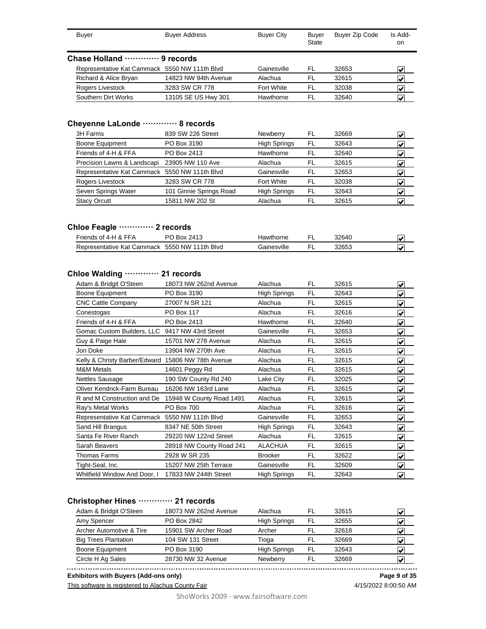| <b>Buver</b>                                  | <b>Buyer Address</b> | <b>Buyer City</b> | Buyer<br>State | <b>Buyer Zip Code</b> | Is Add-<br>on              |  |  |  |  |  |
|-----------------------------------------------|----------------------|-------------------|----------------|-----------------------|----------------------------|--|--|--|--|--|
| Chase Holland ………… 9 records                  |                      |                   |                |                       |                            |  |  |  |  |  |
| Representative Kat Cammack 5550 NW 111th Blvd |                      | Gainesville       | FL             | 32653                 | $\mathbf{v}^{\mathsf{r}}$  |  |  |  |  |  |
| Richard & Alice Bryan                         | 14823 NW 94th Avenue | Alachua           | FL             | 32615                 | $\overline{\mathbf{v}}$    |  |  |  |  |  |
| Rogers Livestock                              | 3283 SW CR 778       | Fort White        | FL             | 32038                 | $\boldsymbol{\mathcal{U}}$ |  |  |  |  |  |
| Southern Dirt Works                           | 13105 SE US Hwy 301  | Hawthorne         | FL             | 32640                 | $\overline{\mathbf{v}}$    |  |  |  |  |  |

# **Cheyenne LaLonde ············· 8 records**

| 839 SW 226 Street                             | Newberry            | FL. | 32669 |   |
|-----------------------------------------------|---------------------|-----|-------|---|
| PO Box 3190                                   | <b>High Springs</b> | FL  | 32643 |   |
| PO Box 2413                                   | Hawthorne           | FL  | 32640 |   |
| Precision Lawns & Landscapi 23905 NW 110 Ave  | Alachua             | FI. | 32615 |   |
| Representative Kat Cammack 5550 NW 111th Blvd | Gainesville         | FL  | 32653 | V |
| 3283 SW CR 778                                | Fort White          | FL. | 32038 |   |
| 101 Ginnie Springs Road                       | <b>High Springs</b> | FL  | 32643 |   |
| 15811 NW 202 St                               | Alachua             | FI. | 32615 |   |
|                                               |                     |     |       |   |

#### **Chloe Feagle ············· 2 records**

| Friends of 4-H & FFA       | Box 2413<br>DO.    | lawthorne          | 3264C |  |
|----------------------------|--------------------|--------------------|-------|--|
| Representative Kat Cammack | 5550 NW 111th Blvd | <b>Jainesville</b> | 32653 |  |

### **Chloe Walding ············· 21 records**

| 18073 NW 262nd Avenue                              | Alachua             | FL        | 32615 | V                       |
|----------------------------------------------------|---------------------|-----------|-------|-------------------------|
| PO Box 3190                                        | <b>High Springs</b> | FL        | 32643 | ⊽                       |
| 27007 N SR 121                                     | Alachua             | FL        | 32615 | ⊽                       |
| PO Box 117                                         | Alachua             | FL        | 32616 | $\overline{\mathbf{v}}$ |
| PO Box 2413                                        | Hawthorne           | FL        | 32640 | ⊽                       |
| Gomac Custom Builders, LLC 9417 NW 43rd Street     | Gainesville         | FL        | 32653 | ⊽                       |
| 15701 NW 278 Avenue                                | Alachua             | FL        | 32615 | V                       |
| 13904 NW 270th Ave                                 | Alachua             | FL        | 32615 | V                       |
| Kelly & Christy Barber/Edward 15806 NW 78th Avenue | Alachua             | FL        | 32615 | $\overline{\mathbf{v}}$ |
| 14601 Peggy Rd                                     | Alachua             | FL        | 32615 | ⊽                       |
| 190 SW County Rd 240                               | Lake City           | FL        | 32025 | V                       |
| 16206 NW 163rd Lane                                | Alachua             | FL        | 32615 | V                       |
| 15948 W County Road 1491                           | Alachua             | FL        | 32615 | V                       |
| PO Box 700                                         | Alachua             | <b>FL</b> | 32616 | ⊽                       |
| Representative Kat Cammack 5550 NW 111th Blvd      | Gainesville         | FL        | 32653 | V                       |
| 8347 NE 50th Street                                | <b>High Springs</b> | FL        | 32643 | V                       |
| 29220 NW 122nd Street                              | Alachua             | FL        | 32615 | V                       |
| 28918 NW County Road 241                           | <b>ALACHUA</b>      | FL        | 32615 | V                       |
| 2928 W SR 235                                      | <b>Brooker</b>      | FL        | 32622 | V                       |
| 15207 NW 25th Terrace                              | Gainesville         | FL        | 32609 | $\blacktriangledown$    |
| 17833 NW 244th Street                              | <b>High Springs</b> | FL        | 32643 | $\blacktriangledown$    |
|                                                    |                     |           |       |                         |

### **Christopher Hines ············· 21 records**

| Adam & Bridgit O'Steen      | 18073 NW 262nd Avenue | Alachua             | FL  | 32615 | M |
|-----------------------------|-----------------------|---------------------|-----|-------|---|
| Amy Spencer                 | PO Box 2842           | <b>High Springs</b> | FL  | 32655 |   |
| Archer Automotive & Tire    | 15901 SW Archer Road  | Archer              | FL  | 32618 | V |
| <b>Big Trees Plantation</b> | 104 SW 131 Street     | Tioga               | FL  | 32669 | V |
| <b>Boone Equipment</b>      | PO Box 3190           | <b>High Springs</b> | FL. | 32643 | V |
| Circle H Ag Sales           | 28730 NW 32 Avenue    | <b>Newberry</b>     | FL  | 32669 | M |

**Exhibitors with Buyers (Add-ons only) Page 9 of 35**

This software is registered to Alachua County Fair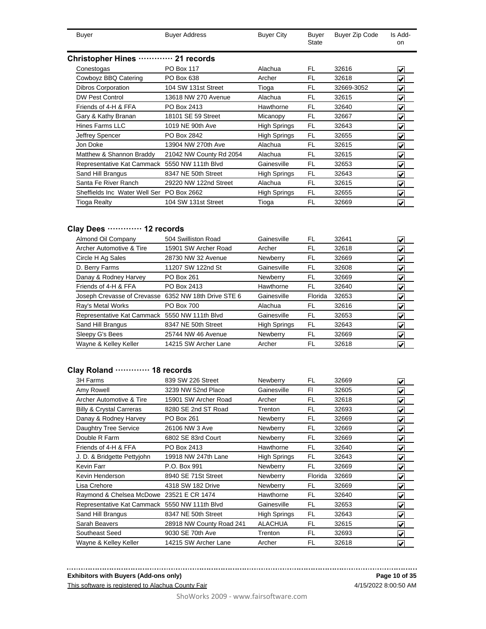| Buyer                                     | <b>Buyer Address</b>    | <b>Buyer City</b>   | Buyer<br>State | Buyer Zip Code | Is Add-<br><sub>on</sub> |
|-------------------------------------------|-------------------------|---------------------|----------------|----------------|--------------------------|
| <b>Christopher Hines</b>                  | $\cdots$ 21 records     |                     |                |                |                          |
| Conestogas                                | <b>PO Box 117</b>       | Alachua             | FL             | 32616          | V                        |
| Cowboyz BBQ Catering                      | PO Box 638              | Archer              | FL             | 32618          | V                        |
| <b>Dibros Corporation</b>                 | 104 SW 131st Street     | Tioga               | FL             | 32669-3052     | ⊽                        |
| <b>DW Pest Control</b>                    | 13618 NW 270 Avenue     | Alachua             | FL             | 32615          | V                        |
| Friends of 4-H & FFA                      | PO Box 2413             | Hawthorne           | FL             | 32640          | V                        |
| Gary & Kathy Branan                       | 18101 SE 59 Street      | Micanopy            | FL             | 32667          | V                        |
| Hines Farms LLC                           | 1019 NE 90th Ave        | <b>High Springs</b> | FL             | 32643          | V                        |
| Jeffrey Spencer                           | PO Box 2842             | <b>High Springs</b> | FL             | 32655          | V                        |
| Jon Doke                                  | 13904 NW 270th Ave      | Alachua             | FL             | 32615          | V                        |
| Matthew & Shannon Braddy                  | 21042 NW County Rd 2054 | Alachua             | FL             | 32615          | V                        |
| Representative Kat Cammack                | 5550 NW 111th Blvd      | Gainesville         | FL             | 32653          | V                        |
| Sand Hill Brangus                         | 8347 NE 50th Street     | High Springs        | FL             | 32643          | ⊽                        |
| Santa Fe River Ranch                      | 29220 NW 122nd Street   | Alachua             | FL             | 32615          | V                        |
| Sheffields Inc Water Well Ser PO Box 2662 |                         | <b>High Springs</b> | FL             | 32655          | V                        |
| Tioga Realty                              | 104 SW 131st Street     | Tioga               | FL             | 32669          | V                        |

# **Clay Dees ············· 12 records**

| Almond Oil Company                                   | 504 Swilliston Road  | Gainesville         | FL      | 32641 | ✓                                |
|------------------------------------------------------|----------------------|---------------------|---------|-------|----------------------------------|
| Archer Automotive & Tire                             | 15901 SW Archer Road | Archer              | FL      | 32618 | V                                |
| Circle H Ag Sales                                    | 28730 NW 32 Avenue   | Newberry            | FL      | 32669 | ✔                                |
| D. Berry Farms                                       | 11207 SW 122nd St    | Gainesville         | FL      | 32608 | V                                |
| Danay & Rodney Harvey                                | PO Box 261           | Newberry            | FL      | 32669 | ∣✔                               |
| Friends of 4-H & FFA                                 | PO Box 2413          | Hawthorne           | FL      | 32640 | $\left  \bm{\mathsf{v}} \right $ |
| Joseph Crevasse of Crevasse 6352 NW 18th Drive STE 6 |                      | Gainesville         | Florida | 32653 | $\left  \mathbf{v} \right $      |
| Ray's Metal Works                                    | PO Box 700           | Alachua             | FL      | 32616 | $\left  \bm{\mathsf{v}} \right $ |
| Representative Kat Cammack 5550 NW 111th Blvd        |                      | Gainesville         | FL      | 32653 | V                                |
| Sand Hill Brangus                                    | 8347 NE 50th Street  | <b>High Springs</b> | FL      | 32643 | $\blacktriangleright$            |
| Sleepy G's Bees                                      | 25744 NW 46 Avenue   | Newberry            | FL      | 32669 | V                                |
| Wayne & Kelley Keller                                | 14215 SW Archer Lane | Archer              | FL      | 32618 | V                                |

# **Clay Roland ············· 18 records**

| 3H Farms                                      | 839 SW 226 Street        | Newberry            | FL.     | 32669 | V                                   |
|-----------------------------------------------|--------------------------|---------------------|---------|-------|-------------------------------------|
| Amy Rowell                                    | 3239 NW 52nd Place       | Gainesville         | FI      | 32605 | V                                   |
| Archer Automotive & Tire                      | 15901 SW Archer Road     | Archer              | FL      | 32618 | V                                   |
| <b>Billy &amp; Crystal Carreras</b>           | 8280 SE 2nd ST Road      | Trenton             | FL      | 32693 | V                                   |
| Danay & Rodney Harvey                         | PO Box 261               | Newberry            | FL      | 32669 | V                                   |
| Daughtry Tree Service                         | 26106 NW 3 Ave           | Newberry            | FL      | 32669 | V                                   |
| Double R Farm                                 | 6802 SE 83rd Court       | Newberry            | FL      | 32669 | $\vert \checkmark\vert$             |
| Friends of 4-H & FFA                          | PO Box 2413              | Hawthorne           | FL      | 32640 | ▿                                   |
| J. D. & Bridgette Pettyjohn                   | 19918 NW 247th Lane      | <b>High Springs</b> | FL      | 32643 | V                                   |
| Kevin Farr                                    | P.O. Box 991             | Newberry            | FL      | 32669 | V                                   |
| Kevin Henderson                               | 8940 SE 71St Street      | Newberry            | Florida | 32669 | $\left  \bm{\mathsf{v}} \right $    |
| Lisa Crehore                                  | 4318 SW 182 Drive        | Newberry            | FL.     | 32669 | $\left  \mathbf{v} \right $         |
| Raymond & Chelsea McDowe 23521 E CR 1474      |                          | Hawthorne           | FL      | 32640 | $\blacktriangledown$                |
| Representative Kat Cammack 5550 NW 111th Blvd |                          | Gainesville         | FL      | 32653 | $\vert\boldsymbol{\mathsf{v}}\vert$ |
| Sand Hill Brangus                             | 8347 NE 50th Street      | <b>High Springs</b> | FL      | 32643 | $\left  \mathbf{v} \right $         |
| Sarah Beavers                                 | 28918 NW County Road 241 | <b>ALACHUA</b>      | FL      | 32615 | V                                   |
| Southeast Seed                                | 9030 SE 70th Ave         | Trenton             | FL      | 32693 | ✔                                   |
| Wayne & Kelley Keller                         | 14215 SW Archer Lane     | Archer              | FL      | 32618 | V                                   |

#### **Exhibitors with Buyers (Add-ons only)**

This software is registered to Alachua County Fair

4/15/2022 8:00:50 AM **Page 10 of 35**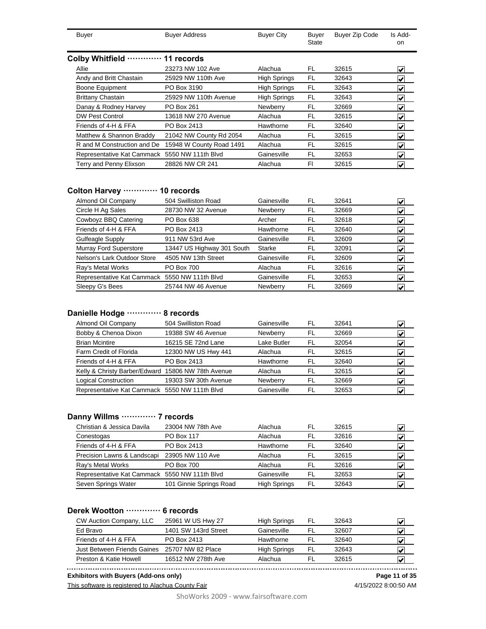| <b>Buyer</b>                | <b>Buyer Address</b>     | <b>Buyer City</b>   | Buyer<br>State | Buyer Zip Code | Is Add-<br>on.       |
|-----------------------------|--------------------------|---------------------|----------------|----------------|----------------------|
| Colby Whitfield             | 11<br>records            |                     |                |                |                      |
| Allie                       | 23273 NW 102 Ave         | Alachua             | FL             | 32615          | V                    |
| Andy and Britt Chastain     | 25929 NW 110th Ave       | <b>High Springs</b> | FL             | 32643          | V                    |
| Boone Equipment             | PO Box 3190              | <b>High Springs</b> | <b>FL</b>      | 32643          | V                    |
| <b>Brittany Chastain</b>    | 25929 NW 110th Avenue    | <b>High Springs</b> | <b>FL</b>      | 32643          | V                    |
| Danay & Rodney Harvey       | PO Box 261               | Newberry            | FL             | 32669          | V                    |
| <b>DW Pest Control</b>      | 13618 NW 270 Avenue      | Alachua             | FL             | 32615          | V                    |
| Friends of 4-H & FFA        | PO Box 2413              | Hawthorne           | FL             | 32640          | V                    |
| Matthew & Shannon Braddy    | 21042 NW County Rd 2054  | Alachua             | FL             | 32615          | V                    |
| R and M Construction and De | 15948 W County Road 1491 | Alachua             | FL             | 32615          | $\blacktriangledown$ |
| Representative Kat Cammack  | 5550 NW 111th Blvd       | Gainesville         | FL             | 32653          | V                    |
| Terry and Penny Elixson     | 28826 NW CR 241          | Alachua             | FI             | 32615          | V                    |

#### **Colton Harvey ············· 10 records**

| Almond Oil Company                            | 504 Swilliston Road        | Gainesville | FL | 32641 | V                                |
|-----------------------------------------------|----------------------------|-------------|----|-------|----------------------------------|
| Circle H Ag Sales                             | 28730 NW 32 Avenue         | Newberry    | FL | 32669 | V                                |
| Cowboyz BBQ Catering                          | PO Box 638                 | Archer      | FL | 32618 | V                                |
| Friends of 4-H & FFA                          | PO Box 2413                | Hawthorne   | FL | 32640 | $\left  \bm{\mathsf{v}} \right $ |
| Gulfeagle Supply                              | 911 NW 53rd Ave            | Gainesville | FL | 32609 | V                                |
| <b>Murray Ford Superstore</b>                 | 13447 US Highway 301 South | Starke      | FL | 32091 | V                                |
| Nelson's Lark Outdoor Store                   | 4505 NW 13th Street        | Gainesville | FL | 32609 | V                                |
| Ray's Metal Works                             | PO Box 700                 | Alachua     | FL | 32616 | M                                |
| Representative Kat Cammack 5550 NW 111th Blvd |                            | Gainesville | FL | 32653 | V                                |
| Sleepy G's Bees                               | 25744 NW 46 Avenue         | Newberry    | FL | 32669 | V                                |
|                                               |                            |             |    |       |                                  |

### **Danielle Hodge ············· 8 records**

| Almond Oil Company                                 | 504 Swilliston Road  | Gainesville | .FL | 32641 |  |
|----------------------------------------------------|----------------------|-------------|-----|-------|--|
| Bobby & Chenoa Dixon                               | 19388 SW 46 Avenue   | Newberry    | FI. | 32669 |  |
| <b>Brian Mcintire</b>                              | 16215 SE 72nd Lane   | Lake Butler | FL  | 32054 |  |
| Farm Credit of Florida                             | 12300 NW US Hwy 441  | Alachua     | FI. | 32615 |  |
| Friends of 4-H & FFA                               | PO Box 2413          | Hawthorne   | FL  | 32640 |  |
| Kelly & Christy Barber/Edward 15806 NW 78th Avenue |                      | Alachua     | FI. | 32615 |  |
| <b>Logical Construction</b>                        | 19303 SW 30th Avenue | Newberry    |     | 32669 |  |
| Representative Kat Cammack 5550 NW 111th Blvd      |                      | Gainesville | FL  | 32653 |  |

### **Danny Willms ············· 7 records**

| Christian & Jessica Davila                    | 23004 NW 78th Ave       | Alachua             | FI | 32615 | M |
|-----------------------------------------------|-------------------------|---------------------|----|-------|---|
| Conestogas                                    | <b>PO Box 117</b>       | Alachua             | FL | 32616 |   |
| Friends of 4-H & FFA                          | PO Box 2413             | Hawthorne           | FL | 32640 | V |
| Precision Lawns & Landscapi                   | 23905 NW 110 Ave        | Alachua             | FL | 32615 | V |
| Ray's Metal Works                             | <b>PO Box 700</b>       | Alachua             | FI | 32616 | V |
| Representative Kat Cammack 5550 NW 111th Blvd |                         | Gainesville         | FL | 32653 |   |
| Seven Springs Water                           | 101 Ginnie Springs Road | <b>High Springs</b> | FL | 32643 |   |

### **Derek Wootton ············· 6 records**

| CW Auction Company, LLC     | 25961 W US Hwy 27    | <b>High Springs</b> | FL | 32643 | v |
|-----------------------------|----------------------|---------------------|----|-------|---|
| Ed Bravo                    | 1401 SW 143rd Street | Gainesville         |    | 32607 | V |
| Friends of 4-H & FFA        | PO Box 2413          | Hawthorne           |    | 32640 | V |
| Just Between Friends Gaines | 25707 NW 82 Place    | <b>High Springs</b> | FL | 32643 | M |
| Preston & Katie Howell      | 16512 NW 278th Ave   | Alachua             |    | 32615 | V |
|                             |                      |                     |    |       |   |

**Exhibitors with Buyers (Add-ons only) Page 11 of 35**

This software is registered to Alachua County Fair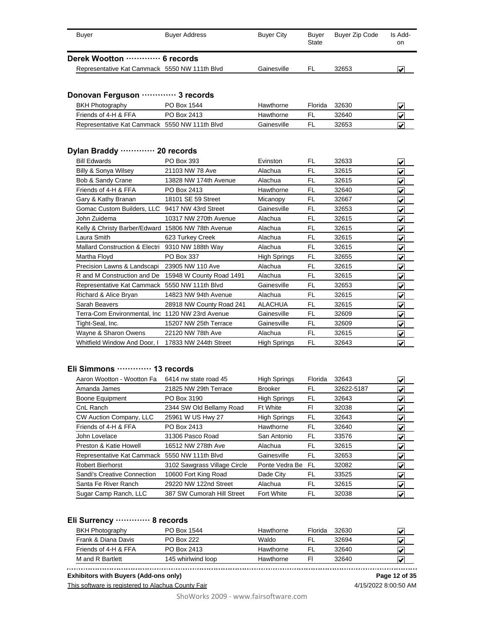| <b>Buyer</b>                                         | <b>Buyer Address</b>     | <b>Buyer City</b>   | <b>Buyer</b><br>State | <b>Buyer Zip Code</b> | Is Add-<br><b>on</b>    |
|------------------------------------------------------|--------------------------|---------------------|-----------------------|-----------------------|-------------------------|
| Derek Wootton  6 records                             |                          |                     |                       |                       |                         |
| Representative Kat Cammack 5550 NW 111th Blvd        |                          | Gainesville         | FL                    | 32653                 | V                       |
| Donovan Ferguson  3 records                          |                          |                     |                       |                       |                         |
| <b>BKH Photography</b>                               | PO Box 1544              | Hawthorne           | Florida               | 32630                 | V                       |
| Friends of 4-H & FFA                                 | PO Box 2413              | Hawthorne           | <b>FL</b>             | 32640                 | ✓                       |
| Representative Kat Cammack 5550 NW 111th Blvd        |                          | Gainesville         | <b>FL</b>             | 32653                 | V                       |
| Dylan Braddy  20 records                             |                          |                     |                       |                       |                         |
| <b>Bill Edwards</b>                                  | PO Box 393               | Evinston            | FL                    | 32633                 | V                       |
| Billy & Sonya Wilsey                                 | 21103 NW 78 Ave          | Alachua             | <b>FL</b>             | 32615                 | ⊽                       |
| Bob & Sandy Crane                                    | 13828 NW 174th Avenue    | Alachua             | FL                    | 32615                 | ⊽                       |
| Friends of 4-H & FFA                                 | PO Box 2413              | Hawthorne           | FL                    | 32640                 | ₹                       |
| Gary & Kathy Branan                                  | 18101 SE 59 Street       | Micanopy            | <b>FL</b>             | 32667                 | V                       |
| Gomac Custom Builders, LLC 9417 NW 43rd Street       |                          | Gainesville         | <b>FL</b>             | 32653                 | $\overline{\mathbf{v}}$ |
| John Zuidema                                         | 10317 NW 270th Avenue    | Alachua             | FL                    | 32615                 | √                       |
| Kelly & Christy Barber/Edward 15806 NW 78th Avenue   |                          | Alachua             | <b>FL</b>             | 32615                 | $\blacktriangledown$    |
| Laura Smith                                          | 623 Turkey Creek         | Alachua             | FL                    | 32615                 | $\overline{\mathbf{v}}$ |
| Mallard Construction & Electri                       | 9310 NW 188th Way        | Alachua             | FL                    | 32615                 | V                       |
| Martha Floyd                                         | PO Box 337               | <b>High Springs</b> | <b>FL</b>             | 32655                 | $\overline{\mathbf{v}}$ |
| Precision Lawns & Landscapi 23905 NW 110 Ave         |                          | Alachua             | <b>FL</b>             | 32615                 | ⊽                       |
| R and M Construction and De 15948 W County Road 1491 |                          | Alachua             | FL                    | 32615                 | ⊽                       |
| Representative Kat Cammack 5550 NW 111th Blvd        |                          | Gainesville         | <b>FL</b>             | 32653                 | ⊽                       |
| Richard & Alice Bryan                                | 14823 NW 94th Avenue     | Alachua             | <b>FL</b>             | 32615                 | ⊽                       |
| Sarah Beavers                                        | 28918 NW County Road 241 | <b>ALACHUA</b>      | <b>FL</b>             | 32615                 | ⊽                       |
| Terra-Com Environmental, Inc 1120 NW 23rd Avenue     |                          | Gainesville         | FL                    | 32609                 | $\overline{\mathbf{v}}$ |
| Tight-Seal, Inc.                                     | 15207 NW 25th Terrace    | Gainesville         | FL                    | 32609                 | V                       |
| Wayne & Sharon Owens                                 | 22120 NW 78th Ave        | Alachua             | <b>FL</b>             | 32615                 | V                       |
| Whitfield Window And Door, I                         | 17833 NW 244th Street    | <b>High Springs</b> | FL                    | 32643                 | $\overline{\mathbf{v}}$ |

#### **Eli Simmons ············· 13 records**

| Aaron Wootton - Wootton Fa                    | 6414 nw state road 45        | <b>High Springs</b> | Florida | 32643      | $\vert\boldsymbol{\mathsf{v}}\vert$ |
|-----------------------------------------------|------------------------------|---------------------|---------|------------|-------------------------------------|
| Amanda James                                  | 21825 NW 29th Terrace        | <b>Brooker</b>      | FL      | 32622-5187 | $\vert\bm{\mathsf{v}}\vert$         |
| <b>Boone Equipment</b>                        | PO Box 3190                  | <b>High Springs</b> | FL      | 32643      | $\left  \mathbf{v} \right $         |
| CnL Ranch                                     | 2344 SW Old Bellamy Road     | <b>Ft White</b>     | FI      | 32038      | $\left  \bm{\mathsf{v}} \right $    |
| CW Auction Company, LLC                       | 25961 W US Hwy 27            | <b>High Springs</b> | FL.     | 32643      | $\left  \bm{\mathsf{v}} \right $    |
| Friends of 4-H & FFA                          | PO Box 2413                  | Hawthorne           | FL.     | 32640      | $\blacktriangledown$                |
| John Lovelace                                 | 31306 Pasco Road             | San Antonio         | FL      | 33576      | $\left  \mathbf{v} \right $         |
| Preston & Katie Howell                        | 16512 NW 278th Ave           | Alachua             | FL      | 32615      | $\blacktriangledown$                |
| Representative Kat Cammack 5550 NW 111th Blvd |                              | Gainesville         | FL      | 32653      | $\vert\bm{\mathsf{v}}\vert$         |
| <b>Robert Bierhorst</b>                       | 3102 Sawgrass Village Circle | Ponte Vedra Be      | FL      | 32082      | $\left  \bm{\mathsf{v}} \right $    |
| Sandi's Creative Connection                   | 10600 Fort King Road         | Dade City           | FL.     | 33525      | $\vert\bm{\mathsf{v}}\vert$         |
| Santa Fe River Ranch                          | 29220 NW 122nd Street        | Alachua             | FL      | 32615      | $\left  \bm{\mathsf{v}} \right $    |
| Sugar Camp Ranch, LLC                         | 387 SW Cumorah Hill Street   | <b>Fort White</b>   | FL      | 32038      | $\left  \bm{\mathsf{v}} \right $    |

### **Eli Surrency ············· 8 records**

| PO Box 1544        | Hawthorne | Florida | 32630 |   |
|--------------------|-----------|---------|-------|---|
| <b>PO Box 222</b>  | Waldo     | .FL     | 32694 | V |
| PO Box 2413        | Hawthorne | FL.     | 32640 | ₩ |
| 145 whirlwind loop | Hawthorne | F       | 32640 | ₩ |
|                    |           |         |       |   |

M and R Bartlett 145 whirlwind loop Hawthorne Fl 32640 **X Exhibitors with Buyers (Add-ons only) Page 12 of 35**

This software is registered to Alachua County Fair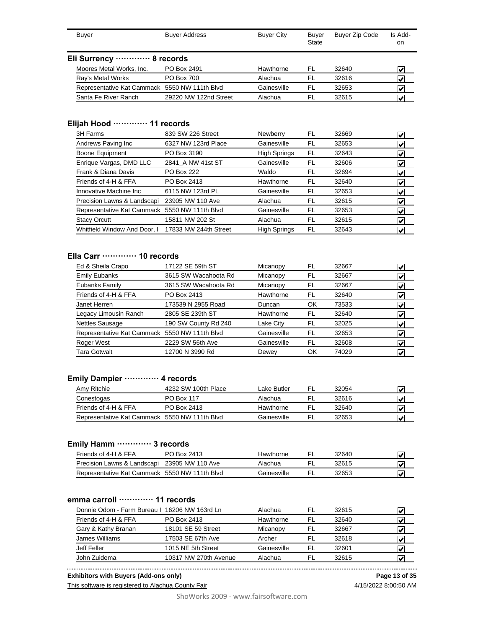| Buyer                    | <b>Buyer Address</b>  | <b>Buyer City</b>                                                                     | <b>Buyer</b><br>State | <b>Buyer Zip Code</b> | Is Add-<br>on           |
|--------------------------|-----------------------|---------------------------------------------------------------------------------------|-----------------------|-----------------------|-------------------------|
|                          |                       |                                                                                       |                       |                       |                         |
| Moores Metal Works, Inc. | PO Box 2491           | Hawthorne                                                                             | FL                    | 32640                 | V                       |
| Ray's Metal Works        | <b>PO Box 700</b>     | Alachua                                                                               | FL                    | 32616                 | $\overline{\mathbf{v}}$ |
|                          |                       | Gainesville                                                                           | FL                    | 32653                 | V                       |
| Santa Fe River Ranch     | 29220 NW 122nd Street | Alachua                                                                               | FL                    | 32615                 | Ñ                       |
|                          |                       | Eli Surrency ············· 8 records<br>Representative Kat Cammack 5550 NW 111th Blvd |                       |                       |                         |

# **Elijah Hood ············· 11 records**

| 3H Farms                                      | 839 SW 226 Street     | Newberry            | FL | 32669 | M                                |
|-----------------------------------------------|-----------------------|---------------------|----|-------|----------------------------------|
| Andrews Paving Inc                            | 6327 NW 123rd Place   | Gainesville         | FL | 32653 | V                                |
| Boone Equipment                               | PO Box 3190           | <b>High Springs</b> | FL | 32643 | V                                |
| Enrique Vargas, DMD LLC                       | 2841 A NW 41st ST     | Gainesville         | FL | 32606 | M                                |
| Frank & Diana Davis                           | <b>PO Box 222</b>     | Waldo               | FL | 32694 | V                                |
| Friends of 4-H & FFA                          | PO Box 2413           | Hawthorne           | FL | 32640 | $\left  \bm{\mathsf{v}} \right $ |
| Innovative Machine Inc.                       | 6115 NW 123rd PL      | Gainesville         | FL | 32653 | M                                |
| Precision Lawns & Landscapi                   | 23905 NW 110 Ave      | Alachua             | FL | 32615 | V                                |
| Representative Kat Cammack 5550 NW 111th Blvd |                       | Gainesville         | FL | 32653 | $\left  \bm{\mathsf{v}} \right $ |
| <b>Stacy Orcutt</b>                           | 15811 NW 202 St       | Alachua             | FL | 32615 | $\left  \mathbf{v} \right $      |
| Whitfield Window And Door, I                  | 17833 NW 244th Street | <b>High Springs</b> | FL | 32643 | V                                |

### **Ella Carr ············· 10 records**

| Ed & Sheila Crapo                             | 17122 SE 59th ST     | Micanopy    | FL | 32667 | M |
|-----------------------------------------------|----------------------|-------------|----|-------|---|
| <b>Emily Eubanks</b>                          | 3615 SW Wacahoota Rd | Micanopy    | FL | 32667 | V |
| Eubanks Family                                | 3615 SW Wacahoota Rd | Micanopy    | FL | 32667 | V |
| Friends of 4-H & FFA                          | PO Box 2413          | Hawthorne   | FL | 32640 | V |
| Janet Herren                                  | 173539 N 2955 Road   | Duncan      | OK | 73533 | M |
| Legacy Limousin Ranch                         | 2805 SE 239th ST     | Hawthorne   | FL | 32640 | V |
| <b>Nettles Sausage</b>                        | 190 SW County Rd 240 | Lake City   | FL | 32025 | V |
| Representative Kat Cammack 5550 NW 111th Blvd |                      | Gainesville | FL | 32653 | V |
| Roger West                                    | 2229 SW 56th Ave     | Gainesville | FL | 32608 | M |
| Tara Gotwalt                                  | 12700 N 3990 Rd      | Dewey       | OK | 74029 | V |

#### **Emily Dampier ············· 4 records**

| Amy Ritchie                                   | 4232 SW 100th Place | Lake Butler | FI  | 32054 |   |
|-----------------------------------------------|---------------------|-------------|-----|-------|---|
| Conestogas                                    | PO Box 117          | Alachua     | EL. | 32616 |   |
| Friends of 4-H & FFA                          | PO Box 2413         | Hawthorne   | FI. | 32640 |   |
| Representative Kat Cammack 5550 NW 111th Blvd |                     | Gainesville | FI  | 32653 | V |

### **Emily Hamm ············· 3 records**

| Friends of 4-H & FFA                          | PO Box 2413 | Hawthorne   | 32640 |  |
|-----------------------------------------------|-------------|-------------|-------|--|
| Precision Lawns & Landscapi 23905 NW 110 Ave  |             | Alachua     | 32615 |  |
| Representative Kat Cammack 5550 NW 111th Blvd |             | Gainesville | 32653 |  |

#### **emma carroll ············· 11 records**

| Donnie Odom - Farm Bureau I 16206 NW 163rd Ln |                       | Alachua     | FL  | 32615 | $\overline{\mathbf{v}}$ |
|-----------------------------------------------|-----------------------|-------------|-----|-------|-------------------------|
| Friends of 4-H & FFA                          | PO Box 2413           | Hawthorne   | FL  | 32640 | M                       |
| Gary & Kathy Branan                           | 18101 SE 59 Street    | Micanopy    | .FL | 32667 | V                       |
| James Williams                                | 17503 SE 67th Ave     | Archer      | FL  | 32618 | V                       |
| Jeff Feller                                   | 1015 NE 5th Street    | Gainesville | FI. | 32601 |                         |
| John Zuidema                                  | 10317 NW 270th Avenue | Alachua     | FL  | 32615 |                         |

**Exhibitors with Buyers (Add-ons only)**

This software is registered to Alachua County Fair

**Page 13 of 35**

ShoWorks 2009 - www.fairsoftware.com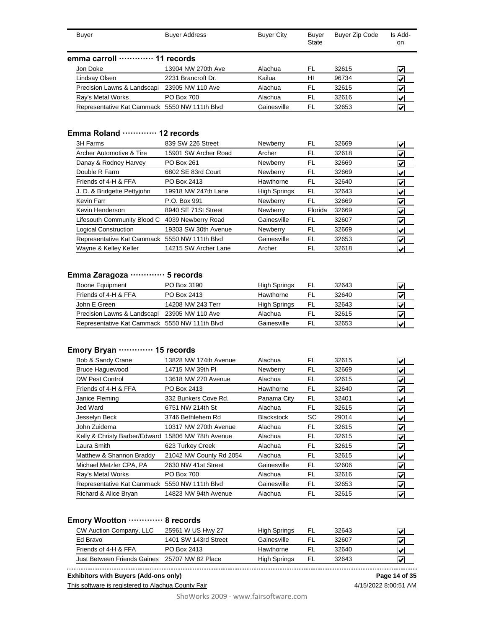| Buyer                                         | <b>Buyer Address</b> | <b>Buyer City</b> | Buyer<br><b>State</b> | <b>Buyer Zip Code</b> | Is Add-<br>on.          |
|-----------------------------------------------|----------------------|-------------------|-----------------------|-----------------------|-------------------------|
| emma carroll  11 records                      |                      |                   |                       |                       |                         |
| Jon Doke                                      | 13904 NW 270th Ave   | Alachua           | FL                    | 32615                 | $\overline{\mathbf{v}}$ |
| Lindsay Olsen                                 | 2231 Brancroft Dr.   | Kailua            | HI                    | 96734                 | V                       |
| Precision Lawns & Landscapi                   | 23905 NW 110 Ave     | Alachua           | FL                    | 32615                 | V                       |
| Ray's Metal Works                             | <b>PO Box 700</b>    | Alachua           | FL                    | 32616                 | V                       |
| Representative Kat Cammack 5550 NW 111th Blvd |                      | Gainesville       | FL                    | 32653                 | v                       |

### **Emma Roland ············· 12 records**

| 839 SW 226 Street                             | Newberry            | FL      | 32669 | V                                |
|-----------------------------------------------|---------------------|---------|-------|----------------------------------|
| 15901 SW Archer Road                          | Archer              | FL      | 32618 | V                                |
| PO Box 261                                    | Newberry            | FL      | 32669 | V                                |
| 6802 SE 83rd Court                            | Newberry            | FL      | 32669 | V                                |
| PO Box 2413                                   | Hawthorne           | FL      | 32640 | V                                |
| 19918 NW 247th Lane                           | <b>High Springs</b> | FL      | 32643 | V                                |
| P.O. Box 991                                  | Newberry            | FL      | 32669 | V                                |
| 8940 SE 71St Street                           | Newberry            | Florida | 32669 | V                                |
| 4039 Newberry Road                            | Gainesville         | FL      | 32607 | $\left  \bm{\mathsf{v}} \right $ |
| 19303 SW 30th Avenue                          | Newberry            | FL      | 32669 | V                                |
| Representative Kat Cammack 5550 NW 111th Blvd | Gainesville         | FL      | 32653 | V                                |
| 14215 SW Archer Lane                          | Archer              | FL      | 32618 | V                                |
|                                               |                     |         |       |                                  |

#### **Emma Zaragoza ············· 5 records**

| Boone Equipment                               | PO Box 3190       | <b>High Springs</b> | FL. | 32643 |   |
|-----------------------------------------------|-------------------|---------------------|-----|-------|---|
| Friends of 4-H & FFA                          | PO Box 2413       | Hawthorne           | FI. | 32640 |   |
| John E Green                                  | 14208 NW 243 Terr | <b>High Springs</b> | FL  | 32643 |   |
| Precision Lawns & Landscapi                   | 23905 NW 110 Ave  | Alachua             | FI. | 32615 |   |
| Representative Kat Cammack 5550 NW 111th Blvd |                   | Gainesville         | FI. | 32653 | w |

# **Emory Bryan ············· 15 records**

| Bob & Sandy Crane                                  | 13828 NW 174th Avenue   | Alachua           | FL  | 32615 | $\left  \bm{\mathsf{v}} \right $         |
|----------------------------------------------------|-------------------------|-------------------|-----|-------|------------------------------------------|
| <b>Bruce Haguewood</b>                             | 14715 NW 39th PI        | Newberry          | FL  | 32669 | $\left  \mathbf{v} \right $              |
| DW Pest Control                                    | 13618 NW 270 Avenue     | Alachua           | FL  | 32615 | $\left  \mathbf{v} \right $              |
| Friends of 4-H & FFA                               | PO Box 2413             | Hawthorne         | FL  | 32640 | $\left  \mathbf{v} \right $              |
| Janice Fleming                                     | 332 Bunkers Cove Rd.    | Panama City       | FL  | 32401 | V                                        |
| Jed Ward                                           | 6751 NW 214th St        | Alachua           | FL  | 32615 | $\left  \mathbf{v} \right $              |
| Jesselyn Beck                                      | 3746 Bethlehem Rd       | <b>Blackstock</b> | SC. | 29014 | V                                        |
| John Zuidema                                       | 10317 NW 270th Avenue   | Alachua           | FL  | 32615 | $\vert\bm{\mathsf{v}}\vert$              |
| Kelly & Christy Barber/Edward 15806 NW 78th Avenue |                         | Alachua           | FL  | 32615 | $\left  \mathbf{v} \right $              |
| Laura Smith                                        | 623 Turkey Creek        | Alachua           | FL  | 32615 | $\left  \mathbf{v} \right $              |
| Matthew & Shannon Braddy                           | 21042 NW County Rd 2054 | Alachua           | FL  | 32615 | $\left  \boldsymbol{\mathsf{v}} \right $ |
| Michael Metzler CPA, PA                            | 2630 NW 41st Street     | Gainesville       | FL  | 32606 | $\left  \mathbf{v} \right $              |
| Ray's Metal Works                                  | <b>PO Box 700</b>       | Alachua           | FL  | 32616 | $\left  \boldsymbol{\mathsf{v}} \right $ |
| Representative Kat Cammack 5550 NW 111th Blvd      |                         | Gainesville       | FL  | 32653 | M                                        |
| Richard & Alice Bryan                              | 14823 NW 94th Avenue    | Alachua           | FL  | 32615 | V                                        |

#### **Emory Wootton ············· 8 records**

| CW Auction Company, LLC     | 25961 W US Hwy 27    | High Springs        | FL | 32643 | ₩ |
|-----------------------------|----------------------|---------------------|----|-------|---|
| Ed Bravo                    | 1401 SW 143rd Street | Gainesville         | FI | 32607 | V |
| Friends of 4-H & FFA        | PO Box 2413          | Hawthorne           |    | 32640 | ₩ |
| Just Between Friends Gaines | 25707 NW 82 Place    | <b>High Springs</b> | FL | 32643 | ₩ |
|                             |                      |                     |    |       |   |

**Exhibitors with Buyers (Add-ons only) Page 14 of 35**

This software is registered to Alachua County Fair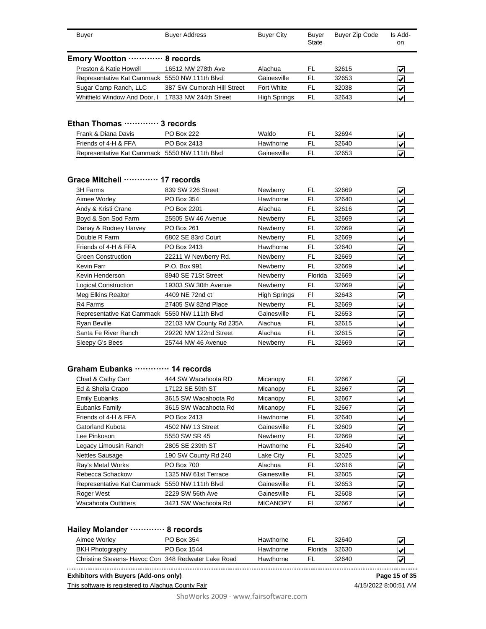| <b>Buyer</b>                                  | <b>Buyer Address</b>       | <b>Buyer City</b>   | <b>Buyer</b><br>State | <b>Buyer Zip Code</b> | Is Add-<br>on.                      |
|-----------------------------------------------|----------------------------|---------------------|-----------------------|-----------------------|-------------------------------------|
| Emory Wootton ··                              | 8 records                  |                     |                       |                       |                                     |
| Preston & Katie Howell                        | 16512 NW 278th Ave         | Alachua             | FL                    | 32615                 | V                                   |
| Representative Kat Cammack                    | 5550 NW 111th Blvd         | Gainesville         | FL                    | 32653                 | V                                   |
| Sugar Camp Ranch, LLC                         | 387 SW Cumorah Hill Street | Fort White          | FL                    | 32038                 | $\vert\boldsymbol{\mathsf{v}}\vert$ |
| Whitfield Window And Door, I                  | 17833 NW 244th Street      | <b>High Springs</b> | FL                    | 32643                 | V                                   |
| Ethan Thomas ………… 3 records                   |                            |                     |                       |                       |                                     |
| Frank & Diana Davis                           | <b>PO Box 222</b>          | Waldo               | FL                    | 32694                 | $\vert\boldsymbol{v}\vert$          |
| Friends of 4-H & FFA                          | PO Box 2413                | Hawthorne           | FL                    | 32640                 | $\vert\boldsymbol{v}\vert$          |
| Representative Kat Cammack 5550 NW 111th Blvd |                            | Gainesville         | FL                    | 32653                 | V                                   |

#### **Grace Mitchell ············· 17 records**

Representative Kat Cammack 5550 NW 111th Blvd

| 3H Farms                    | 839 SW 226 Street       | Newberry            | FL      | 32669 | V                                |
|-----------------------------|-------------------------|---------------------|---------|-------|----------------------------------|
| Aimee Worley                | PO Box 354              | Hawthorne           | FL      | 32640 | V                                |
| Andy & Kristi Crane         | PO Box 2201             | Alachua             | FL      | 32616 | V                                |
| Boyd & Son Sod Farm         | 25505 SW 46 Avenue      | Newberry            | FL      | 32669 | V                                |
| Danay & Rodney Harvey       | PO Box 261              | Newberry            | FL      | 32669 | V                                |
| Double R Farm               | 6802 SE 83rd Court      | Newberry            | FL      | 32669 | $\blacktriangledown$             |
| Friends of 4-H & FFA        | PO Box 2413             | Hawthorne           | FL      | 32640 | V                                |
| <b>Green Construction</b>   | 22211 W Newberry Rd.    | Newberry            | FL      | 32669 | V                                |
| Kevin Farr                  | P.O. Box 991            | Newberry            | FL      | 32669 | V                                |
| Kevin Henderson             | 8940 SE 71St Street     | Newberry            | Florida | 32669 | $\vert\bm{\mathsf{v}}\vert$      |
| <b>Logical Construction</b> | 19303 SW 30th Avenue    | Newberry            | FL      | 32669 | $\left  \bm{\mathsf{v}} \right $ |
| Meg Elkins Realtor          | 4409 NE 72nd ct         | <b>High Springs</b> | F1      | 32643 | $\overline{\mathbf{v}}$          |
| R4 Farms                    | 27405 SW 82nd Place     | Newberry            | FL      | 32669 | V                                |
| Representative Kat Cammack  | 5550 NW 111th Blvd      | Gainesville         | FL      | 32653 | V                                |
| Ryan Beville                | 22103 NW County Rd 235A | Alachua             | FL      | 32615 | $\left  \mathbf{v} \right $      |
| Santa Fe River Ranch        | 29220 NW 122nd Street   | Alachua             | FL      | 32615 | V                                |
| Sleepy G's Bees             | 25744 NW 46 Avenue      | Newberry            | FL      | 32669 | $\overline{\mathbf{v}}$          |

#### **Graham Eubanks ············· 14 records**

| Chad & Cathy Carr                             | 444 SW Wacahoota RD  | Micanopy        | FL  | 32667 | V                           |
|-----------------------------------------------|----------------------|-----------------|-----|-------|-----------------------------|
| Ed & Sheila Crapo                             | 17122 SE 59th ST     | Micanopy        | FL  | 32667 | $\left  \mathbf{v} \right $ |
| <b>Emily Eubanks</b>                          | 3615 SW Wacahoota Rd | Micanopy        | FL  | 32667 | V                           |
| Eubanks Family                                | 3615 SW Wacahoota Rd | Micanopy        | FL  | 32667 | $\vert \checkmark$          |
| Friends of 4-H & FFA                          | PO Box 2413          | Hawthorne       | FL  | 32640 | $\left  \mathbf{v} \right $ |
| Gatorland Kubota                              | 4502 NW 13 Street    | Gainesville     | FL  | 32609 | V                           |
| Lee Pinkoson                                  | 5550 SW SR 45        | Newberry        | FL  | 32669 | V                           |
| Legacy Limousin Ranch                         | 2805 SE 239th ST     | Hawthorne       | FL  | 32640 | $\left  \mathbf{v} \right $ |
| <b>Nettles Sausage</b>                        | 190 SW County Rd 240 | Lake City       | FL  | 32025 | V                           |
| Ray's Metal Works                             | <b>PO Box 700</b>    | Alachua         | FL  | 32616 | $\blacktriangledown$        |
| Rebecca Schackow                              | 1325 NW 61st Terrace | Gainesville     | FL. | 32605 | $\left  \mathbf{v} \right $ |
| Representative Kat Cammack 5550 NW 111th Blvd |                      | Gainesville     | FL. | 32653 | $\left  \mathbf{v} \right $ |
| Roger West                                    | 2229 SW 56th Ave     | Gainesville     | FL. | 32608 | $\left  \mathbf{v} \right $ |
| <b>Wacahoota Outfitters</b>                   | 3421 SW Wachoota Rd  | <b>MICANOPY</b> | FI  | 32667 | V                           |

# **Hailey Molander ············· 8 records**

| Aimee Worlev                                        | PO Box 354  | Hawthorne |         | 32640 |   |
|-----------------------------------------------------|-------------|-----------|---------|-------|---|
| <b>BKH Photography</b>                              | PO Box 1544 | Hawthorne | Florida | 32630 | w |
| Christine Stevens- Havoc Con 348 Redwater Lake Road |             | Hawthorne |         | 32640 |   |

**Exhibitors with Buyers (Add-ons only) Page 15 of 35**

This software is registered to Alachua County Fair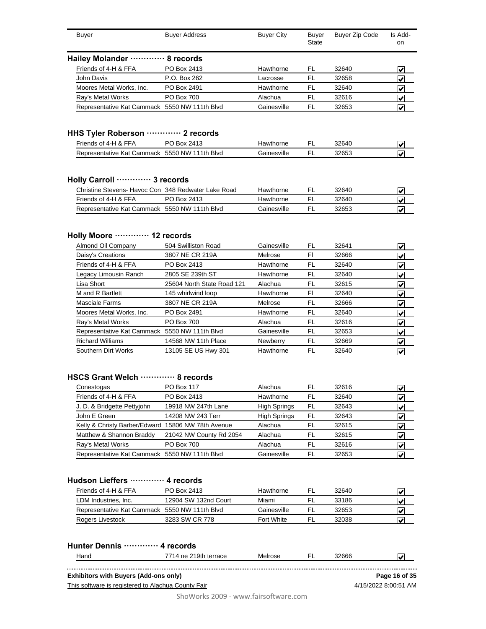| <b>Buyer</b>                                                                                                | <b>Buyer Address</b>       | <b>Buyer City</b>      | <b>Buyer</b><br><b>State</b> | <b>Buyer Zip Code</b> | Is Add-<br>on                   |
|-------------------------------------------------------------------------------------------------------------|----------------------------|------------------------|------------------------------|-----------------------|---------------------------------|
| Hailey Molander  8 records                                                                                  |                            |                        |                              |                       |                                 |
| Friends of 4-H & FFA                                                                                        | PO Box 2413                | Hawthorne              | <b>FL</b>                    | 32640                 | V                               |
| John Davis                                                                                                  | P.O. Box 262               | Lacrosse               | <b>FL</b>                    | 32658                 | ✔                               |
| Moores Metal Works, Inc.                                                                                    | PO Box 2491                | Hawthorne              | <b>FL</b>                    | 32640                 | ⊽                               |
| Ray's Metal Works                                                                                           | <b>PO Box 700</b>          | Alachua                | FL                           | 32616                 | V                               |
| Representative Kat Cammack 5550 NW 111th Blvd                                                               |                            | Gainesville            | <b>FL</b>                    | 32653                 | $\overline{\mathcal{V}}$        |
| HHS Tyler Roberson  2 records                                                                               |                            |                        |                              |                       |                                 |
| Friends of 4-H & FFA                                                                                        | PO Box 2413                | Hawthorne              | FL                           | 32640                 | V                               |
| Representative Kat Cammack 5550 NW 111th Blvd                                                               |                            | Gainesville            | <b>FL</b>                    | 32653                 |                                 |
| Holly Carroll ………… 3 records<br>Christine Stevens- Havoc Con 348 Redwater Lake Road<br>Friends of 4-H & FFA | PO Box 2413                | Hawthorne<br>Hawthorne | <b>FL</b><br><b>FL</b>       | 32640<br>32640        | V<br>⊽                          |
| Representative Kat Cammack 5550 NW 111th Blvd                                                               |                            | Gainesville            | FL                           | 32653                 | ✓                               |
| Holly Moore  12 records                                                                                     |                            |                        |                              |                       |                                 |
| Almond Oil Company                                                                                          | 504 Swilliston Road        | Gainesville            | FL                           | 32641                 | ✔                               |
| Daisy's Creations                                                                                           | 3807 NE CR 219A            | Melrose                | F1                           | 32666                 | V                               |
| Friends of 4-H & FFA                                                                                        | PO Box 2413                | Hawthorne              | <b>FL</b>                    | 32640                 | ✓                               |
| Legacy Limousin Ranch                                                                                       | 2805 SE 239th ST           | Hawthorne              | <b>FL</b>                    | 32640                 | $\overline{\blacktriangledown}$ |
| Lisa Short                                                                                                  | 25604 North State Road 121 | Alachua                | <b>FL</b>                    | 32615                 | $\overline{\mathbf{v}}$         |
| M and R Bartlett                                                                                            | 145 whirlwind loop         | Hawthorne              | F1                           | 32640                 | ⊽                               |
| <b>Masciale Farms</b>                                                                                       | 3807 NE CR 219A            | Melrose                | <b>FL</b>                    | 32666                 | V                               |
| Moores Metal Works, Inc.                                                                                    | PO Box 2491                | Hawthorne              | <b>FL</b>                    | 32640                 | $\overline{\mathbf{v}}$         |
| $\sim$ d = $\sim$ 0.4 = 0.5 $\sim$ 0.5 0.4 = $\sim$ 0.5 $\sim$                                              | <b>DO DU 700</b>           | $A + 1 = 1$            | m,                           | 00010                 |                                 |

| Ray's Metal Works                             | <b>PO Box 700</b>   | Alachua         | 32616 | $\blacktriangledown$    |
|-----------------------------------------------|---------------------|-----------------|-------|-------------------------|
| Representative Kat Cammack 5550 NW 111th Blvd |                     | Gainesville     | 32653 | $\overline{\mathbf{v}}$ |
| <b>Richard Williams</b>                       | 14568 NW 11th Place | <b>Newberry</b> | 32669 | $\overline{\mathbf{v}}$ |
| Southern Dirt Works                           | 13105 SE US Hwy 301 | Hawthorne       | 32640 | $\overline{\mathbf{v}}$ |
|                                               |                     |                 |       |                         |

# **HSCS Grant Welch ············· 8 records**

| V |
|---|
| V |
| V |
| V |
| V |
| V |
| V |
|   |
|   |

### **Hudson Lieffers ············· 4 records**

| Friends of 4-H & FFA                          | PO Box 2413          | Hawthorne   | FL. | 32640 |  |
|-----------------------------------------------|----------------------|-------------|-----|-------|--|
| LDM Industries, Inc.                          | 12904 SW 132nd Court | Miami       |     | 33186 |  |
| Representative Kat Cammack 5550 NW 111th Blvd |                      | Gainesville | FL  | 32653 |  |
| Rogers Livestock                              | 3283 SW CR 778       | Fort White  | FL  | 32038 |  |

|                                              | Hunter Dennis ………… 4 records                       |         |       |                      |
|----------------------------------------------|----------------------------------------------------|---------|-------|----------------------|
| Hand                                         | 7714 ne 219th terrace                              | Melrose | 32666 |                      |
| <b>Exhibitors with Buyers (Add-ons only)</b> |                                                    |         |       | Page 16 of 35        |
|                                              | This software is registered to Alachua County Fair |         |       | 4/15/2022 8:00:51 AM |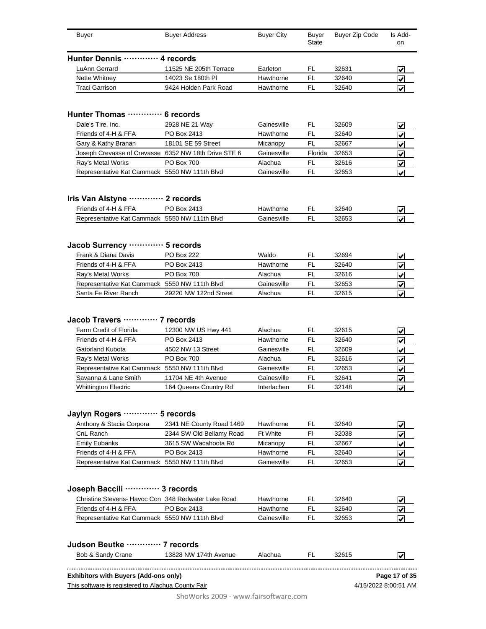| Buyer                        | <b>Buyer Address</b>   | <b>Buyer City</b> | Buyer<br>State | Buyer Zip Code | Is Add-<br>on           |
|------------------------------|------------------------|-------------------|----------------|----------------|-------------------------|
| Hunter Dennis ………… 4 records |                        |                   |                |                |                         |
| LuAnn Gerrard                | 11525 NE 205th Terrace | Earleton          | FI.            | 32631          | $\overline{\mathbf{v}}$ |
| Nette Whitney                | 14023 Se 180th PI      | Hawthorne         | FL             | 32640          | $\overline{\mathbf{v}}$ |
| Traci Garrison               | 9424 Holden Park Road  | Hawthorne         | FL             | 32640          | $\overline{\mathbf{v}}$ |
|                              |                        |                   |                |                |                         |

#### **Hunter Thomas ············· 6 records**

| Dale's Tire, Inc.                                    | 2928 NE 21 Way     | Gainesville | FI.     | 32609 | lw |
|------------------------------------------------------|--------------------|-------------|---------|-------|----|
| Friends of 4-H & FFA                                 | PO Box 2413        | Hawthorne   | FI.     | 32640 | M  |
| Gary & Kathy Branan                                  | 18101 SE 59 Street | Micanopy    | FI      | 32667 | M  |
| Joseph Crevasse of Crevasse 6352 NW 18th Drive STE 6 |                    | Gainesville | Florida | 32653 | M  |
| Ray's Metal Works                                    | <b>PO Box 700</b>  | Alachua     | FI      | 32616 | M  |
| Representative Kat Cammack 5550 NW 111th Blvd        |                    | Gainesville | FI      | 32653 |    |

### **Iris Van Alstyne ············· 2 records**

| Friends of 4-H & FFA                          | Box 2413 | ⊣awthorne   | ы | 32640 | ممعا                     |
|-----------------------------------------------|----------|-------------|---|-------|--------------------------|
| Representative Kat Cammack 5550 NW 111th Blvd |          | 3ainesville |   | 32653 | $\overline{\mathcal{L}}$ |

# **Jacob Surrency ············· 5 records**

| Frank & Diana Davis                           | PO Box 222            | Waldo       | FL  | 32694 |  |
|-----------------------------------------------|-----------------------|-------------|-----|-------|--|
| Friends of 4-H & FFA                          | PO Box 2413           | Hawthorne   | EL. | 32640 |  |
| Ray's Metal Works                             | <b>PO Box 700</b>     | Alachua     |     | 32616 |  |
| Representative Kat Cammack 5550 NW 111th Blvd |                       | Gainesville | FL. | 32653 |  |
| Santa Fe River Ranch                          | 29220 NW 122nd Street | Alachua     |     | 32615 |  |

#### **Jacob Travers ············· 7 records**

| Farm Credit of Florida                        | 12300 NW US Hwy 441   | Alachua     | FL  | 32615 |   |
|-----------------------------------------------|-----------------------|-------------|-----|-------|---|
| Friends of 4-H & FFA                          | PO Box 2413           | Hawthorne   | FL  | 32640 | V |
| <b>Gatorland Kubota</b>                       | 4502 NW 13 Street     | Gainesville | FI. | 32609 |   |
| Ray's Metal Works                             | <b>PO Box 700</b>     | Alachua     | FL  | 32616 | V |
| Representative Kat Cammack 5550 NW 111th Blvd |                       | Gainesville | FL  | 32653 | M |
| Savanna & Lane Smith                          | 11704 NE 4th Avenue   | Gainesville | FL. | 32641 |   |
| <b>Whittington Electric</b>                   | 164 Queens Country Rd | Interlachen | FI. | 32148 |   |
|                                               |                       |             |     |       |   |

### **Jaylyn Rogers ············· 5 records**

| Anthony & Stacia Corpora                      | 2341 NE County Road 1469 | Hawthorne       | FL. | 32640 |   |
|-----------------------------------------------|--------------------------|-----------------|-----|-------|---|
| CnL Ranch                                     | 2344 SW Old Bellamy Road | <b>Ft White</b> | Fl  | 32038 |   |
| <b>Emily Eubanks</b>                          | 3615 SW Wacahoota Rd     | Micanopy        | FL  | 32667 |   |
| Friends of 4-H & FFA                          | PO Box 2413              | Hawthorne       | FI  | 32640 | M |
| Representative Kat Cammack 5550 NW 111th Blvd |                          | Gainesville     | FI  | 32653 | M |

### **Joseph Baccili ············· 3 records**

| Christine Stevens- Havoc Con 348 Redwater Lake Road |             | Hawthorne   | FI. | 32640 |  |
|-----------------------------------------------------|-------------|-------------|-----|-------|--|
| Friends of 4-H & FFA                                | PO Box 2413 | Hawthorne   |     | 32640 |  |
| Representative Kat Cammack 5550 NW 111th Blvd       |             | Gainesville |     | 32653 |  |

| Judson Beutke  7 records                           |                       |         |     |       |                      |
|----------------------------------------------------|-----------------------|---------|-----|-------|----------------------|
| Bob & Sandy Crane                                  | 13828 NW 174th Avenue | Alachua | FL. | 32615 |                      |
| Exhibitors with Buyers (Add-ons only)              |                       |         |     |       | Page 17 of 35        |
| This software is registered to Alachua County Fair |                       |         |     |       | 4/15/2022 8:00:51 AM |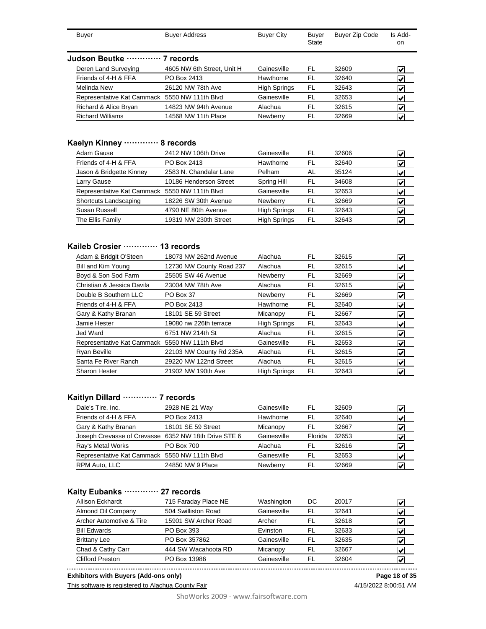| <b>Buyer</b>                                  | <b>Buyer Address</b>       | <b>Buyer City</b>   | Buyer<br><b>State</b> | <b>Buyer Zip Code</b> | Is Add-<br>on.          |
|-----------------------------------------------|----------------------------|---------------------|-----------------------|-----------------------|-------------------------|
| Judson Beutke ………… 7 records                  |                            |                     |                       |                       |                         |
| Deren Land Surveying                          | 4605 NW 6th Street, Unit H | Gainesville         | FL                    | 32609                 | V                       |
| Friends of 4-H & FFA                          | PO Box 2413                | Hawthorne           | FL                    | 32640                 | V                       |
| Melinda New                                   | 26120 NW 78th Ave          | <b>High Springs</b> | FL                    | 32643                 | V                       |
| Representative Kat Cammack 5550 NW 111th Blvd |                            | Gainesville         | FL                    | 32653                 | $\overline{\mathbf{v}}$ |
| Richard & Alice Bryan                         | 14823 NW 94th Avenue       | Alachua             | FL                    | 32615                 | V                       |
| <b>Richard Williams</b>                       | 14568 NW 11th Place        | Newberry            | FL                    | 32669                 | V                       |
|                                               |                            |                     |                       |                       |                         |

#### **Kaelyn Kinney ············· 8 records**

| Adam Gause                                    | 2412 NW 106th Drive    | Gainesville         | FL | 32606 | V                       |
|-----------------------------------------------|------------------------|---------------------|----|-------|-------------------------|
| Friends of 4-H & FFA                          | PO Box 2413            | Hawthorne           | FL | 32640 | V                       |
| Jason & Bridgette Kinney                      | 2583 N. Chandalar Lane | Pelham              | AL | 35124 | V                       |
| Larry Gause                                   | 10186 Henderson Street | Spring Hill         | FL | 34608 | V                       |
| Representative Kat Cammack 5550 NW 111th Blvd |                        | Gainesville         | FL | 32653 | V                       |
| Shortcuts Landscaping                         | 18226 SW 30th Avenue   | Newberry            | FL | 32669 | V                       |
| Susan Russell                                 | 4790 NE 80th Avenue    | <b>High Springs</b> | FL | 32643 | $\overline{\mathbf{v}}$ |
| The Ellis Family                              | 19319 NW 230th Street  | <b>High Springs</b> | FL | 32643 | M                       |

### **Kaileb Crosier ············· 13 records**

| Adam & Bridgit O'Steen                        | 18073 NW 262nd Avenue    | Alachua             | FL  | 32615 | $\left  \bm{\mathsf{v}} \right $ |
|-----------------------------------------------|--------------------------|---------------------|-----|-------|----------------------------------|
| Bill and Kim Young                            | 12730 NW County Road 237 | Alachua             | FL  | 32615 | $\left  \mathbf{v} \right $      |
| Boyd & Son Sod Farm                           | 25505 SW 46 Avenue       | <b>Newberry</b>     | FL. | 32669 | $\left  \mathbf{v} \right $      |
| Christian & Jessica Davila                    | 23004 NW 78th Ave        | Alachua             | FL  | 32615 | V                                |
| Double B Southern LLC                         | PO Box 37                | Newberry            | FL  | 32669 | $\left  \bm{\mathsf{v}} \right $ |
| Friends of 4-H & FFA                          | PO Box 2413              | Hawthorne           | FL. | 32640 | $\left  \mathbf{v} \right $      |
| Gary & Kathy Branan                           | 18101 SE 59 Street       | Micanopy            | FL  | 32667 | V                                |
| Jamie Hester                                  | 19080 nw 226th terrace   | <b>High Springs</b> | FL. | 32643 | $\left  \mathbf{v} \right $      |
| Jed Ward                                      | 6751 NW 214th St         | Alachua             | FL  | 32615 | $\vert \bm{\mathsf{v}} \vert$    |
| Representative Kat Cammack 5550 NW 111th Blvd |                          | Gainesville         | FL. | 32653 | $\left  \mathbf{v} \right $      |
| Ryan Beville                                  | 22103 NW County Rd 235A  | Alachua             | FL  | 32615 | $\left  \mathbf{v} \right $      |
| Santa Fe River Ranch                          | 29220 NW 122nd Street    | Alachua             | FL  | 32615 | $\left  \bm{\mathsf{v}} \right $ |
| <b>Sharon Hester</b>                          | 21902 NW 190th Ave       | <b>High Springs</b> | FL  | 32643 | $\left  \mathbf{v} \right $      |

### **Kaitlyn Dillard ············· 7 records**

| Dale's Tire, Inc.                                    | 2928 NE 21 Way     | Gainesville | FL      | 32609 |   |
|------------------------------------------------------|--------------------|-------------|---------|-------|---|
| Friends of 4-H & FFA                                 | PO Box 2413        | Hawthorne   | FI.     | 32640 |   |
| Gary & Kathy Branan                                  | 18101 SE 59 Street | Micanopy    | FI      | 32667 | V |
| Joseph Crevasse of Crevasse 6352 NW 18th Drive STE 6 |                    | Gainesville | Florida | 32653 |   |
| Ray's Metal Works                                    | <b>PO Box 700</b>  | Alachua     | FI.     | 32616 | M |
| Representative Kat Cammack 5550 NW 111th Blvd        |                    | Gainesville | FI.     | 32653 |   |
| RPM Auto, LLC                                        | 24850 NW 9 Place   | Newberry    | FI.     | 32669 |   |

#### **Kaity Eubanks ············· 27 records**

| <b>Allison Eckhardt</b>  | 715 Faraday Place NE | Washington  | DC | 20017 | √                       |
|--------------------------|----------------------|-------------|----|-------|-------------------------|
| Almond Oil Company       | 504 Swilliston Road  | Gainesville | FL | 32641 | M                       |
| Archer Automotive & Tire | 15901 SW Archer Road | Archer      | FL | 32618 | V                       |
| <b>Bill Edwards</b>      | PO Box 393           | Evinston    | FL | 32633 | M                       |
| <b>Brittany Lee</b>      | PO Box 357862        | Gainesville | FL | 32635 | V                       |
| Chad & Cathy Carr        | 444 SW Wacahoota RD  | Micanopy    | FL | 32667 | $\overline{\mathbf{v}}$ |
| <b>Clifford Preston</b>  | PO Box 13986         | Gainesville | FL | 32604 |                         |
|                          |                      |             |    |       |                         |

**Exhibitors with Buyers (Add-ons only) Page 18 of 35**

This software is registered to Alachua County Fair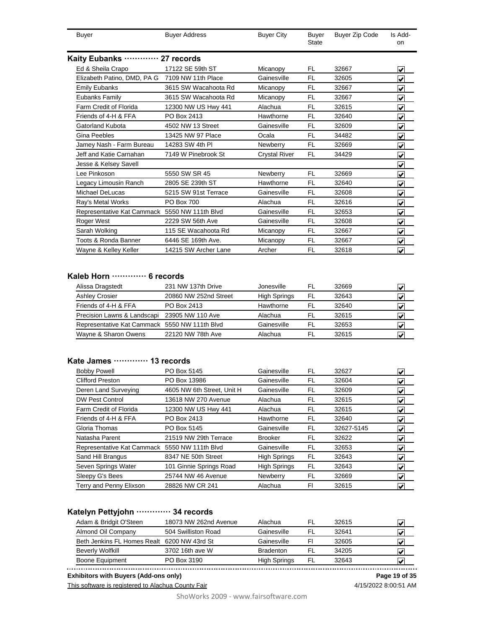| <b>Buyer</b>                                   | <b>Buyer Address</b> | <b>Buyer City</b>    | Buyer<br><b>State</b> | <b>Buyer Zip Code</b> | Is Add-<br>on           |
|------------------------------------------------|----------------------|----------------------|-----------------------|-----------------------|-------------------------|
| Kaity Eubanks ………… 27 records                  |                      |                      |                       |                       |                         |
| Ed & Sheila Crapo                              | 17122 SE 59th ST     | Micanopy             | FL.                   | 32667                 | ✔                       |
| Elizabeth Patino, DMD, PA G 7109 NW 11th Place |                      | Gainesville          | <b>FL</b>             | 32605                 | ✓                       |
| <b>Emily Eubanks</b>                           | 3615 SW Wacahoota Rd | Micanopy             | FL                    | 32667                 | ✓                       |
| Eubanks Family                                 | 3615 SW Wacahoota Rd | Micanopy             | <b>FL</b>             | 32667                 | ⊽                       |
| Farm Credit of Florida                         | 12300 NW US Hwy 441  | Alachua              | <b>FL</b>             | 32615                 | ✔                       |
| Friends of 4-H & FFA                           | PO Box 2413          | Hawthorne            | <b>FL</b>             | 32640                 | ✔                       |
| Gatorland Kubota                               | 4502 NW 13 Street    | Gainesville          | FL                    | 32609                 | ✔                       |
| Gina Peebles                                   | 13425 NW 97 Place    | Ocala                | FL                    | 34482                 | ✔                       |
| Jamey Nash - Farm Bureau                       | 14283 SW 4th PI      | Newberry             | FL                    | 32669                 | ✔                       |
| Jeff and Katie Carnahan                        | 7149 W Pinebrook St  | <b>Crystal River</b> | <b>FL</b>             | 34429                 | ✓                       |
| Jesse & Kelsey Savell                          |                      |                      |                       |                       | $\overline{\mathbf{v}}$ |
| Lee Pinkoson                                   | 5550 SW SR 45        | Newberry             | <b>FL</b>             | 32669                 | $\overline{\mathbf{v}}$ |
| Legacy Limousin Ranch                          | 2805 SE 239th ST     | Hawthorne            | FL                    | 32640                 | $\overline{\checkmark}$ |
| Michael DeLucas                                | 5215 SW 91st Terrace | Gainesville          | FL                    | 32608                 | $\overline{\mathbf{v}}$ |
| Ray's Metal Works                              | <b>PO Box 700</b>    | Alachua              | FL                    | 32616                 | $\overline{\mathbf{v}}$ |
| Representative Kat Cammack 5550 NW 111th Blvd  |                      | Gainesville          | <b>FL</b>             | 32653                 | V                       |
| Roger West                                     | 2229 SW 56th Ave     | Gainesville          | <b>FL</b>             | 32608                 | V                       |
| Sarah Wolking                                  | 115 SE Wacahoota Rd  | Micanopy             | <b>FL</b>             | 32667                 | ⊽                       |
| Toots & Ronda Banner                           | 6446 SE 169th Ave.   | Micanopy             | <b>FL</b>             | 32667                 | ⊽                       |
| Wayne & Kelley Keller                          | 14215 SW Archer Lane | Archer               | <b>FL</b>             | 32618                 | V                       |
|                                                |                      |                      |                       |                       |                         |

#### **Kaleb Horn ············· 6 records**

| Alissa Dragstedt                              | 231 NW 137th Drive    | Jonesville          | FL. | 32669 |  |
|-----------------------------------------------|-----------------------|---------------------|-----|-------|--|
| Ashley Crosier                                | 20860 NW 252nd Street | <b>High Springs</b> | FL  | 32643 |  |
| Friends of 4-H & FFA                          | PO Box 2413           | Hawthorne           | FL. | 32640 |  |
| Precision Lawns & Landscapi 23905 NW 110 Ave  |                       | Alachua             | FI. | 32615 |  |
| Representative Kat Cammack 5550 NW 111th Blvd |                       | Gainesville         | FI. | 32653 |  |
| Wayne & Sharon Owens                          | 22120 NW 78th Ave     | Alachua             | FI  | 32615 |  |

### **Kate James ············· 13 records**

| <b>Bobby Powell</b>                           | PO Box 5145                | Gainesville         | FL  | 32627      | $\left  \bm{\mathsf{v}} \right $         |
|-----------------------------------------------|----------------------------|---------------------|-----|------------|------------------------------------------|
| <b>Clifford Preston</b>                       | PO Box 13986               | Gainesville         | FL  | 32604      | $\left  \mathbf{v} \right $              |
| Deren Land Surveying                          | 4605 NW 6th Street, Unit H | Gainesville         | FL  | 32609      | $\left  \mathbf{v} \right $              |
| <b>DW Pest Control</b>                        | 13618 NW 270 Avenue        | Alachua             | FL  | 32615      | $\left  \bm{\mathsf{v}} \right $         |
| Farm Credit of Florida                        | 12300 NW US Hwy 441        | Alachua             | FL  | 32615      | $\vert\bm{\mathsf{v}}\vert$              |
| Friends of 4-H & FFA                          | PO Box 2413                | Hawthorne           | FL  | 32640      | $\left  \mathbf{v} \right $              |
| Gloria Thomas                                 | PO Box 5145                | Gainesville         | FL  | 32627-5145 | $\left  \mathbf{v} \right $              |
| Natasha Parent                                | 21519 NW 29th Terrace      | <b>Brooker</b>      | FL  | 32622      | $\vert\bm{\mathsf{v}}\vert$              |
| Representative Kat Cammack 5550 NW 111th Blvd |                            | Gainesville         | FL  | 32653      | $\left  \mathbf{v} \right $              |
| Sand Hill Brangus                             | 8347 NE 50th Street        | <b>High Springs</b> | FL  | 32643      | $\left  \boldsymbol{\mathsf{v}} \right $ |
| Seven Springs Water                           | 101 Ginnie Springs Road    | <b>High Springs</b> | FL. | 32643      | $\left  \mathbf{v} \right $              |
| Sleepy G's Bees                               | 25744 NW 46 Avenue         | Newberry            | FL  | 32669      | $\vert\bm{\mathsf{v}}\vert$              |
| Terry and Penny Elixson                       | 28826 NW CR 241            | Alachua             | FI  | 32615      | $\left  \mathbf{v} \right $              |

# **Katelyn Pettyjohn ············· 34 records**

| 18073 NW 262nd Avenue | Alachua                                     | FL  | 32615 |   |
|-----------------------|---------------------------------------------|-----|-------|---|
| 504 Swilliston Road   | Gainesville                                 | FL. | 32641 | V |
|                       | Gainesville                                 | Fı  | 32605 |   |
| 3702 16th ave W       | <b>Bradenton</b>                            | FI  | 34205 | V |
| PO Box 3190           | <b>High Springs</b>                         | FL  | 32643 |   |
|                       | Beth Jenkins FL Homes Realt 6200 NW 43rd St |     |       |   |

Boone Equipment PO Box 3190 High Springs FL 32643 **X Exhibitors with Buyers (Add-ons only) Page 19 of 35**

This software is registered to Alachua County Fair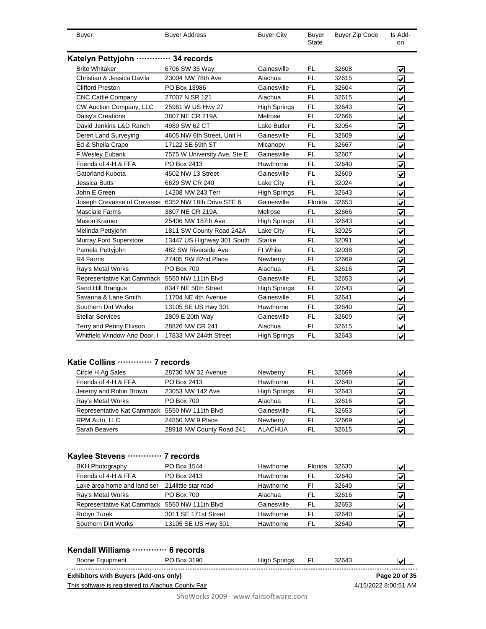| <b>Buyer</b>                                         | <b>Buyer Address</b>         | <b>Buyer City</b>   | <b>Buyer</b><br><b>State</b> | <b>Buyer Zip Code</b> | Is Add-<br>on                   |
|------------------------------------------------------|------------------------------|---------------------|------------------------------|-----------------------|---------------------------------|
| Katelyn Pettyjohn ………… 34 records                    |                              |                     |                              |                       |                                 |
| <b>Brite Whitaker</b>                                | 6706 SW 35 Way               | Gainesville         | <b>FL</b>                    | 32608                 | V                               |
| Christian & Jessica Davila                           | 23004 NW 78th Ave            | Alachua             | <b>FL</b>                    | 32615                 | ⊽                               |
| <b>Clifford Preston</b>                              | PO Box 13986                 | Gainesville         | FL                           | 32604                 | $\blacktriangledown$            |
| <b>CNC Cattle Company</b>                            | 27007 N SR 121               | Alachua             | <b>FL</b>                    | 32615                 | $\overline{\mathbf{v}}$         |
| CW Auction Company, LLC                              | 25961 W US Hwy 27            | <b>High Springs</b> | <b>FL</b>                    | 32643                 | ⊽                               |
| Daisy's Creations                                    | 3807 NE CR 219A              | Melrose             | FI.                          | 32666                 | ⊽                               |
| David Jenkins L&D Ranch                              | 4989 SW 62 CT                | Lake Butler         | <b>FL</b>                    | 32054                 | ✔                               |
| Deren Land Surveying                                 | 4605 NW 6th Street, Unit H   | Gainesville         | <b>FL</b>                    | 32609                 | $\overline{\checkmark}$         |
| Ed & Sheila Crapo                                    | 17122 SE 59th ST             | Micanopy            | <b>FL</b>                    | 32667                 | ⊽                               |
| F Wesley Eubank                                      | 7575 W University Ave, Ste E | Gainesville         | <b>FL</b>                    | 32607                 | $\blacktriangledown$            |
| Friends of 4-H & FFA                                 | PO Box 2413                  | Hawthorne           | <b>FL</b>                    | 32640                 | $\overline{\mathbf{v}}$         |
| <b>Gatorland Kubota</b>                              | 4502 NW 13 Street            | Gainesville         | FL                           | 32609                 | ⊽                               |
| Jessica Butts                                        | 6629 SW CR 240               | Lake City           | <b>FL</b>                    | 32024                 | ⊽                               |
| John E Green                                         | 14208 NW 243 Terr            | <b>High Springs</b> | <b>FL</b>                    | 32643                 | ⊽                               |
| Joseph Crevasse of Crevasse 6352 NW 18th Drive STE 6 |                              | Gainesville         | Florida                      | 32653                 | $\overline{\blacktriangledown}$ |
| <b>Masciale Farms</b>                                | 3807 NE CR 219A              | Melrose             | FL                           | 32666                 | $\overline{\mathbf{v}}$         |
| Mason Kramer                                         | 25406 NW 187th Ave           | <b>High Springs</b> | FI                           | 32643                 | $\overline{\mathbf{v}}$         |
| Melinda Pettyjohn                                    | 1811 SW County Road 242A     | Lake City           | FL                           | 32025                 | ⊽                               |
| <b>Murray Ford Superstore</b>                        | 13447 US Highway 301 South   | Starke              | <b>FL</b>                    | 32091                 | $\overline{\checkmark}$         |
| Pamela Pettyjohn                                     | 482 SW Riverside Ave         | Ft White            | <b>FL</b>                    | 32038                 | ⊽                               |
| R4 Farms                                             | 27405 SW 82nd Place          | Newberry            | <b>FL</b>                    | 32669                 | $\overline{\mathbf{v}}$         |
| Ray's Metal Works                                    | <b>PO Box 700</b>            | Alachua             | <b>FL</b>                    | 32616                 | $\overline{\mathbf{v}}$         |
| Representative Kat Cammack 5550 NW 111th Blvd        |                              | Gainesville         | <b>FL</b>                    | 32653                 | $\overline{\mathbf{v}}$         |
| Sand Hill Brangus                                    | 8347 NE 50th Street          | <b>High Springs</b> | FL                           | 32643                 | ⊽                               |
| Savanna & Lane Smith                                 | 11704 NE 4th Avenue          | Gainesville         | <b>FL</b>                    | 32641                 | $\overline{\mathbf{v}}$         |
| Southern Dirt Works                                  | 13105 SE US Hwy 301          | Hawthorne           | <b>FL</b>                    | 32640                 | ⊽                               |
| <b>Stellar Services</b>                              | 2809 E 20th Way              | Gainesville         | <b>FL</b>                    | 32609                 | ⊽                               |
| Terry and Penny Elixson                              | 28826 NW CR 241              | Alachua             | FI.                          | 32615                 | $\overline{\checkmark}$         |
| Whitfield Window And Door, I                         | 17833 NW 244th Street        | <b>High Springs</b> | FL                           | 32643                 | $\overline{\mathbf{v}}$         |

# **Katie Collins ············· 7 records**

| 28730 NW 32 Avenue                            | <b>Newberry</b>     | FL | 32669 |  |
|-----------------------------------------------|---------------------|----|-------|--|
| PO Box 2413                                   | Hawthorne           | FL | 32640 |  |
| 23053 NW 142 Ave                              | <b>High Springs</b> | FI | 32643 |  |
| <b>PO Box 700</b>                             | Alachua             | FL | 32616 |  |
| Representative Kat Cammack 5550 NW 111th Blvd | Gainesville         | FL | 32653 |  |
| 24850 NW 9 Place                              | Newberry            | FL | 32669 |  |
| 28918 NW County Road 241                      | <b>ALACHUA</b>      | FL | 32615 |  |
|                                               |                     |    |       |  |

# **Kaylee Stevens ············· 7 records**

| <b>BKH Photography</b>                        | PO Box 1544          | Hawthorne   | Florida | 32630 |   |
|-----------------------------------------------|----------------------|-------------|---------|-------|---|
| Friends of 4-H & FFA                          | PO Box 2413          | Hawthorne   | FL      | 32640 | ✔ |
| Lake area home and land ser                   | 214 little star road | Hawthorne   | FI      | 32640 |   |
| Ray's Metal Works                             | <b>PO Box 700</b>    | Alachua     | FI.     | 32616 |   |
| Representative Kat Cammack 5550 NW 111th Blvd |                      | Gainesville | FL      | 32653 |   |
| Robyn Turek                                   | 3011 SE 171st Street | Hawthorne   | FI      | 32640 |   |
| Southern Dirt Works                           | 13105 SE US Hwy 301  | Hawthorne   | FL      | 32640 |   |

| Kendall Williams  6 records                        |             |              |    |       |                      |
|----------------------------------------------------|-------------|--------------|----|-------|----------------------|
| Boone Equipment                                    | PO Box 3190 | High Springs | FL | 32643 |                      |
| <b>Exhibitors with Buyers (Add-ons only)</b>       |             |              |    |       | Page 20 of 35        |
| This software is registered to Alachua County Fair |             |              |    |       | 4/15/2022 8:00:51 AM |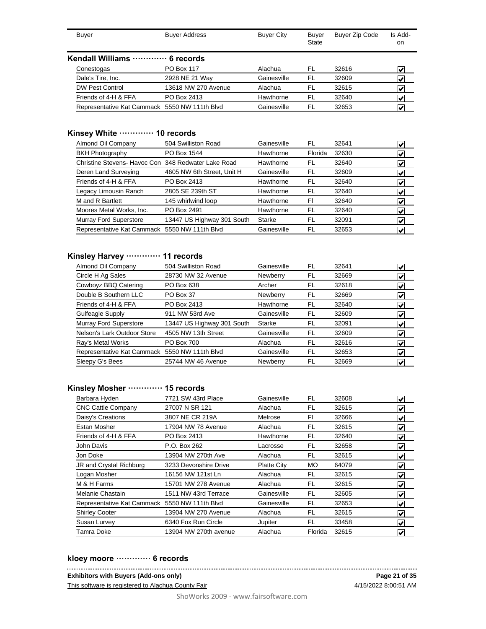| Buyer                                         | <b>Buyer Address</b> | <b>Buyer City</b> | Buyer<br><b>State</b> | <b>Buyer Zip Code</b> | Is Add-<br>on.                        |
|-----------------------------------------------|----------------------|-------------------|-----------------------|-----------------------|---------------------------------------|
| Kendall Williams  6 records                   |                      |                   |                       |                       |                                       |
| Conestogas                                    | <b>PO Box 117</b>    | Alachua           | FL                    | 32616                 | $\boldsymbol{\mathcal{U}}^{\text{I}}$ |
| Dale's Tire, Inc.                             | 2928 NE 21 Way       | Gainesville       | FL                    | 32609                 | V                                     |
| DW Pest Control                               | 13618 NW 270 Avenue  | Alachua           | FL                    | 32615                 | $\left  \bm{\mathsf{v}} \right $      |
| Friends of 4-H & FFA                          | PO Box 2413          | Hawthorne         | FL                    | 32640                 | V                                     |
| Representative Kat Cammack 5550 NW 111th Blvd |                      | Gainesville       | FL                    | 32653                 | $\mathbf{v}$                          |

#### **Kinsey White ············· 10 records**

| Almond Oil Company                                  | 504 Swilliston Road        | Gainesville | FL      | 32641 | V                                |
|-----------------------------------------------------|----------------------------|-------------|---------|-------|----------------------------------|
| <b>BKH Photography</b>                              | PO Box 1544                | Hawthorne   | Florida | 32630 | V                                |
| Christine Stevens- Havoc Con 348 Redwater Lake Road |                            | Hawthorne   | FL      | 32640 | V                                |
| Deren Land Surveying                                | 4605 NW 6th Street, Unit H | Gainesville | FL      | 32609 | V                                |
| Friends of 4-H & FFA                                | PO Box 2413                | Hawthorne   | FL      | 32640 | V                                |
| Legacy Limousin Ranch                               | 2805 SE 239th ST           | Hawthorne   | FL      | 32640 | V                                |
| M and R Bartlett                                    | 145 whirlwind loop         | Hawthorne   | FI      | 32640 | V                                |
| Moores Metal Works, Inc.                            | PO Box 2491                | Hawthorne   | FL      | 32640 | V                                |
| Murray Ford Superstore                              | 13447 US Highway 301 South | Starke      | FL      | 32091 | $\left  \bm{\mathsf{v}} \right $ |
| Representative Kat Cammack 5550 NW 111th Blvd       |                            | Gainesville | FL      | 32653 | V                                |

#### **Kinsley Harvey ············· 11 records**

| Almond Oil Company                            | 504 Swilliston Road        | Gainesville | FL | 32641 | V |
|-----------------------------------------------|----------------------------|-------------|----|-------|---|
| Circle H Ag Sales                             | 28730 NW 32 Avenue         | Newberry    | FL | 32669 | V |
| Cowboyz BBQ Catering                          | PO Box 638                 | Archer      | FL | 32618 |   |
| Double B Southern LLC                         | PO Box 37                  | Newberry    | FL | 32669 | V |
| Friends of 4-H & FFA                          | PO Box 2413                | Hawthorne   | FL | 32640 | V |
| Gulfeagle Supply                              | 911 NW 53rd Ave            | Gainesville | FL | 32609 | ✔ |
| Murray Ford Superstore                        | 13447 US Highway 301 South | Starke      | FL | 32091 | V |
| Nelson's Lark Outdoor Store                   | 4505 NW 13th Street        | Gainesville | FL | 32609 | V |
| Ray's Metal Works                             | PO Box 700                 | Alachua     | FL | 32616 | V |
| Representative Kat Cammack 5550 NW 111th Blvd |                            | Gainesville | FL | 32653 | V |
| Sleepy G's Bees                               | 25744 NW 46 Avenue         | Newberry    | FL | 32669 | V |

#### **Kinsley Mosher ············· 15 records**

| Barbara Hyden                                 | 7721 SW 43rd Place    | Gainesville        | FL        | 32608 | V                                |
|-----------------------------------------------|-----------------------|--------------------|-----------|-------|----------------------------------|
| <b>CNC Cattle Company</b>                     | 27007 N SR 121        | Alachua            | FL        | 32615 | $\left  \mathbf{v} \right $      |
| Daisy's Creations                             | 3807 NE CR 219A       | Melrose            | FI.       | 32666 | $\left  \mathbf{v} \right $      |
| Estan Mosher                                  | 17904 NW 78 Avenue    | Alachua            | FL        | 32615 | $\left  \bm{\mathsf{v}} \right $ |
| Friends of 4-H & FFA                          | PO Box 2413           | Hawthorne          | FL        | 32640 | $\left  \bm{\mathsf{v}} \right $ |
| John Davis                                    | P.O. Box 262          | Lacrosse           | FL        | 32658 | $\left  \bm{\mathsf{v}} \right $ |
| Jon Doke                                      | 13904 NW 270th Ave    | Alachua            | FL        | 32615 | $\left  \bm{\mathsf{v}} \right $ |
| JR and Crystal Richburg                       | 3233 Devonshire Drive | <b>Platte City</b> | <b>MO</b> | 64079 | $\left  \bm{\mathsf{v}} \right $ |
| Logan Mosher                                  | 16156 NW 121st Ln     | Alachua            | FL.       | 32615 | $\left  \bm{\mathsf{v}} \right $ |
| M & H Farms                                   | 15701 NW 278 Avenue   | Alachua            | FL        | 32615 | $\left  \bm{\mathsf{v}} \right $ |
| Melanie Chastain                              | 1511 NW 43rd Terrace  | Gainesville        | FL        | 32605 | $\left  \bm{\mathsf{v}} \right $ |
| Representative Kat Cammack 5550 NW 111th Blvd |                       | Gainesville        | FL        | 32653 | $\left  \mathbf{v} \right $      |
| <b>Shirley Cooter</b>                         | 13904 NW 270 Avenue   | Alachua            | FL.       | 32615 | $\left  \bm{\mathsf{v}} \right $ |
| Susan Lurvey                                  | 6340 Fox Run Circle   | Jupiter            | FL        | 33458 | $\left  \bm{\mathsf{v}} \right $ |
| Tamra Doke                                    | 13904 NW 270th avenue | Alachua            | Florida   | 32615 | $\vert \checkmark$               |

#### **kloey moore ············· 6 records**

**Exhibitors with Buyers (Add-ons only)**

This software is registered to Alachua County Fair

4/15/2022 8:00:51 AM **Page 21 of 35**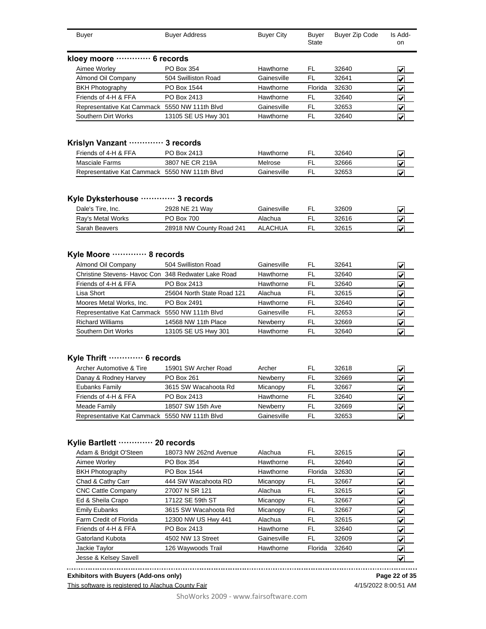| <b>Buyer</b>                                  | <b>Buyer Address</b>     | <b>Buyer City</b> | Buyer<br>State | Buyer Zip Code | Is Add-<br>on           |
|-----------------------------------------------|--------------------------|-------------------|----------------|----------------|-------------------------|
| kloey moore ·                                 | 6 records                |                   |                |                |                         |
| Aimee Worley                                  | PO Box 354               | Hawthorne         | FL.            | 32640          | V                       |
| Almond Oil Company                            | 504 Swilliston Road      | Gainesville       | FL             | 32641          | V                       |
| <b>BKH Photography</b>                        | PO Box 1544              | Hawthorne         | Florida        | 32630          | V                       |
| Friends of 4-H & FFA                          | PO Box 2413              | Hawthorne         | FL.            | 32640          | V                       |
| Representative Kat Cammack                    | 5550 NW 111th Blvd       | Gainesville       | FL             | 32653          | V                       |
| Southern Dirt Works                           | 13105 SE US Hwy 301      | Hawthorne         | FL             | 32640          | V                       |
| Krislyn Vanzant ·<br>Friends of 4-H & FFA     | 3 records<br>PO Box 2413 | Hawthorne         | FL             | 32640          | $\overline{\mathbf{v}}$ |
| <b>Masciale Farms</b>                         | 3807 NE CR 219A          | Melrose           | FL             | 32666          | V                       |
| Representative Kat Cammack 5550 NW 111th Blvd |                          | Gainesville       | FL             | 32653          | V                       |
| Kyle Dyksterhouse ………… 3 records              |                          |                   |                |                |                         |
| Dale's Tire, Inc.                             | 2928 NE 21 Way           | Gainesville       | <b>FL</b>      | 32609          | V                       |
| Ray's Metal Works                             | PO Box 700               | Alachua           | FL             | 32616          | V                       |
| Sarah Beavers                                 | 28918 NW County Road 241 | <b>ALACHUA</b>    | <b>FL</b>      | 32615          | V                       |

#### **Kyle Moore ············· 8 records**

| Almond Oil Company                                  | 504 Swilliston Road        | Gainesville | FL  | 32641 | w |
|-----------------------------------------------------|----------------------------|-------------|-----|-------|---|
| Christine Stevens- Havoc Con 348 Redwater Lake Road |                            | Hawthorne   | FL  | 32640 |   |
| Friends of 4-H & FFA                                | PO Box 2413                | Hawthorne   | FL  | 32640 | M |
| Lisa Short                                          | 25604 North State Road 121 | Alachua     | FI. | 32615 |   |
| Moores Metal Works, Inc.                            | PO Box 2491                | Hawthorne   | FL  | 32640 |   |
| Representative Kat Cammack 5550 NW 111th Blvd       |                            | Gainesville | FL  | 32653 |   |
| <b>Richard Williams</b>                             | 14568 NW 11th Place        | Newberry    | FL  | 32669 |   |
| Southern Dirt Works                                 | 13105 SE US Hwy 301        | Hawthorne   | FL  | 32640 |   |

# **Kyle Thrift ············· 6 records**

| Archer Automotive & Tire                      | 15901 SW Archer Road | Archer          | FL  | 32618 |   |
|-----------------------------------------------|----------------------|-----------------|-----|-------|---|
| Danay & Rodney Harvey                         | PO Box 261           | <b>Newberry</b> | FI. | 32669 |   |
| Eubanks Family                                | 3615 SW Wacahoota Rd | Micanopy        | FL  | 32667 |   |
| Friends of 4-H & FFA                          | PO Box 2413          | Hawthorne       | FI. | 32640 | M |
| Meade Family                                  | 18507 SW 15th Ave    | <b>Newberry</b> | FL  | 32669 |   |
| Representative Kat Cammack 5550 NW 111th Blvd |                      | Gainesville     | FI  | 32653 |   |

#### **Kylie Bartlett ············· 20 records**

| Adam & Bridgit O'Steen    | 18073 NW 262nd Avenue | Alachua     | FL      | 32615 | $\left  \bm{\mathsf{v}} \right $         |
|---------------------------|-----------------------|-------------|---------|-------|------------------------------------------|
| Aimee Worley              | PO Box 354            | Hawthorne   | FL      | 32640 | ∣✔∣                                      |
| <b>BKH Photography</b>    | PO Box 1544           | Hawthorne   | Florida | 32630 | V                                        |
| Chad & Cathy Carr         | 444 SW Wacahoota RD   | Micanopy    | FL      | 32667 | $\left  \mathbf{v} \right $              |
| <b>CNC Cattle Company</b> | 27007 N SR 121        | Alachua     | FL      | 32615 | $\left  \mathbf{v} \right $              |
| Ed & Sheila Crapo         | 17122 SE 59th ST      | Micanopy    | FL      | 32667 | V                                        |
| <b>Emily Eubanks</b>      | 3615 SW Wacahoota Rd  | Micanopy    | FL      | 32667 | $\left  \boldsymbol{\mathsf{v}} \right $ |
| Farm Credit of Florida    | 12300 NW US Hwy 441   | Alachua     | FL      | 32615 | $\vert\bm{\mathsf{v}}\vert$              |
| Friends of 4-H & FFA      | PO Box 2413           | Hawthorne   | FL      | 32640 | $\left  \mathbf{v} \right $              |
| Gatorland Kubota          | 4502 NW 13 Street     | Gainesville | FL      | 32609 | $\vert\bm{\mathsf{v}}\vert$              |
| Jackie Taylor             | 126 Waywoods Trail    | Hawthorne   | Florida | 32640 | $\left  \mathbf{v} \right $              |
| Jesse & Kelsey Savell     |                       |             |         |       | $\left  \bm{\mathsf{v}} \right $         |

**Exhibitors with Buyers (Add-ons only)**

This software is registered to Alachua County Fair

**Page 22 of 35** 4/15/2022 8:00:51 AM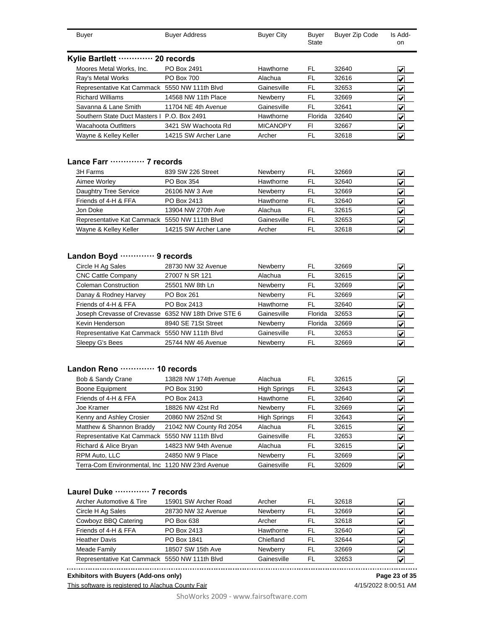| Buyer                                         | <b>Buyer Address</b> | <b>Buyer City</b> | Buyer<br>State | <b>Buyer Zip Code</b> | Is Add-<br>on.          |
|-----------------------------------------------|----------------------|-------------------|----------------|-----------------------|-------------------------|
| Kylie Bartlett ………… 20 records                |                      |                   |                |                       |                         |
| Moores Metal Works, Inc.                      | PO Box 2491          | Hawthorne         | FL             | 32640                 | V                       |
| Ray's Metal Works                             | PO Box 700           | Alachua           | FL             | 32616                 | V                       |
| Representative Kat Cammack 5550 NW 111th Blvd |                      | Gainesville       | FL             | 32653                 | V                       |
| <b>Richard Williams</b>                       | 14568 NW 11th Place  | Newberry          | FL             | 32669                 | V                       |
| Savanna & Lane Smith                          | 11704 NE 4th Avenue  | Gainesville       | FL             | 32641                 | V                       |
| Southern State Duct Masters   P.O. Box 2491   |                      | Hawthorne         | Florida        | 32640                 | V                       |
| <b>Wacahoota Outfitters</b>                   | 3421 SW Wachoota Rd  | <b>MICANOPY</b>   | FI             | 32667                 | V                       |
| Wayne & Kelley Keller                         | 14215 SW Archer Lane | Archer            | FL             | 32618                 | $\overline{\mathbf{v}}$ |

#### **Lance Farr ············· 7 records**

| 839 SW 226 Street                             | <b>Newberry</b> | FL  | 32669 |   |
|-----------------------------------------------|-----------------|-----|-------|---|
| PO Box 354                                    | Hawthorne       | FL. | 32640 |   |
| 26106 NW 3 Ave                                | Newberry        | FL  | 32669 |   |
| PO Box 2413                                   | Hawthorne       | FI. | 32640 |   |
| 13904 NW 270th Ave                            | Alachua         | FL. | 32615 | M |
| Representative Kat Cammack 5550 NW 111th Blvd | Gainesville     | FI. | 32653 |   |
| 14215 SW Archer Lane                          | Archer          | FL  | 32618 |   |
|                                               |                 |     |       |   |

### **Landon Boyd ············· 9 records**

| Circle H Ag Sales                                    | 28730 NW 32 Avenue  | Newberry    | FL      | 32669 |   |
|------------------------------------------------------|---------------------|-------------|---------|-------|---|
| <b>CNC Cattle Company</b>                            | 27007 N SR 121      | Alachua     | FL      | 32615 | M |
| Coleman Construction                                 | 25501 NW 8th Ln     | Newberry    | FL      | 32669 | V |
| Danay & Rodney Harvey                                | PO Box 261          | Newberry    | FL      | 32669 | V |
| Friends of 4-H & FFA                                 | PO Box 2413         | Hawthorne   | FL      | 32640 | V |
| Joseph Crevasse of Crevasse 6352 NW 18th Drive STE 6 |                     | Gainesville | Florida | 32653 | V |
| Kevin Henderson                                      | 8940 SE 71St Street | Newberry    | Florida | 32669 | V |
| Representative Kat Cammack 5550 NW 111th Blvd        |                     | Gainesville | FL      | 32653 | V |
| Sleepy G's Bees                                      | 25744 NW 46 Avenue  | Newberry    | FL      | 32669 | V |

#### **Landon Reno ············· 10 records**

| Bob & Sandy Crane                                | 13828 NW 174th Avenue   | Alachua             | FL | 32615 | M                                        |
|--------------------------------------------------|-------------------------|---------------------|----|-------|------------------------------------------|
| Boone Equipment                                  | PO Box 3190             | <b>High Springs</b> | FL | 32643 | V                                        |
| Friends of 4-H & FFA                             | PO Box 2413             | Hawthorne           | FL | 32640 | V                                        |
| Joe Kramer                                       | 18826 NW 42st Rd        | Newberry            | FL | 32669 | ∣✔                                       |
| Kenny and Ashley Crosier                         | 20860 NW 252nd St       | <b>High Springs</b> | FI | 32643 | V                                        |
| Matthew & Shannon Braddy                         | 21042 NW County Rd 2054 | Alachua             | FL | 32615 | V                                        |
| Representative Kat Cammack 5550 NW 111th Blvd    |                         | Gainesville         | FL | 32653 | $\left  \boldsymbol{\mathsf{v}} \right $ |
| Richard & Alice Bryan                            | 14823 NW 94th Avenue    | Alachua             | FL | 32615 | $\left  \boldsymbol{\mathsf{v}} \right $ |
| RPM Auto, LLC                                    | 24850 NW 9 Place        | Newberry            | FL | 32669 | M                                        |
| Terra-Com Environmental, Inc 1120 NW 23rd Avenue |                         | Gainesville         | FL | 32609 | V                                        |

### **Laurel Duke ············· 7 records**

| 15901 SW Archer Road | Archer                                        | FL | 32618 | M |
|----------------------|-----------------------------------------------|----|-------|---|
| 28730 NW 32 Avenue   | Newberry                                      | FL | 32669 | V |
| PO Box 638           | Archer                                        | FL | 32618 | V |
| PO Box 2413          | Hawthorne                                     | FL | 32640 | V |
| PO Box 1841          | Chiefland                                     | FL | 32644 | V |
| 18507 SW 15th Ave    | Newberry                                      | FL | 32669 | Ñ |
|                      | Gainesville                                   | FL | 32653 |   |
|                      | Representative Kat Cammack 5550 NW 111th Blvd |    |       |   |

**Exhibitors with Buyers (Add-ons only) Page 23 of 35**

This software is registered to Alachua County Fair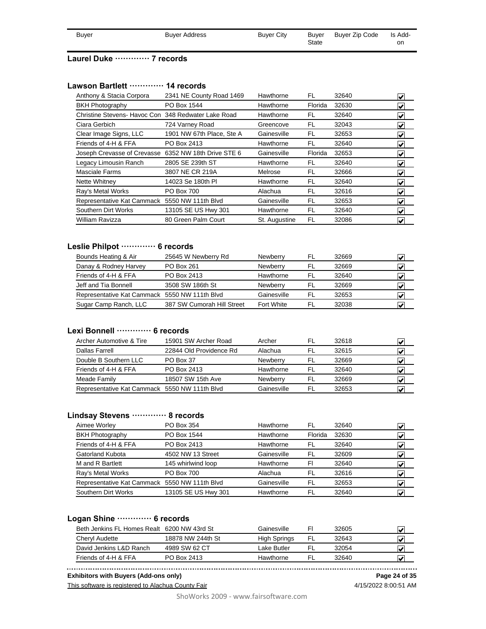| Buyer | <b>Buyer Address</b> | <b>Buyer City</b> | Buyer | Buyer Zip Code | Is Add- |
|-------|----------------------|-------------------|-------|----------------|---------|
|       |                      |                   | State |                | on      |

#### **Laurel Duke ············· 7 records**

#### **Lawson Bartlett ············· 14 records**

| Anthony & Stacia Corpora                             | 2341 NE County Road 1469  | Hawthorne     | FL      | 32640 | V                                   |
|------------------------------------------------------|---------------------------|---------------|---------|-------|-------------------------------------|
| <b>BKH Photography</b>                               | PO Box 1544               | Hawthorne     | Florida | 32630 | $\blacktriangledown$                |
| Christine Stevens- Havoc Con 348 Redwater Lake Road  |                           | Hawthorne     | FL      | 32640 | V                                   |
| Ciara Gerbich                                        | 724 Varney Road           | Greencove     | FL.     | 32043 | $\vert\boldsymbol{v}\vert$          |
| Clear Image Signs, LLC                               | 1901 NW 67th Place, Ste A | Gainesville   | FL.     | 32653 | $\left  \bm{\mathsf{v}} \right $    |
| Friends of 4-H & FFA                                 | PO Box 2413               | Hawthorne     | FL      | 32640 | $\left  \mathbf{v} \right $         |
| Joseph Crevasse of Crevasse 6352 NW 18th Drive STE 6 |                           | Gainesville   | Florida | 32653 | $\vert\boldsymbol{v}\vert$          |
| Legacy Limousin Ranch                                | 2805 SE 239th ST          | Hawthorne     | FL.     | 32640 | $\left  \bm{\mathsf{v}} \right $    |
| <b>Masciale Farms</b>                                | 3807 NE CR 219A           | Melrose       | FL      | 32666 | $\vert \checkmark\vert$             |
| Nette Whitney                                        | 14023 Se 180th PI         | Hawthorne     | FL      | 32640 | $\vert\boldsymbol{\mathsf{v}}\vert$ |
| Ray's Metal Works                                    | <b>PO Box 700</b>         | Alachua       | FL      | 32616 | $\blacktriangleright$               |
| Representative Kat Cammack 5550 NW 111th Blvd        |                           | Gainesville   | FL.     | 32653 | $\vert\bm{\mathsf{v}}\vert$         |
| Southern Dirt Works                                  | 13105 SE US Hwy 301       | Hawthorne     | FL      | 32640 | $\vert\boldsymbol{\mathsf{v}}\vert$ |
| <b>William Ravizza</b>                               | 80 Green Palm Court       | St. Augustine | FL      | 32086 | $\vert \checkmark\vert$             |

### **Leslie Philpot ············· 6 records**

| 25645 W Newberry Rd                           | <b>Newberry</b> | FL  | 32669 |   |
|-----------------------------------------------|-----------------|-----|-------|---|
| <b>PO Box 261</b>                             | <b>Newberry</b> | FL  | 32669 |   |
| PO Box 2413                                   | Hawthorne       | FL. | 32640 |   |
| 3508 SW 186th St                              | <b>Newberry</b> | FL  | 32669 | M |
| Representative Kat Cammack 5550 NW 111th Blvd | Gainesville     | FI. | 32653 |   |
| 387 SW Cumorah Hill Street                    | Fort White      | FL  | 32038 |   |
|                                               |                 |     |       |   |

### **Lexi Bonnell ············· 6 records**

| Archer Automotive & Tire                      | 15901 SW Archer Road    | Archer          | FL  | 32618 |   |
|-----------------------------------------------|-------------------------|-----------------|-----|-------|---|
| Dallas Farrell                                | 22844 Old Providence Rd | Alachua         | FI. | 32615 | V |
| Double B Southern LLC                         | PO Box 37               | <b>Newberry</b> | FL  | 32669 | V |
| Friends of 4-H & FFA                          | PO Box 2413             | Hawthorne       | FL. | 32640 | v |
| Meade Family                                  | 18507 SW 15th Ave       | <b>Newberry</b> | FL  | 32669 |   |
| Representative Kat Cammack 5550 NW 111th Blvd |                         | Gainesville     | FI. | 32653 |   |

#### **Lindsay Stevens ············· 8 records**

| PO Box 354                                    | FL.                                                                                                    | 32640 |  |
|-----------------------------------------------|--------------------------------------------------------------------------------------------------------|-------|--|
| PO Box 1544                                   | Florida                                                                                                | 32630 |  |
| PO Box 2413                                   | FL.                                                                                                    | 32640 |  |
| 4502 NW 13 Street                             | FI.                                                                                                    | 32609 |  |
| 145 whirlwind loop                            | FI                                                                                                     | 32640 |  |
| PO Box 700                                    | FI.                                                                                                    | 32616 |  |
| Representative Kat Cammack 5550 NW 111th Blvd | FL                                                                                                     | 32653 |  |
| 13105 SE US Hwy 301                           |                                                                                                        | 32640 |  |
|                                               | Hawthorne<br>Hawthorne<br>Hawthorne<br>Gainesville<br>Hawthorne<br>Alachua<br>Gainesville<br>Hawthorne | FL    |  |

#### **Logan Shine ············· 6 records**

|                   | Gainesville                                 | FI | 32605 |  |
|-------------------|---------------------------------------------|----|-------|--|
| 18878 NW 244th St | High Springs                                |    | 32643 |  |
| 4989 SW 62 CT     | Lake Butler                                 |    | 32054 |  |
| PO Box 2413       | Hawthorne                                   |    | 32640 |  |
|                   | Beth Jenkins FL Homes Realt 6200 NW 43rd St |    |       |  |

**Exhibitors with Buyers (Add-ons only)**

This software is registered to Alachua County Fair

4/15/2022 8:00:51 AM **Page 24 of 35**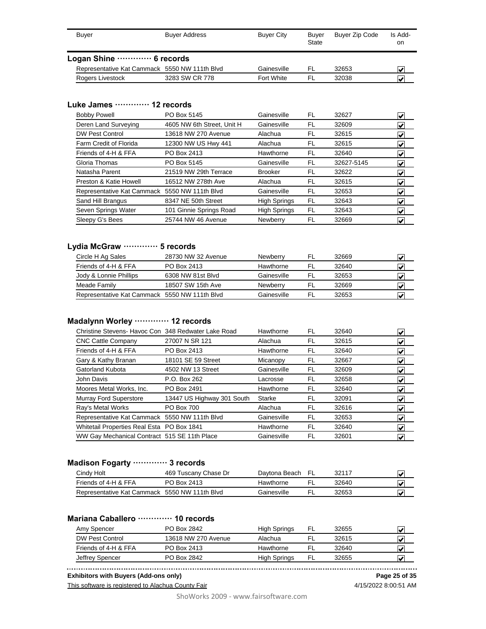| Buyer                                         | <b>Buyer Address</b> | <b>Buyer City</b> | <b>Buver</b><br>State | Buyer Zip Code | Is Add-<br>on           |
|-----------------------------------------------|----------------------|-------------------|-----------------------|----------------|-------------------------|
| Logan Shine  6 records                        |                      |                   |                       |                |                         |
| Representative Kat Cammack 5550 NW 111th Blvd |                      | Gainesville       | FL                    | 32653          | $\overline{\mathbf{v}}$ |
| Rogers Livestock                              | 3283 SW CR 778       | Fort White        | FI                    | 32038          | W                       |

#### **Luke James ············· 12 records**

| <b>Bobby Powell</b>                           | PO Box 5145                | Gainesville         | FL  | 32627      | V                                   |
|-----------------------------------------------|----------------------------|---------------------|-----|------------|-------------------------------------|
| Deren Land Surveying                          | 4605 NW 6th Street, Unit H | Gainesville         | FL  | 32609      | $\left  \bm{\mathsf{v}} \right $    |
| <b>DW Pest Control</b>                        | 13618 NW 270 Avenue        | Alachua             | FL  | 32615      | V                                   |
| Farm Credit of Florida                        | 12300 NW US Hwy 441        | Alachua             | FL  | 32615      | $\left  \bm{\mathsf{v}} \right $    |
| Friends of 4-H & FFA                          | PO Box 2413                | Hawthorne           | FL. | 32640      | $\vert\bm{\mathsf{v}}\vert$         |
| Gloria Thomas                                 | PO Box 5145                | Gainesville         | FL  | 32627-5145 | $\left  \mathbf{v} \right $         |
| Natasha Parent                                | 21519 NW 29th Terrace      | <b>Brooker</b>      | FL  | 32622      | $\left  \mathbf{v} \right $         |
| Preston & Katie Howell                        | 16512 NW 278th Ave         | Alachua             | FL  | 32615      | V                                   |
| Representative Kat Cammack 5550 NW 111th Blvd |                            | Gainesville         | FL  | 32653      | $\left  \mathbf{v} \right $         |
| Sand Hill Brangus                             | 8347 NE 50th Street        | <b>High Springs</b> | FL. | 32643      | $\vert\boldsymbol{\mathsf{v}}\vert$ |
| Seven Springs Water                           | 101 Ginnie Springs Road    | <b>High Springs</b> | FL  | 32643      | V                                   |
| Sleepy G's Bees                               | 25744 NW 46 Avenue         | Newberry            | FL  | 32669      | V                                   |

### **Lydia McGraw ············· 5 records**

| Circle H Ag Sales                             | 28730 NW 32 Avenue | <b>Newberry</b> | FL  | 32669 |   |
|-----------------------------------------------|--------------------|-----------------|-----|-------|---|
| Friends of 4-H & FFA                          | PO Box 2413        | Hawthorne       | FL. | 32640 | M |
| Jody & Lonnie Phillips                        | 6308 NW 81st Blvd  | Gainesville     | FI  | 32653 | ₩ |
| Meade Family                                  | 18507 SW 15th Ave  | <b>Newberry</b> | FL  | 32669 |   |
| Representative Kat Cammack 5550 NW 111th Blvd |                    | Gainesville     | FI  | 32653 | M |

### **Madalynn Worley ············· 12 records**

| Christine Stevens- Havoc Con 348 Redwater Lake Road | Hawthorne   | FL | 32640 | V                                |
|-----------------------------------------------------|-------------|----|-------|----------------------------------|
| 27007 N SR 121                                      | Alachua     | FL | 32615 | $\vert \checkmark\vert$          |
| PO Box 2413                                         | Hawthorne   | FL | 32640 | $\left  \bm{\mathsf{v}} \right $ |
| 18101 SE 59 Street                                  | Micanopy    | FL | 32667 | $\vert\bm{\mathsf{v}}\vert$      |
| 4502 NW 13 Street                                   | Gainesville | FL | 32609 | $\left  \bm{\mathsf{v}} \right $ |
| P.O. Box 262                                        | Lacrosse    | FL | 32658 | $\left  \mathbf{v} \right $      |
| PO Box 2491                                         | Hawthorne   | FL | 32640 | $\left  \bm{\mathsf{v}} \right $ |
| 13447 US Highway 301 South                          | Starke      | FL | 32091 | $\vert\bm{\mathsf{v}}\vert$      |
| <b>PO Box 700</b>                                   | Alachua     | FL | 32616 | $\vert\bm{\mathsf{v}}\vert$      |
| Representative Kat Cammack 5550 NW 111th Blvd       | Gainesville | FL | 32653 | $\vert\bm{\mathsf{v}}\vert$      |
| Whitetail Properties Real Esta PO Box 1841          | Hawthorne   | FL | 32640 | $\left  \bm{\mathsf{v}} \right $ |
| WW Gay Mechanical Contract 515 SE 11th Place        | Gainesville | FL | 32601 | $\left  \bm{\mathsf{v}} \right $ |
|                                                     |             |    |       |                                  |

### **Madison Fogarty ············· 3 records**

| Cindy Holt                                    | 469 Tuscany Chase Dr | Davtona Beach FL | 32117 |  |
|-----------------------------------------------|----------------------|------------------|-------|--|
| Friends of 4-H & FFA                          | PO Box 2413          | Hawthorne        | 32640 |  |
| Representative Kat Cammack 5550 NW 111th Blvd |                      | Gainesville      | 32653 |  |

### **Mariana Caballero ············· 10 records**

| Amy Spencer          | PO Box 2842         | High Springs | FL. | 32655 |   |
|----------------------|---------------------|--------------|-----|-------|---|
| DW Pest Control      | 13618 NW 270 Avenue | Alachua      | -FL | 32615 |   |
| Friends of 4-H & FFA | PO Box 2413         | Hawthorne    |     | 32640 |   |
| Jeffrey Spencer      | PO Box 2842         | High Springs | FL. | 32655 | W |

**Exhibitors with Buyers (Add-ons only)**

This software is registered to Alachua County Fair

4/15/2022 8:00:51 AM **Page 25 of 35**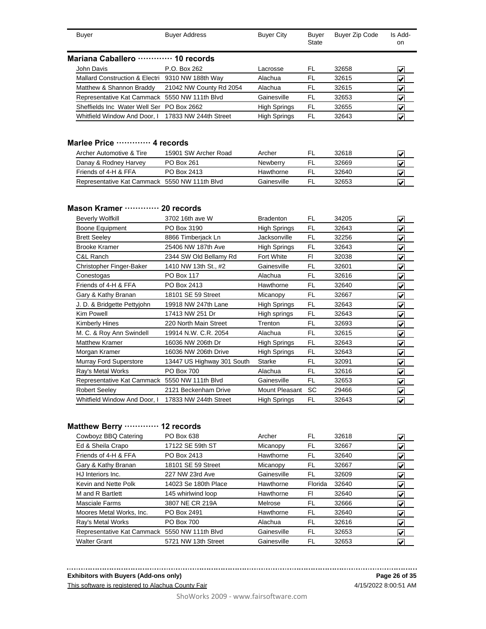| Buyer                                      |                                           | <b>Buyer Address</b>                               | <b>Buyer City</b>   | Buyer<br>State | Buyer Zip Code | Is Add-<br>on           |  |  |
|--------------------------------------------|-------------------------------------------|----------------------------------------------------|---------------------|----------------|----------------|-------------------------|--|--|
| Mariana Caballero ············· 10 records |                                           |                                                    |                     |                |                |                         |  |  |
| John Davis                                 |                                           | P.O. Box 262                                       | Lacrosse            | FL             | 32658          | V                       |  |  |
|                                            |                                           | Mallard Construction & Electri 9310 NW 188th Way   | Alachua             | FL             | 32615          |                         |  |  |
|                                            | Matthew & Shannon Braddy                  | 21042 NW County Rd 2054                            | Alachua             | FL             | 32615          |                         |  |  |
|                                            |                                           | Representative Kat Cammack 5550 NW 111th Blvd      | Gainesville         | FL             | 32653          |                         |  |  |
|                                            | Sheffields Inc Water Well Ser PO Box 2662 |                                                    | <b>High Springs</b> | FL             | 32655          | $\overline{\mathbf{v}}$ |  |  |
|                                            |                                           | Whitfield Window And Door, I 17833 NW 244th Street | <b>High Springs</b> | FL             | 32643          |                         |  |  |

#### **Marlee Price ············· 4 records**

| 15901 SW Archer Road                          | Archer          | FL  | 32618 |  |
|-----------------------------------------------|-----------------|-----|-------|--|
| PO Box 261                                    | <b>Newberry</b> |     | 32669 |  |
| PO Box 2413                                   | Hawthorne       | ΗL  | 32640 |  |
| Representative Kat Cammack 5550 NW 111th Blvd | Gainesville     | FI. | 32653 |  |
|                                               |                 |     |       |  |

#### **Mason Kramer ············· 20 records**

| <b>Beverly Wolfkill</b>                       | 3702 16th ave W            | <b>Bradenton</b>    | FL        | 34205 | V                       |
|-----------------------------------------------|----------------------------|---------------------|-----------|-------|-------------------------|
| <b>Boone Equipment</b>                        | PO Box 3190                | <b>High Springs</b> | FL        | 32643 | V                       |
| <b>Brett Seeley</b>                           | 8866 Timberjack Ln         | Jacksonville        | FL        | 32256 | V                       |
| <b>Brooke Kramer</b>                          | 25406 NW 187th Ave         | <b>High Springs</b> | <b>FL</b> | 32643 | V                       |
| C&L Ranch                                     | 2344 SW Old Bellamy Rd     | <b>Fort White</b>   | F1        | 32038 | V                       |
| Christopher Finger-Baker                      | 1410 NW 13th St., #2       | Gainesville         | FL        | 32601 | V                       |
| Conestogas                                    | <b>PO Box 117</b>          | Alachua             | FL        | 32616 | V                       |
| Friends of 4-H & FFA                          | PO Box 2413                | Hawthorne           | <b>FL</b> | 32640 | V                       |
| Gary & Kathy Branan                           | 18101 SE 59 Street         | Micanopy            | FL        | 32667 | $\overline{\mathbf{v}}$ |
| J. D. & Bridgette Pettyjohn                   | 19918 NW 247th Lane        | <b>High Springs</b> | FL        | 32643 | V                       |
| Kim Powell                                    | 17413 NW 251 Dr            | High springs        | FL        | 32643 | V                       |
| <b>Kimberly Hines</b>                         | 220 North Main Street      | Trenton             | FL        | 32693 | V                       |
| M. C. & Roy Ann Swindell                      | 19914 N.W. C.R. 2054       | Alachua             | FL        | 32615 | V                       |
| <b>Matthew Kramer</b>                         | 16036 NW 206th Dr          | <b>High Springs</b> | FL        | 32643 | V                       |
| Morgan Kramer                                 | 16036 NW 206th Drive       | <b>High Springs</b> | FL        | 32643 | V                       |
| Murray Ford Superstore                        | 13447 US Highway 301 South | <b>Starke</b>       | FL        | 32091 | V                       |
| Ray's Metal Works                             | PO Box 700                 | Alachua             | FL        | 32616 | V                       |
| Representative Kat Cammack 5550 NW 111th Blvd |                            | Gainesville         | FL        | 32653 | V                       |
| <b>Robert Seeley</b>                          | 2121 Beckenham Drive       | Mount Pleasant      | <b>SC</b> | 29466 | V                       |
| Whitfield Window And Door, I                  | 17833 NW 244th Street      | <b>High Springs</b> | FL        | 32643 | V                       |

### **Matthew Berry ············· 12 records**

| Cowboyz BBQ Catering                          | PO Box 638           | Archer      | FL      | 32618 | $\vert\boldsymbol{v}\vert$       |
|-----------------------------------------------|----------------------|-------------|---------|-------|----------------------------------|
| Ed & Sheila Crapo                             | 17122 SE 59th ST     | Micanopy    | FL.     | 32667 | $\left  \mathbf{v} \right $      |
| Friends of 4-H & FFA                          | PO Box 2413          | Hawthorne   | FL      | 32640 | $\vert \checkmark \vert$         |
| Gary & Kathy Branan                           | 18101 SE 59 Street   | Micanopy    | FL      | 32667 | $\blacktriangledown$             |
| HJ Interiors Inc.                             | 227 NW 23rd Ave      | Gainesville | FL      | 32609 | $\blacktriangleright$            |
| Kevin and Nette Polk                          | 14023 Se 180th Place | Hawthorne   | Florida | 32640 | է                                |
| M and R Bartlett                              | 145 whirlwind loop   | Hawthorne   | FI      | 32640 | $\blacktriangledown$             |
| Masciale Farms                                | 3807 NE CR 219A      | Melrose     | FL      | 32666 | $\blacktriangleright$            |
| Moores Metal Works, Inc.                      | PO Box 2491          | Hawthorne   | FL      | 32640 | $\left  \bm{\mathsf{v}} \right $ |
| Ray's Metal Works                             | <b>PO Box 700</b>    | Alachua     | FL      | 32616 | $\blacktriangleright$            |
| Representative Kat Cammack 5550 NW 111th Blvd |                      | Gainesville | FL      | 32653 | $\blacktriangleright$            |
| <b>Walter Grant</b>                           | 5721 NW 13th Street  | Gainesville | FL      | 32653 | $\vert \checkmark\vert$          |

#### **Exhibitors with Buyers (Add-ons only)**

This software is registered to Alachua County Fair

4/15/2022 8:00:51 AM **Page 26 of 35**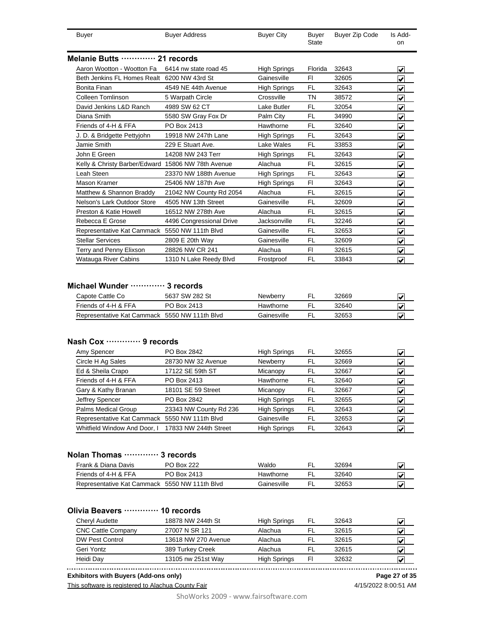| Buyer                                              | <b>Buyer Address</b>     | <b>Buyer City</b>   | Buyer<br><b>State</b> | Buyer Zip Code | Is Add-<br>on           |
|----------------------------------------------------|--------------------------|---------------------|-----------------------|----------------|-------------------------|
| Melanie Butts  21 records                          |                          |                     |                       |                |                         |
| Aaron Wootton - Wootton Fa                         | 6414 nw state road 45    | <b>High Springs</b> | Florida               | 32643          | ✔                       |
| Beth Jenkins FL Homes Realt 6200 NW 43rd St        |                          | Gainesville         | F1                    | 32605          | ✔                       |
| Bonita Finan                                       | 4549 NE 44th Avenue      | <b>High Springs</b> | FL                    | 32643          | ✔                       |
| Colleen Tomlinson                                  | 5 Warpath Circle         | Crossville          | <b>TN</b>             | 38572          | $\overline{\mathbf{v}}$ |
| David Jenkins L&D Ranch                            | 4989 SW 62 CT            | Lake Butler         | <b>FL</b>             | 32054          | $\overline{\mathbf{v}}$ |
| Diana Smith                                        | 5580 SW Gray Fox Dr      | Palm City           | FL                    | 34990          | ✔                       |
| Friends of 4-H & FFA                               | PO Box 2413              | Hawthorne           | FL                    | 32640          | ✔                       |
| J. D. & Bridgette Pettyjohn                        | 19918 NW 247th Lane      | <b>High Springs</b> | FL                    | 32643          | $\overline{\mathbf{v}}$ |
| Jamie Smith                                        | 229 E Stuart Ave.        | Lake Wales          | FL                    | 33853          | $\overline{\mathbf{v}}$ |
| John E Green                                       | 14208 NW 243 Terr        | High Springs        | FL                    | 32643          | $\overline{\mathbf{v}}$ |
| Kelly & Christy Barber/Edward 15806 NW 78th Avenue |                          | Alachua             | FL                    | 32615          | $\checkmark$            |
| eah Steen                                          | 23370 NW 188th Avenue    | High Springs        | FL                    | 32643          | $\overline{\mathbf{v}}$ |
| Mason Kramer                                       | 25406 NW 187th Ave       | <b>High Springs</b> | FI                    | 32643          | $\overline{\mathbf{v}}$ |
| Matthew & Shannon Braddy                           | 21042 NW County Rd 2054  | Alachua             | <b>FL</b>             | 32615          | $\overline{\mathbf{v}}$ |
| Nelson's Lark Outdoor Store                        | 4505 NW 13th Street      | Gainesville         | FL                    | 32609          | ⊽                       |
| Preston & Katie Howell                             | 16512 NW 278th Ave       | Alachua             | <b>FL</b>             | 32615          | ⊽                       |
| Rebecca E Grose                                    | 4496 Congressional Drive | Jacksonville        | FL                    | 32246          | ⊽                       |
| Representative Kat Cammack 5550 NW 111th Blvd      |                          | Gainesville         | FL                    | 32653          | ⊽                       |
| <b>Stellar Services</b>                            | 2809 E 20th Way          | Gainesville         | FL                    | 32609          | $\overline{\checkmark}$ |
| Terry and Penny Elixson                            | 28826 NW CR 241          | Alachua             | FI                    | 32615          | $\overline{\checkmark}$ |
| Watauga River Cabins                               | 1310 N Lake Reedy Blvd   | Frostproof          | <b>FL</b>             | 33843          | $\overline{\mathbf{v}}$ |

#### **Michael Wunder ············· 3 records**

| Capote Cattle Co                              | 5637 SW 282 St | Newberry    | 32669 |  |
|-----------------------------------------------|----------------|-------------|-------|--|
| Friends of 4-H & FFA                          | PO Box 2413    | Hawthorne   | 32640 |  |
| Representative Kat Cammack 5550 NW 111th Blvd |                | Gainesville | 32653 |  |

#### **Nash Cox ············· 9 records**

| PO Box 2842            | <b>High Springs</b>                                                                                 | FL   | 32655 |   |
|------------------------|-----------------------------------------------------------------------------------------------------|------|-------|---|
| 28730 NW 32 Avenue     | Newberry                                                                                            | FL   | 32669 |   |
| 17122 SE 59th ST       | Micanopy                                                                                            | FL   | 32667 | V |
| PO Box 2413            | Hawthorne                                                                                           | FL   | 32640 | V |
| 18101 SE 59 Street     | Micanopy                                                                                            | - FL | 32667 | V |
| PO Box 2842            | <b>High Springs</b>                                                                                 | FL   | 32655 | V |
| 23343 NW County Rd 236 | <b>High Springs</b>                                                                                 | FL   | 32643 | V |
|                        | Gainesville                                                                                         | FL   | 32653 | V |
|                        | <b>High Springs</b>                                                                                 | FL   | 32643 | v |
|                        | Representative Kat Cammack 5550 NW 111th Blvd<br>Whitfield Window And Door, I 17833 NW 244th Street |      |       |   |

### **Nolan Thomas ············· 3 records**

| Frank & Diana Davis                           | <b>PO Box 222</b> | Waldo       | 32694 |  |
|-----------------------------------------------|-------------------|-------------|-------|--|
| Friends of 4-H & FFA                          | PO Box 2413       | Hawthorne   | 32640 |  |
| Representative Kat Cammack 5550 NW 111th Blvd |                   | Gainesville | 32653 |  |

#### **Olivia Beavers ············· 10 records**

| 18878 NW 244th St   | High Springs        | FL | 32643 | M |
|---------------------|---------------------|----|-------|---|
| 27007 N SR 121      | Alachua             |    | 32615 | ₩ |
| 13618 NW 270 Avenue | Alachua             |    | 32615 | M |
| 389 Turkey Creek    | Alachua             |    | 32615 | ₩ |
| 13105 nw 251st Way  | <b>High Springs</b> | Fl | 32632 |   |
|                     |                     |    |       |   |

**Exhibitors with Buyers (Add-ons only) Page 27 of 35**

This software is registered to Alachua County Fair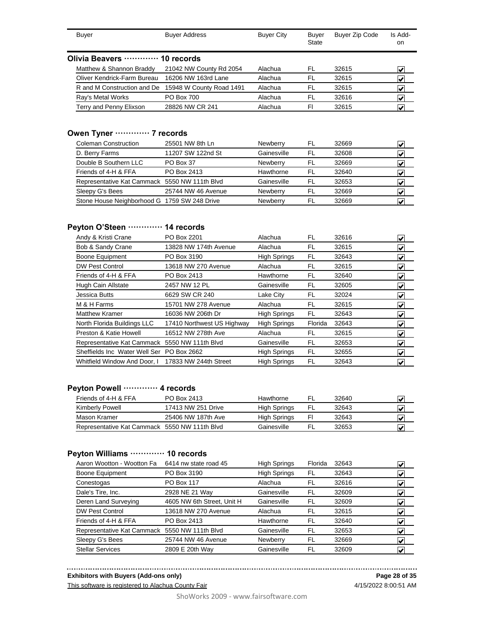| Buyer                          | <b>Buyer Address</b>     | <b>Buyer City</b> | Buyer<br>State | <b>Buyer Zip Code</b> | Is Add-<br>on.            |
|--------------------------------|--------------------------|-------------------|----------------|-----------------------|---------------------------|
| Olivia Beavers ………… 10 records |                          |                   |                |                       |                           |
| Matthew & Shannon Braddy       | 21042 NW County Rd 2054  | Alachua           | FL             | 32615                 | $\overline{\mathbf{v}}$   |
| Oliver Kendrick-Farm Bureau    | 16206 NW 163rd Lane      | Alachua           | FL             | 32615                 | V                         |
| R and M Construction and De    | 15948 W County Road 1491 | Alachua           | FL             | 32615                 | $\mathbf{v}^{\mathsf{r}}$ |
| Ray's Metal Works              | <b>PO Box 700</b>        | Alachua           | FL             | 32616                 |                           |
| Terry and Penny Elixson        | 28826 NW CR 241          | Alachua           | FI             | 32615                 |                           |

# **Owen Tyner ············· 7 records**

| 25501 NW 8th Ln                               | Newberry    | FL  | 32669 |   |
|-----------------------------------------------|-------------|-----|-------|---|
| 11207 SW 122nd St                             | Gainesville | FL  | 32608 |   |
| PO Box 37                                     | Newberry    | FL. | 32669 |   |
| PO Box 2413                                   | Hawthorne   | FL  | 32640 |   |
| Representative Kat Cammack 5550 NW 111th Blvd | Gainesville | FL  | 32653 | M |
| 25744 NW 46 Avenue                            | Newberry    | FL  | 32669 |   |
| Stone House Neighborhood G 1759 SW 248 Drive  | Newberry    | FL  | 32669 |   |
|                                               |             |     |       |   |

#### **Peyton O'Steen ············· 14 records**

| Andy & Kristi Crane                           | PO Box 2201                | Alachua             | FL      | 32616 | $\blacktriangleright$            |
|-----------------------------------------------|----------------------------|---------------------|---------|-------|----------------------------------|
| Bob & Sandy Crane                             | 13828 NW 174th Avenue      | Alachua             | FL      | 32615 | $\vert\bm{\mathsf{v}}\vert$      |
| Boone Equipment                               | PO Box 3190                | <b>High Springs</b> | FL      | 32643 | $\vert\bm{\mathsf{v}}\vert$      |
| <b>DW Pest Control</b>                        | 13618 NW 270 Avenue        | Alachua             | FL      | 32615 | $\left  \mathbf{v} \right $      |
| Friends of 4-H & FFA                          | PO Box 2413                | Hawthorne           | FL      | 32640 | $\vert\bm{\mathsf{v}}\vert$      |
| Hugh Cain Allstate                            | 2457 NW 12 PL              | Gainesville         | FL      | 32605 | $\left  \mathbf{v} \right $      |
| Jessica Butts                                 | 6629 SW CR 240             | Lake City           | FL      | 32024 | $\vert\boldsymbol{v}\vert$       |
| M & H Farms                                   | 15701 NW 278 Avenue        | Alachua             | FL      | 32615 | է                                |
| Matthew Kramer                                | 16036 NW 206th Dr          | <b>High Springs</b> | FL      | 32643 | $\left  \bm{\mathsf{v}} \right $ |
| North Florida Buildings LLC                   | 17410 Northwest US Highway | <b>High Springs</b> | Florida | 32643 | $\vert \bm{\mathsf{v}} \vert$    |
| Preston & Katie Howell                        | 16512 NW 278th Ave         | Alachua             | FL      | 32615 | $\left  \bm{\mathsf{v}} \right $ |
| Representative Kat Cammack 5550 NW 111th Blvd |                            | Gainesville         | FL      | 32653 | $\left  \bm{\mathsf{v}} \right $ |
| Sheffields Inc Water Well Ser                 | PO Box 2662                | <b>High Springs</b> | FL      | 32655 | $\left  \bm{\mathsf{v}} \right $ |
| Whitfield Window And Door. I                  | 17833 NW 244th Street      | <b>High Springs</b> | FL      | 32643 | $\vert\bm{\mathsf{v}}\vert$      |

### **Peyton Powell ············· 4 records**

| Friends of 4-H & FFA                          | PO Box 2413        | Hawthorne    | .FL | 32640 | IV |
|-----------------------------------------------|--------------------|--------------|-----|-------|----|
| <b>Kimberly Powell</b>                        | 17413 NW 251 Drive | High Springs | -FL | 32643 |    |
| Mason Kramer                                  | 25406 NW 187th Ave | High Springs | FI  | 32643 |    |
| Representative Kat Cammack 5550 NW 111th Blvd |                    | Gainesville  | FL. | 32653 | ₩  |

# **Peyton Williams ············· 10 records**

| Aaron Wootton - Wootton Fa                    | 6414 nw state road 45      | <b>High Springs</b> | Florida | 32643 | V                                |
|-----------------------------------------------|----------------------------|---------------------|---------|-------|----------------------------------|
| Boone Equipment                               | PO Box 3190                | <b>High Springs</b> | FL      | 32643 | V                                |
| Conestogas                                    | <b>PO Box 117</b>          | Alachua             | FL      | 32616 | V                                |
| Dale's Tire, Inc.                             | 2928 NE 21 Way             | Gainesville         | FL      | 32609 | V                                |
| Deren Land Surveying                          | 4605 NW 6th Street, Unit H | Gainesville         | FL      | 32609 | M                                |
| DW Pest Control                               | 13618 NW 270 Avenue        | Alachua             | FL      | 32615 | V                                |
| Friends of 4-H & FFA                          | PO Box 2413                | Hawthorne           | FL      | 32640 | V                                |
| Representative Kat Cammack 5550 NW 111th Blvd |                            | Gainesville         | FL      | 32653 | M                                |
| Sleepy G's Bees                               | 25744 NW 46 Avenue         | Newberry            | FL      | 32669 | $\left  \bm{\mathsf{v}} \right $ |
| <b>Stellar Services</b>                       | 2809 E 20th Way            | Gainesville         | FL      | 32609 | V                                |

#### **Exhibitors with Buyers (Add-ons only)**

This software is registered to Alachua County Fair

4/15/2022 8:00:51 AM **Page 28 of 35**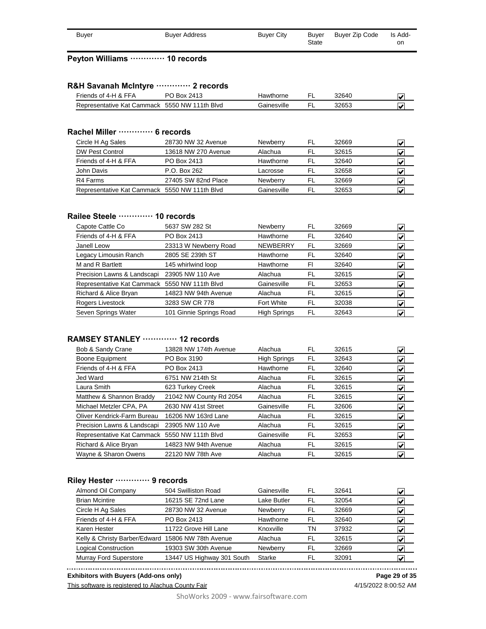| Buyer | <b>Buyer Address</b> | <b>Buver City</b> | Buyer<br>State | Buyer Zip Code | Is Add-<br>on |
|-------|----------------------|-------------------|----------------|----------------|---------------|

#### **Peyton Williams ············· 10 records**

#### **R&H Savanah McIntyre ············· 2 records**

| Friends of 4-H & FFA                          | PO Box 2413 | Hawthorne   | 32640 |  |
|-----------------------------------------------|-------------|-------------|-------|--|
| Representative Kat Cammack 5550 NW 111th Blvd |             | Gainesville | 32653 |  |

#### **Rachel Miller ············· 6 records**

| Circle H Ag Sales                             | 28730 NW 32 Avenue  | Newberry        | FL | 32669 | $\overline{\mathbf{v}}$ |
|-----------------------------------------------|---------------------|-----------------|----|-------|-------------------------|
| DW Pest Control                               | 13618 NW 270 Avenue | Alachua         | FL | 32615 | M                       |
| Friends of 4-H & FFA                          | PO Box 2413         | Hawthorne       | FI | 32640 | V                       |
| John Davis                                    | P.O. Box 262        | Lacrosse        | FI | 32658 | ₩                       |
| R4 Farms                                      | 27405 SW 82nd Place | <b>Newberry</b> | FI | 32669 | V                       |
| Representative Kat Cammack 5550 NW 111th Blvd |                     | Gainesville     | FI | 32653 |                         |

#### **Railee Steele ············· 10 records**

| 5637 SW 282 St                                | Newberry            | FL | 32669 | $\bm{\mathsf{v}}$                |
|-----------------------------------------------|---------------------|----|-------|----------------------------------|
| PO Box 2413                                   | Hawthorne           | FL | 32640 | $\blacktriangledown$             |
| 23313 W Newberry Road                         | <b>NEWBERRY</b>     | FL | 32669 | V                                |
| 2805 SE 239th ST                              | Hawthorne           | FL | 32640 | $\left  \bm{\mathsf{v}} \right $ |
| 145 whirlwind loop                            | Hawthorne           | FI | 32640 | V                                |
| 23905 NW 110 Ave                              | Alachua             | FL | 32615 | V                                |
| Representative Kat Cammack 5550 NW 111th Blvd | Gainesville         | FL | 32653 | V                                |
| 14823 NW 94th Avenue                          | Alachua             | FL | 32615 | V                                |
| 3283 SW CR 778                                | Fort White          | FL | 32038 | $\left  \bm{\mathsf{v}} \right $ |
| 101 Ginnie Springs Road                       | <b>High Springs</b> | FL | 32643 | V                                |
|                                               |                     |    |       |                                  |

### **RAMSEY STANLEY ············· 12 records**

| Bob & Sandy Crane                             | 13828 NW 174th Avenue   | Alachua             | FL | 32615 | V                           |
|-----------------------------------------------|-------------------------|---------------------|----|-------|-----------------------------|
| Boone Equipment                               | PO Box 3190             | <b>High Springs</b> | FL | 32643 | $\blacktriangledown$        |
| Friends of 4-H & FFA                          | PO Box 2413             | Hawthorne           | FL | 32640 | $\vert\bm{\mathsf{v}}\vert$ |
| Jed Ward                                      | 6751 NW 214th St        | Alachua             | FL | 32615 | $\left  \mathbf{v} \right $ |
| Laura Smith                                   | 623 Turkey Creek        | Alachua             | FL | 32615 | V                           |
| Matthew & Shannon Braddy                      | 21042 NW County Rd 2054 | Alachua             | FL | 32615 | $\left  \mathbf{v} \right $ |
| Michael Metzler CPA, PA                       | 2630 NW 41st Street     | Gainesville         | FL | 32606 | $\left  \mathbf{v} \right $ |
| Oliver Kendrick-Farm Bureau                   | 16206 NW 163rd Lane     | Alachua             | FL | 32615 | $\left  \mathbf{v} \right $ |
| Precision Lawns & Landscapi                   | 23905 NW 110 Ave        | Alachua             | FL | 32615 | $\vert\bm{\mathsf{v}}\vert$ |
| Representative Kat Cammack 5550 NW 111th Blvd |                         | Gainesville         | FL | 32653 | $\vert\bm{\mathsf{v}}\vert$ |
| Richard & Alice Bryan                         | 14823 NW 94th Avenue    | Alachua             | FL | 32615 | V                           |
| Wayne & Sharon Owens                          | 22120 NW 78th Ave       | Alachua             | FL | 32615 | $\left  \mathbf{v} \right $ |
|                                               |                         |                     |    |       |                             |

#### **Riley Hester ············· 9 records**

| 504 Swilliston Road<br>Almond Oil Company<br>Gainesville<br>FL<br>32641                     | Ñ                       |
|---------------------------------------------------------------------------------------------|-------------------------|
| 16215 SE 72nd Lane<br><b>Brian Mcintire</b><br>Lake Butler<br>FL<br>32054                   | V                       |
| Circle H Ag Sales<br>28730 NW 32 Avenue<br>Newberry<br>FL<br>32669                          | V                       |
| Friends of 4-H & FFA<br>PO Box 2413<br>Hawthorne<br>FL<br>32640                             | M                       |
| 11722 Grove Hill Lane<br>Karen Hester<br>Knoxville<br>ΤN<br>37932                           | V                       |
| Kelly & Christy Barber/Edward 15806 NW 78th Avenue<br>Alachua<br>FL<br>32615                | $\overline{\mathbf{v}}$ |
| 19303 SW 30th Avenue<br><b>Logical Construction</b><br>Newberry<br>FL<br>32669              | $\overline{\mathbf{v}}$ |
| <b>Murray Ford Superstore</b><br>13447 US Highway 301 South<br><b>Starke</b><br>FL<br>32091 |                         |

**Exhibitors with Buyers (Add-ons only)**

This software is registered to Alachua County Fair

4/15/2022 8:00:52 AM **Page 29 of 35**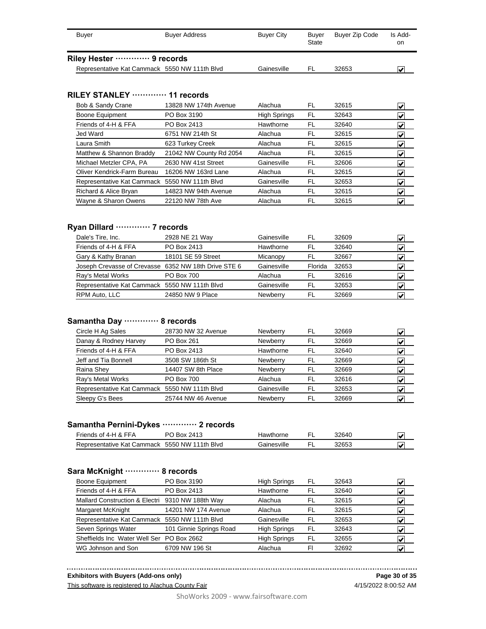| Buyer                       | <b>Buyer Address</b>                          | <b>Buver City</b> | Buver<br>State | Buyer Zip Code | Is Add-<br>on |
|-----------------------------|-----------------------------------------------|-------------------|----------------|----------------|---------------|
| Riley Hester ………… 9 records |                                               |                   |                |                |               |
|                             | Representative Kat Cammack 5550 NW 111th Blvd | Gainesville       | FL.            | 32653          |               |

#### **RILEY STANLEY ············· 11 records**

| Bob & Sandy Crane                             | 13828 NW 174th Avenue   | Alachua             | FL | 32615 | V                                |
|-----------------------------------------------|-------------------------|---------------------|----|-------|----------------------------------|
| Boone Equipment                               | PO Box 3190             | <b>High Springs</b> | FL | 32643 | V                                |
| Friends of 4-H & FFA                          | PO Box 2413             | Hawthorne           | FL | 32640 | $\vert\boldsymbol{v}\vert$       |
| Jed Ward                                      | 6751 NW 214th St        | Alachua             | FL | 32615 | $\left  \bm{\mathsf{v}} \right $ |
| Laura Smith                                   | 623 Turkey Creek        | Alachua             | FL | 32615 | V                                |
| Matthew & Shannon Braddy                      | 21042 NW County Rd 2054 | Alachua             | FL | 32615 | $\blacktriangleright$            |
| Michael Metzler CPA, PA                       | 2630 NW 41st Street     | Gainesville         | FL | 32606 | $\left  \bm{\mathsf{v}} \right $ |
| Oliver Kendrick-Farm Bureau                   | 16206 NW 163rd Lane     | Alachua             | FL | 32615 | V                                |
| Representative Kat Cammack 5550 NW 111th Blvd |                         | Gainesville         | FL | 32653 | $\left  \bm{\mathsf{v}} \right $ |
| Richard & Alice Bryan                         | 14823 NW 94th Avenue    | Alachua             | FL | 32615 | $\left  \mathbf{v} \right $      |
| Wayne & Sharon Owens                          | 22120 NW 78th Ave       | Alachua             | FL | 32615 | V                                |

### **Ryan Dillard ············· 7 records**

| Dale's Tire, Inc.                                    | 2928 NE 21 Way     | Gainesville | FL      | 32609 |  |
|------------------------------------------------------|--------------------|-------------|---------|-------|--|
| Friends of 4-H & FFA                                 | PO Box 2413        | Hawthorne   | FL      | 32640 |  |
| Gary & Kathy Branan                                  | 18101 SE 59 Street | Micanopy    | FL      | 32667 |  |
| Joseph Crevasse of Crevasse 6352 NW 18th Drive STE 6 |                    | Gainesville | Florida | 32653 |  |
| Ray's Metal Works                                    | <b>PO Box 700</b>  | Alachua     | FL.     | 32616 |  |
| Representative Kat Cammack 5550 NW 111th Blvd        |                    | Gainesville | .FL     | 32653 |  |
| RPM Auto, LLC                                        | 24850 NW 9 Place   | Newberry    | FL      | 32669 |  |
|                                                      |                    |             |         |       |  |

#### **Samantha Day ············· 8 records**

| 28730 NW 32 Avenue                            | Newberry    | FL | 32669 |   |
|-----------------------------------------------|-------------|----|-------|---|
| PO Box 261                                    | Newberry    | FL | 32669 | V |
| PO Box 2413                                   | Hawthorne   | FL | 32640 |   |
| 3508 SW 186th St                              | Newberry    | FL | 32669 |   |
| 14407 SW 8th Place                            | Newberry    | FL | 32669 | V |
| <b>PO Box 700</b>                             | Alachua     | FL | 32616 | V |
| Representative Kat Cammack 5550 NW 111th Blvd | Gainesville | FL | 32653 | V |
| 25744 NW 46 Avenue                            | Newberry    | FL | 32669 |   |
|                                               |             |    |       |   |

#### **Samantha Pernini-Dykes ············· 2 records**

| Friends of 4-H & FFA                          | Box 2413 | Hawthorne   | 32640 |  |
|-----------------------------------------------|----------|-------------|-------|--|
| Representative Kat Cammack 5550 NW 111th Blvd |          | Gainesville | 32653 |  |

#### **Sara McKnight ············· 8 records**

| <b>Boone Equipment</b>                           | PO Box 3190             | <b>High Springs</b> | FL | 32643 | V |
|--------------------------------------------------|-------------------------|---------------------|----|-------|---|
| Friends of 4-H & FFA                             | PO Box 2413             | Hawthorne           | FL | 32640 | ✔ |
| Mallard Construction & Electri 9310 NW 188th Way |                         | Alachua             | FL | 32615 | V |
| Margaret McKnight                                | 14201 NW 174 Avenue     | Alachua             | FL | 32615 | V |
| Representative Kat Cammack 5550 NW 111th Blvd    |                         | Gainesville         | FL | 32653 | V |
| Seven Springs Water                              | 101 Ginnie Springs Road | <b>High Springs</b> | FL | 32643 | Ñ |
| Sheffields Inc Water Well Ser PO Box 2662        |                         | <b>High Springs</b> | FL | 32655 | V |
| WG Johnson and Son                               | 6709 NW 196 St          | Alachua             | FI | 32692 |   |

**Exhibitors with Buyers (Add-ons only)**

This software is registered to Alachua County Fair

4/15/2022 8:00:52 AM **Page 30 of 35**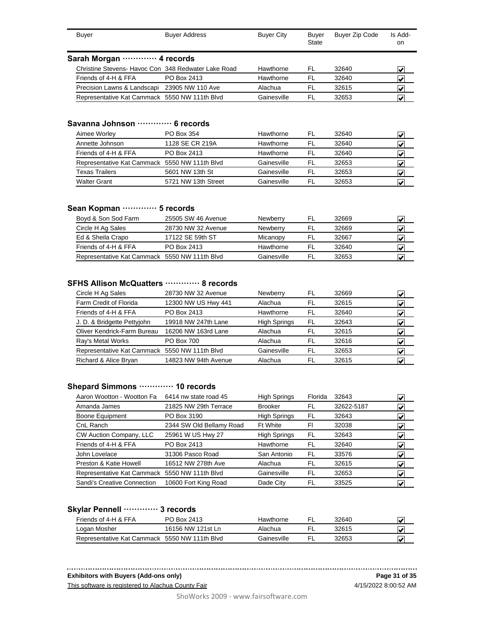| Buyer                                               | <b>Buyer Address</b> | <b>Buyer City</b> | Buyer<br><b>State</b> | <b>Buyer Zip Code</b> | Is Add-<br>on |
|-----------------------------------------------------|----------------------|-------------------|-----------------------|-----------------------|---------------|
| Sarah Morgan  4 records                             |                      |                   |                       |                       |               |
| Christine Stevens- Havoc Con 348 Redwater Lake Road |                      | Hawthorne         | FL                    | 32640                 |               |
| Friends of 4-H & FFA                                | PO Box 2413          | Hawthorne         | FL.                   | 32640                 |               |
| Precision Lawns & Landscapi                         | 23905 NW 110 Ave     | Alachua           | FL                    | 32615                 |               |
| Representative Kat Cammack 5550 NW 111th Blvd       |                      | Gainesville       | FL                    | 32653                 |               |

#### **Savanna Johnson ············· 6 records**

| Aimee Worley                                  | PO Box 354          | Hawthorne   | FL  | 32640 |  |
|-----------------------------------------------|---------------------|-------------|-----|-------|--|
| Annette Johnson                               | 1128 SE CR 219A     | Hawthorne   | FL. | 32640 |  |
| Friends of 4-H & FFA                          | PO Box 2413         | Hawthorne   | FL. | 32640 |  |
| Representative Kat Cammack 5550 NW 111th Blvd |                     | Gainesville | FL. | 32653 |  |
| <b>Texas Trailers</b>                         | 5601 NW 13th St     | Gainesville | FL. | 32653 |  |
| <b>Walter Grant</b>                           | 5721 NW 13th Street | Gainesville | FL. | 32653 |  |

#### **Sean Kopman ············· 5 records**

| Boyd & Son Sod Farm                           | 25505 SW 46 Avenue | <b>Newberry</b> | FL  | 32669 | V |
|-----------------------------------------------|--------------------|-----------------|-----|-------|---|
| Circle H Ag Sales                             | 28730 NW 32 Avenue | <b>Newberry</b> | FL  | 32669 |   |
| Ed & Sheila Crapo                             | 17122 SE 59th ST   | Micanopy        | FL  | 32667 |   |
| Friends of 4-H & FFA                          | PO Box 2413        | Hawthorne       | FL. | 32640 |   |
| Representative Kat Cammack 5550 NW 111th Blvd |                    | Gainesville     | FI. | 32653 | M |

#### **SFHS Allison McQuatters ············· 8 records**

| 28730 NW 32 Avenue                            | Newberry            | FL | 32669 |   |
|-----------------------------------------------|---------------------|----|-------|---|
| 12300 NW US Hwy 441                           | Alachua             | FL | 32615 | V |
| PO Box 2413                                   | Hawthorne           | FL | 32640 | V |
| 19918 NW 247th Lane                           | <b>High Springs</b> | FL | 32643 | M |
| 16206 NW 163rd Lane                           | Alachua             | FL | 32615 | V |
| <b>PO Box 700</b>                             | Alachua             | FL | 32616 | V |
| Representative Kat Cammack 5550 NW 111th Blvd | Gainesville         | FL | 32653 | V |
| 14823 NW 94th Avenue                          | Alachua             | FL | 32615 |   |
|                                               |                     |    |       |   |

#### **Shepard Simmons ············· 10 records**

| Aaron Wootton - Wootton Fa                    | 6414 nw state road 45    | <b>High Springs</b> | Florida | 32643      | V                           |
|-----------------------------------------------|--------------------------|---------------------|---------|------------|-----------------------------|
| Amanda James                                  | 21825 NW 29th Terrace    | <b>Brooker</b>      | FL      | 32622-5187 | $\vert \mathbf{v} \vert$    |
| <b>Boone Equipment</b>                        | PO Box 3190              | <b>High Springs</b> | FL      | 32643      | $\left  \mathbf{v} \right $ |
| CnL Ranch                                     | 2344 SW Old Bellamy Road | <b>Ft White</b>     | FI      | 32038      | V                           |
| CW Auction Company, LLC                       | 25961 W US Hwy 27        | <b>High Springs</b> | FL      | 32643      | V                           |
| Friends of 4-H & FFA                          | PO Box 2413              | Hawthorne           | FL      | 32640      | V                           |
| John Lovelace                                 | 31306 Pasco Road         | San Antonio         | FL      | 33576      | M                           |
| Preston & Katie Howell                        | 16512 NW 278th Ave       | Alachua             | FL      | 32615      | M                           |
| Representative Kat Cammack 5550 NW 111th Blvd |                          | Gainesville         | FL      | 32653      | V                           |
| Sandi's Creative Connection                   | 10600 Fort King Road     | Dade City           | FL      | 33525      | V                           |
|                                               |                          |                     |         |            |                             |

#### **Skylar Pennell ············· 3 records**

| Friends of 4-H & FFA                          | PO Box 2413       | Hawthorne   | 32640 |  |
|-----------------------------------------------|-------------------|-------------|-------|--|
| Logan Mosher                                  | 16156 NW 121st In | Alachua     | 32615 |  |
| Representative Kat Cammack 5550 NW 111th Blvd |                   | Gainesville | 32653 |  |

#### **Exhibitors with Buyers (Add-ons only)**

This software is registered to Alachua County Fair

4/15/2022 8:00:52 AM **Page 31 of 35**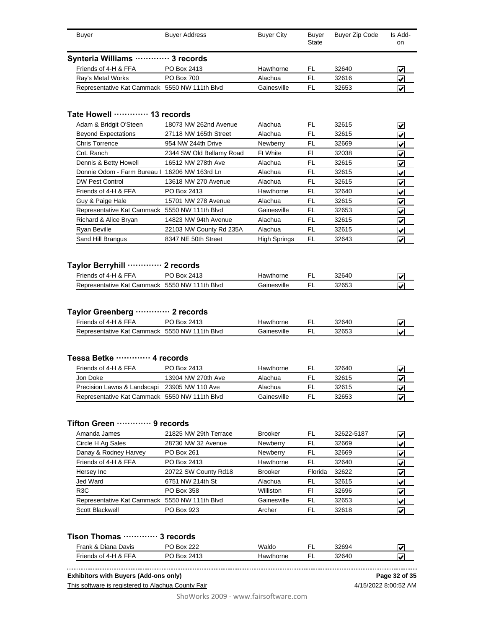| Buyer                                         | <b>Buyer Address</b> | <b>Buyer City</b> | Buyer<br><b>State</b> | Buyer Zip Code | Is Add-<br>on. |
|-----------------------------------------------|----------------------|-------------------|-----------------------|----------------|----------------|
| Synteria Williams  3 records                  |                      |                   |                       |                |                |
| Friends of 4-H & FFA                          | PO Box 2413          | Hawthorne         | FI.                   | 32640          | V              |
| Ray's Metal Works                             | <b>PO Box 700</b>    | Alachua           | FI                    | 32616          | V              |
| Representative Kat Cammack 5550 NW 111th Blvd |                      | Gainesville       | FI                    | 32653          |                |

#### **Tate Howell ············· 13 records**

| Adam & Bridgit O'Steen                        | 18073 NW 262nd Avenue    | Alachua             | FL | 32615 | $\left  \bm{\mathsf{v}} \right $ |
|-----------------------------------------------|--------------------------|---------------------|----|-------|----------------------------------|
| <b>Beyond Expectations</b>                    | 27118 NW 165th Street    | Alachua             | FL | 32615 | M                                |
| <b>Chris Torrence</b>                         | 954 NW 244th Drive       | Newberry            | FL | 32669 | $\left  \mathbf{v} \right $      |
| CnL Ranch                                     | 2344 SW Old Bellamy Road | <b>Ft White</b>     | FI | 32038 | $\left  \mathbf{v} \right $      |
| Dennis & Betty Howell                         | 16512 NW 278th Ave       | Alachua             | FL | 32615 | $\left  \mathbf{v} \right $      |
| Donnie Odom - Farm Bureau I 16206 NW 163rd Ln |                          | Alachua             | FL | 32615 | $\left  \mathbf{v} \right $      |
| <b>DW Pest Control</b>                        | 13618 NW 270 Avenue      | Alachua             | FL | 32615 | M                                |
| Friends of 4-H & FFA                          | PO Box 2413              | Hawthorne           | FL | 32640 | $\vert\bm{\mathsf{v}}\vert$      |
| Guy & Paige Hale                              | 15701 NW 278 Avenue      | Alachua             | FL | 32615 | $\vert\bm{\mathsf{v}}\vert$      |
| Representative Kat Cammack 5550 NW 111th Blvd |                          | Gainesville         | FL | 32653 | $\left  \mathbf{v} \right $      |
| Richard & Alice Bryan                         | 14823 NW 94th Avenue     | Alachua             | FL | 32615 | $\left  \mathbf{v} \right $      |
| Ryan Beville                                  | 22103 NW County Rd 235A  | Alachua             | FL | 32615 | $\left  \mathbf{v} \right $      |
| Sand Hill Brangus                             | 8347 NE 50th Street      | <b>High Springs</b> | FL | 32643 | $\left  \mathbf{v} \right $      |

# **Taylor Berryhill ············· 2 records**

| Friends of 4-H & FFA       | 2413<br>. Box      | Hawthorne          | 32640 |   |
|----------------------------|--------------------|--------------------|-------|---|
| Representative Kat Cammack | 5550 NW 111th Blvd | <b>Gainesville</b> | 32653 | м |

# **Taylor Greenberg ············· 2 records**

| Friends of 4-H & FFA       | Box 2413           | Hawthorne   | - | 32640 |  |
|----------------------------|--------------------|-------------|---|-------|--|
| Representative Kat Cammack | 5550 NW 111th Blvd | Gainesville |   | 32653 |  |

#### **Tessa Betke ············· 4 records**

| Friends of 4-H & FFA                          | PO Box 2413        | Hawthorne   | 32640 |  |
|-----------------------------------------------|--------------------|-------------|-------|--|
| Jon Doke                                      | 13904 NW 270th Ave | Alachua     | 32615 |  |
| Precision Lawns & Landscapi                   | 23905 NW 110 Ave   | Alachua     | 32615 |  |
| Representative Kat Cammack 5550 NW 111th Blvd |                    | Gainesville | 32653 |  |
|                                               |                    |             |       |  |

### **Tifton Green ············· 9 records**

| Amanda James                                  | 21825 NW 29th Terrace | <b>Brooker</b> | FL      | 32622-5187 | V |
|-----------------------------------------------|-----------------------|----------------|---------|------------|---|
| Circle H Ag Sales                             | 28730 NW 32 Avenue    | Newberry       | FL      | 32669      | V |
| Danay & Rodney Harvey                         | PO Box 261            | Newberry       | FL      | 32669      | V |
| Friends of 4-H & FFA                          | PO Box 2413           | Hawthorne      | FL      | 32640      | V |
| Hersey Inc                                    | 20722 SW County Rd18  | <b>Brooker</b> | Florida | 32622      |   |
| Jed Ward                                      | 6751 NW 214th St      | Alachua        | FL      | 32615      | V |
| R <sub>3</sub> C                              | PO Box 358            | Williston      | FI      | 32696      | V |
| Representative Kat Cammack 5550 NW 111th Blvd |                       | Gainesville    | FL      | 32653      | V |
| Scott Blackwell                               | PO Box 923            | Archer         | FL      | 32618      |   |
|                                               |                       |                |         |            |   |

### **Tison Thomas ············· 3 records**

| <sup>⊏</sup> rank & Diana Davis  | nnr<br>PO Box | Waldo     | 32694 | ∕مە∃ |
|----------------------------------|---------------|-----------|-------|------|
| $\mathsf{F}$ riends of 4-H & FFA | PO Box 2413   | Hawthorne | 32640 | سا   |

**Exhibitors with Buyers (Add-ons only)**

**Page 32 of 35**

4/15/2022 8:00:52 AM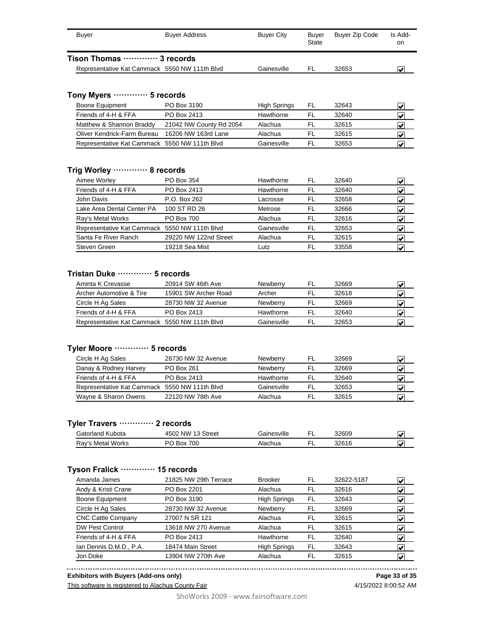| Buyer                       | <b>Buyer Address</b>                          | <b>Buyer City</b> | Buver<br>State | Buyer Zip Code | Is Add-<br>on |
|-----------------------------|-----------------------------------------------|-------------------|----------------|----------------|---------------|
| Tison Thomas ………… 3 records |                                               |                   |                |                |               |
|                             | Representative Kat Cammack 5550 NW 111th Blvd | Gainesville       | FI             | 32653          |               |

### **Tony Myers ············· 5 records**

| Boone Equipment                               | PO Box 3190             | <b>High Springs</b> | FL | 32643 |  |
|-----------------------------------------------|-------------------------|---------------------|----|-------|--|
| Friends of 4-H & FFA                          | PO Box 2413             | Hawthorne           | FI | 32640 |  |
| Matthew & Shannon Braddy                      | 21042 NW County Rd 2054 | Alachua             |    | 32615 |  |
| Oliver Kendrick-Farm Bureau                   | 16206 NW 163rd Lane     | Alachua             |    | 32615 |  |
| Representative Kat Cammack 5550 NW 111th Blvd |                         | Gainesville         |    | 32653 |  |

#### **Trig Worley ············· 8 records**

| PO Box 354                                    | Hawthorne   | FL  | 32640 |  |
|-----------------------------------------------|-------------|-----|-------|--|
| PO Box 2413                                   | Hawthorne   | FL  | 32640 |  |
| P.O. Box 262                                  | Lacrosse    | FI. | 32658 |  |
| 100 ST RD 26                                  | Melrose     | FI. | 32666 |  |
| <b>PO Box 700</b>                             | Alachua     | FL  | 32616 |  |
| Representative Kat Cammack 5550 NW 111th Blvd | Gainesville | FL  | 32653 |  |
| 29220 NW 122nd Street                         | Alachua     | FL  | 32615 |  |
| 19218 Sea Mist                                | Lutz.       | FL  | 33558 |  |
|                                               |             |     |       |  |

#### **Tristan Duke ············· 5 records**

| Aminta K Crevasse                             | 20914 SW 46th Ave    | <b>Newberry</b> | FL | 32669 |   |
|-----------------------------------------------|----------------------|-----------------|----|-------|---|
| Archer Automotive & Tire                      | 15901 SW Archer Road | Archer          | FL | 32618 |   |
| Circle H Ag Sales                             | 28730 NW 32 Avenue   | <b>Newberry</b> | FL | 32669 | M |
| Friends of 4-H & FFA                          | PO Box 2413          | Hawthorne       | FI | 32640 |   |
| Representative Kat Cammack 5550 NW 111th Blvd |                      | Gainesville     | FI | 32653 | M |

#### **Tyler Moore ············· 5 records**

| Circle H Ag Sales                             | 28730 NW 32 Avenue | <b>Newberry</b> | 32669 |  |
|-----------------------------------------------|--------------------|-----------------|-------|--|
| Danay & Rodney Harvey                         | PO Box 261         | Newberry        | 32669 |  |
| Friends of 4-H & FFA                          | PO Box 2413        | Hawthorne       | 32640 |  |
| Representative Kat Cammack 5550 NW 111th Blvd |                    | Gainesville     | 32653 |  |
| Wayne & Sharon Owens                          | 22120 NW 78th Ave  | Alachua         | 32615 |  |

#### **Tyler Travers ············· 2 records**

| <b>Gatorland Kubota</b> | 4502 NW 13 Street | Gainesville |   | 32609 | كالمحادا                |
|-------------------------|-------------------|-------------|---|-------|-------------------------|
| Ray's Metal Works       | 700<br>PO<br>Box  | Alachua     | - | 32616 | $\overline{\mathbf{v}}$ |

### **Tyson Fralick ············· 15 records**

| Amanda James              | 21825 NW 29th Terrace | <b>Brooker</b>      | FL | 32622-5187 | V |
|---------------------------|-----------------------|---------------------|----|------------|---|
| Andy & Kristi Crane       | PO Box 2201           | Alachua             | FL | 32616      | V |
| Boone Equipment           | PO Box 3190           | <b>High Springs</b> | FL | 32643      | ✓ |
| Circle H Ag Sales         | 28730 NW 32 Avenue    | Newberry            | FL | 32669      | V |
| <b>CNC Cattle Company</b> | 27007 N SR 121        | Alachua             | FL | 32615      | V |
| DW Pest Control           | 13618 NW 270 Avenue   | Alachua             | FL | 32615      | V |
| Friends of 4-H & FFA      | PO Box 2413           | Hawthorne           | FL | 32640      | V |
| Ian Dennis D.M.D., P.A.   | 18474 Main Street     | <b>High Springs</b> | FL | 32643      | ✓ |
| Jon Doke                  | 13904 NW 270th Ave    | Alachua             | FL | 32615      | V |

**Exhibitors with Buyers (Add-ons only)**

This software is registered to Alachua County Fair

**Page 33 of 35**

ShoWorks 2009 - www.fairsoftware.com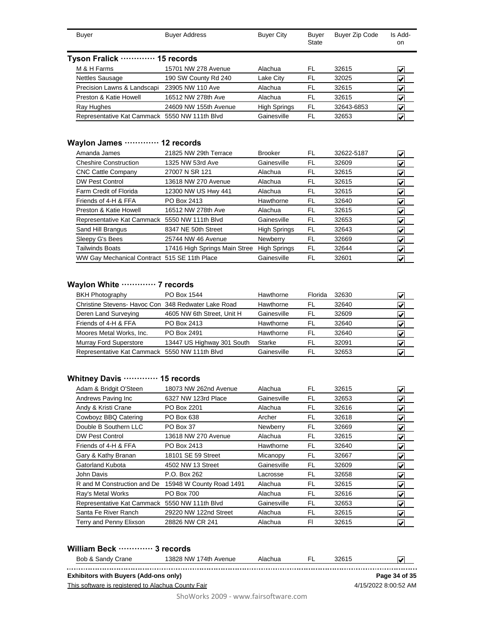| Buyer                                         | <b>Buyer Address</b>  | <b>Buyer City</b>   | Buyer<br>State | Buyer Zip Code | Is Add-<br>on.                           |
|-----------------------------------------------|-----------------------|---------------------|----------------|----------------|------------------------------------------|
| Tyson Fralick ………… 15 records                 |                       |                     |                |                |                                          |
| M & H Farms                                   | 15701 NW 278 Avenue   | Alachua             | FL             | 32615          | V                                        |
| <b>Nettles Sausage</b>                        | 190 SW County Rd 240  | Lake City           | <b>FL</b>      | 32025          | V                                        |
| Precision Lawns & Landscapi                   | 23905 NW 110 Ave      | Alachua             | FL             | 32615          | V                                        |
| Preston & Katie Howell                        | 16512 NW 278th Ave    | Alachua             | FL             | 32615          | V                                        |
| Ray Hughes                                    | 24609 NW 155th Avenue | <b>High Springs</b> | FL             | 32643-6853     | $\blacktriangledown$                     |
| Representative Kat Cammack 5550 NW 111th Blvd |                       | Gainesville         | FL             | 32653          | $\left  \boldsymbol{\mathsf{v}} \right $ |

### **Waylon James ············· 12 records**

| Amanda James                                  | 21825 NW 29th Terrace         | <b>Brooker</b>      | FL | 32622-5187 | $\left  \bm{\mathsf{v}} \right $ |
|-----------------------------------------------|-------------------------------|---------------------|----|------------|----------------------------------|
| <b>Cheshire Construction</b>                  | 1325 NW 53rd Ave              | Gainesville         | FL | 32609      | $\left  \mathbf{v} \right $      |
| <b>CNC Cattle Company</b>                     | 27007 N SR 121                | Alachua             | FL | 32615      | $\left  \mathbf{v} \right $      |
| <b>DW Pest Control</b>                        | 13618 NW 270 Avenue           | Alachua             | FL | 32615      | $\left  \mathbf{v} \right $      |
| Farm Credit of Florida                        | 12300 NW US Hwy 441           | Alachua             | FL | 32615      | M                                |
| Friends of 4-H & FFA                          | PO Box 2413                   | Hawthorne           | FL | 32640      | $\left  \mathbf{v} \right $      |
| Preston & Katie Howell                        | 16512 NW 278th Ave            | Alachua             | FL | 32615      | $\left  \mathbf{v} \right $      |
| Representative Kat Cammack 5550 NW 111th Blvd |                               | Gainesville         | FL | 32653      | $\left  \mathbf{v} \right $      |
| Sand Hill Brangus                             | 8347 NE 50th Street           | <b>High Springs</b> | FL | 32643      | $\vert\bm{\mathsf{v}}\vert$      |
| Sleepy G's Bees                               | 25744 NW 46 Avenue            | Newberry            | FL | 32669      | $\vert\bm{\mathsf{v}}\vert$      |
| <b>Tailwinds Boats</b>                        | 17416 High Springs Main Stree | <b>High Springs</b> | FL | 32644      | M                                |
| WW Gay Mechanical Contract 515 SE 11th Place  |                               | Gainesville         | FL | 32601      | V                                |

### **Waylon White ············· 7 records**

| PO Box 1544                                         | Hawthorne   | Florida | 32630 |  |
|-----------------------------------------------------|-------------|---------|-------|--|
| Christine Stevens- Havoc Con 348 Redwater Lake Road | Hawthorne   | FL      | 32640 |  |
| 4605 NW 6th Street, Unit H                          | Gainesville | FI.     | 32609 |  |
| PO Box 2413                                         | Hawthorne   | FL      | 32640 |  |
| PO Box 2491                                         | Hawthorne   | FI.     | 32640 |  |
| 13447 US Highway 301 South                          | Starke      | FL      | 32091 |  |
| Representative Kat Cammack 5550 NW 111th Blvd       | Gainesville | FL.     | 32653 |  |
|                                                     |             |         |       |  |

### **Whitney Davis ············· 15 records**

| Adam & Bridgit O'Steen                        | 18073 NW 262nd Avenue    | Alachua     | FL  | 32615 | V                                      |
|-----------------------------------------------|--------------------------|-------------|-----|-------|----------------------------------------|
| Andrews Paving Inc                            | 6327 NW 123rd Place      | Gainesville | FL  | 32653 | $\left \boldsymbol{\mathsf{v}}\right $ |
| Andy & Kristi Crane                           | PO Box 2201              | Alachua     | FL  | 32616 | V                                      |
| Cowboyz BBQ Catering                          | PO Box 638               | Archer      | FL  | 32618 | V                                      |
| Double B Southern LLC                         | PO Box 37                | Newberry    | FL  | 32669 | $\left  \mathbf{v} \right $            |
| <b>DW Pest Control</b>                        | 13618 NW 270 Avenue      | Alachua     | FL  | 32615 | V                                      |
| Friends of 4-H & FFA                          | PO Box 2413              | Hawthorne   | FL  | 32640 | $\blacktriangledown$                   |
| Gary & Kathy Branan                           | 18101 SE 59 Street       | Micanopy    | FL  | 32667 | V                                      |
| Gatorland Kubota                              | 4502 NW 13 Street        | Gainesville | FL. | 32609 | $\left  \mathbf{v} \right $            |
| John Davis                                    | P.O. Box 262             | Lacrosse    | FL  | 32658 | V                                      |
| R and M Construction and De                   | 15948 W County Road 1491 | Alachua     | FL  | 32615 | $\left  \mathbf{v} \right $            |
| Ray's Metal Works                             | <b>PO Box 700</b>        | Alachua     | FL  | 32616 | V                                      |
| Representative Kat Cammack 5550 NW 111th Blvd |                          | Gainesville | FL  | 32653 | $\left  \mathbf{v} \right $            |
| Santa Fe River Ranch                          | 29220 NW 122nd Street    | Alachua     | FL  | 32615 | $\left  \mathbf{v} \right $            |
| Terry and Penny Elixson                       | 28826 NW CR 241          | Alachua     | FI  | 32615 | V                                      |

### **William Beck ············· 3 records**

| Bob & Sandy Crane                                  | 13828 NW 174th Avenue | Alachua | 32615 |                      |
|----------------------------------------------------|-----------------------|---------|-------|----------------------|
| <b>Exhibitors with Buyers (Add-ons only)</b>       |                       |         |       | Page 34 of 35        |
| This software is registered to Alachua County Fair |                       |         |       | 4/15/2022 8:00:52 AM |